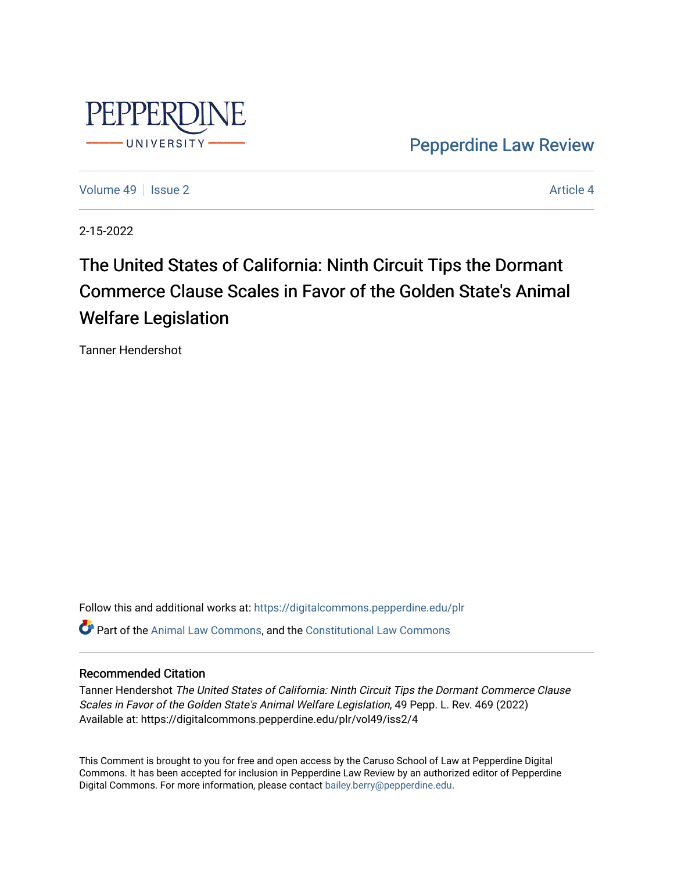

[Pepperdine Law Review](https://digitalcommons.pepperdine.edu/plr) 

[Volume 49](https://digitalcommons.pepperdine.edu/plr/vol49) | [Issue 2](https://digitalcommons.pepperdine.edu/plr/vol49/iss2) Article 4

2-15-2022

# The United States of California: Ninth Circuit Tips the Dormant Commerce Clause Scales in Favor of the Golden State's Animal Welfare Legislation

Tanner Hendershot

Follow this and additional works at: [https://digitalcommons.pepperdine.edu/plr](https://digitalcommons.pepperdine.edu/plr?utm_source=digitalcommons.pepperdine.edu%2Fplr%2Fvol49%2Fiss2%2F4&utm_medium=PDF&utm_campaign=PDFCoverPages) Part of the [Animal Law Commons,](http://network.bepress.com/hgg/discipline/831?utm_source=digitalcommons.pepperdine.edu%2Fplr%2Fvol49%2Fiss2%2F4&utm_medium=PDF&utm_campaign=PDFCoverPages) and the [Constitutional Law Commons](http://network.bepress.com/hgg/discipline/589?utm_source=digitalcommons.pepperdine.edu%2Fplr%2Fvol49%2Fiss2%2F4&utm_medium=PDF&utm_campaign=PDFCoverPages)

## Recommended Citation

Tanner Hendershot The United States of California: Ninth Circuit Tips the Dormant Commerce Clause Scales in Favor of the Golden State's Animal Welfare Legislation, 49 Pepp. L. Rev. 469 (2022) Available at: https://digitalcommons.pepperdine.edu/plr/vol49/iss2/4

This Comment is brought to you for free and open access by the Caruso School of Law at Pepperdine Digital Commons. It has been accepted for inclusion in Pepperdine Law Review by an authorized editor of Pepperdine Digital Commons. For more information, please contact [bailey.berry@pepperdine.edu.](mailto:bailey.berry@pepperdine.edu)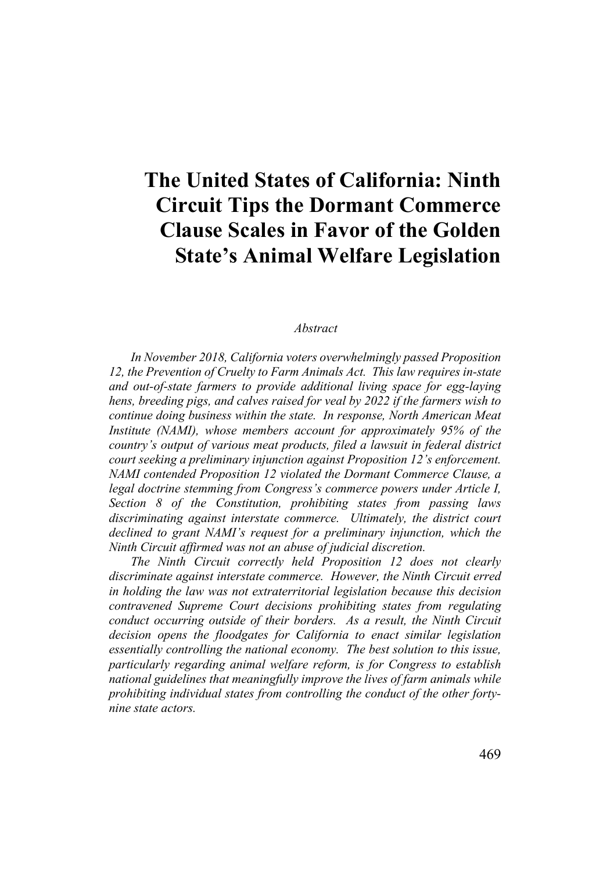# **The United States of California: Ninth Circuit Tips the Dormant Commerce Clause Scales in Favor of the Golden State's Animal Welfare Legislation**

#### *Abstract*

*In November 2018, California voters overwhelmingly passed Proposition 12, the Prevention of Cruelty to Farm Animals Act. This law requires in-state and out-of-state farmers to provide additional living space for egg-laying hens, breeding pigs, and calves raised for veal by 2022 if the farmers wish to continue doing business within the state. In response, North American Meat Institute (NAMI), whose members account for approximately 95% of the country's output of various meat products, filed a lawsuit in federal district court seeking a preliminary injunction against Proposition 12's enforcement. NAMI contended Proposition 12 violated the Dormant Commerce Clause, a legal doctrine stemming from Congress's commerce powers under Article I, Section 8 of the Constitution, prohibiting states from passing laws discriminating against interstate commerce. Ultimately, the district court declined to grant NAMI's request for a preliminary injunction, which the Ninth Circuit affirmed was not an abuse of judicial discretion.*

*The Ninth Circuit correctly held Proposition 12 does not clearly discriminate against interstate commerce. However, the Ninth Circuit erred in holding the law was not extraterritorial legislation because this decision contravened Supreme Court decisions prohibiting states from regulating conduct occurring outside of their borders. As a result, the Ninth Circuit decision opens the floodgates for California to enact similar legislation essentially controlling the national economy. The best solution to this issue, particularly regarding animal welfare reform, is for Congress to establish national guidelines that meaningfully improve the lives of farm animals while prohibiting individual states from controlling the conduct of the other fortynine state actors.*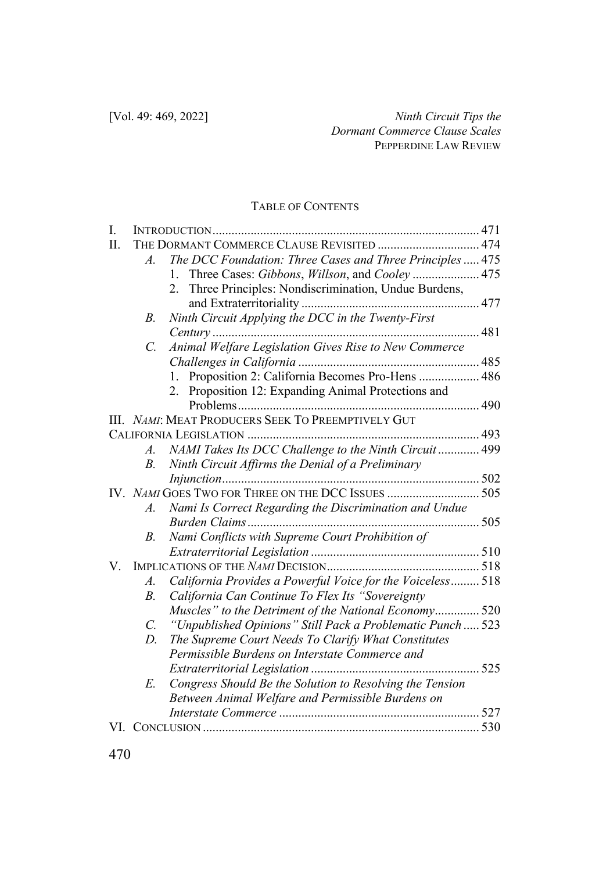## TABLE OF CONTENTS

| I. |                 |                                                            |  |
|----|-----------------|------------------------------------------------------------|--|
| Π. |                 | THE DORMANT COMMERCE CLAUSE REVISITED  474                 |  |
|    | $\mathcal{A}$ . | The DCC Foundation: Three Cases and Three Principles  475  |  |
|    |                 | Three Cases: Gibbons, Willson, and Cooley 475              |  |
|    |                 | Three Principles: Nondiscrimination, Undue Burdens,<br>2.  |  |
|    |                 |                                                            |  |
|    | В.              | Ninth Circuit Applying the DCC in the Twenty-First         |  |
|    |                 |                                                            |  |
|    | C.              | Animal Welfare Legislation Gives Rise to New Commerce      |  |
|    |                 |                                                            |  |
|    |                 | 1. Proposition 2: California Becomes Pro-Hens  486         |  |
|    |                 | Proposition 12: Expanding Animal Protections and           |  |
|    |                 |                                                            |  |
|    |                 | III. NAMI: MEAT PRODUCERS SEEK TO PREEMPTIVELY GUT         |  |
|    |                 |                                                            |  |
|    | $A$ .           | NAMI Takes Its DCC Challenge to the Ninth Circuit 499      |  |
|    | В.              | Ninth Circuit Affirms the Denial of a Preliminary          |  |
|    |                 |                                                            |  |
|    |                 | IV. NAMI GOES TWO FOR THREE ON THE DCC ISSUES  505         |  |
|    | $\mathcal{A}$ . | Nami Is Correct Regarding the Discrimination and Undue     |  |
|    |                 |                                                            |  |
|    | В.              | Nami Conflicts with Supreme Court Prohibition of           |  |
|    |                 |                                                            |  |
| V. |                 |                                                            |  |
|    | $A$ .           | California Provides a Powerful Voice for the Voiceless 518 |  |
|    | $B_{\cdot}$     | California Can Continue To Flex Its "Sovereignty           |  |
|    |                 | Muscles" to the Detriment of the National Economy 520      |  |
|    | $\mathcal{C}$ . | "Unpublished Opinions" Still Pack a Problematic Punch 523  |  |
|    | D.              | The Supreme Court Needs To Clarify What Constitutes        |  |
|    |                 | Permissible Burdens on Interstate Commerce and             |  |
|    |                 |                                                            |  |
|    | E.              | Congress Should Be the Solution to Resolving the Tension   |  |
|    |                 | Between Animal Welfare and Permissible Burdens on          |  |
|    |                 |                                                            |  |
|    |                 |                                                            |  |
|    |                 |                                                            |  |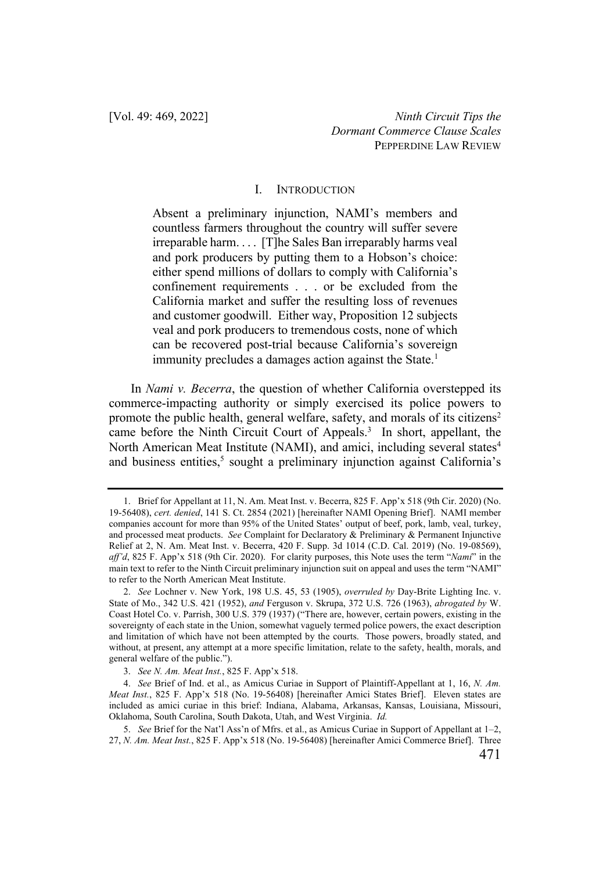#### I. INTRODUCTION

Absent a preliminary injunction, NAMI's members and countless farmers throughout the country will suffer severe irreparable harm. . . . [T]he Sales Ban irreparably harms veal and pork producers by putting them to a Hobson's choice: either spend millions of dollars to comply with California's confinement requirements . . . or be excluded from the California market and suffer the resulting loss of revenues and customer goodwill. Either way, Proposition 12 subjects veal and pork producers to tremendous costs, none of which can be recovered post-trial because California's sovereign immunity precludes a damages action against the State.<sup>1</sup>

In *Nami v. Becerra*, the question of whether California overstepped its commerce-impacting authority or simply exercised its police powers to promote the public health, general welfare, safety, and morals of its citizens<sup>2</sup> came before the Ninth Circuit Court of Appeals.<sup>3</sup> In short, appellant, the North American Meat Institute (NAMI), and amici, including several states<sup>4</sup> and business entities,<sup>5</sup> sought a preliminary injunction against California's

<sup>1.</sup> Brief for Appellant at 11, N. Am. Meat Inst. v. Becerra, 825 F. App'x 518 (9th Cir. 2020) (No. 19-56408), *cert. denied*, 141 S. Ct. 2854 (2021) [hereinafter NAMI Opening Brief]. NAMI member companies account for more than 95% of the United States' output of beef, pork, lamb, veal, turkey, and processed meat products. *See* Complaint for Declaratory & Preliminary & Permanent Injunctive Relief at 2, N. Am. Meat Inst. v. Becerra, 420 F. Supp. 3d 1014 (C.D. Cal. 2019) (No. 19-08569), *aff'd*, 825 F. App'x 518 (9th Cir. 2020). For clarity purposes, this Note uses the term "*Nami*" in the main text to refer to the Ninth Circuit preliminary injunction suit on appeal and uses the term "NAMI" to refer to the North American Meat Institute.

<sup>2.</sup> *See* Lochner v. New York, 198 U.S. 45, 53 (1905), *overruled by* Day-Brite Lighting Inc. v. State of Mo., 342 U.S. 421 (1952), *and* Ferguson v. Skrupa, 372 U.S. 726 (1963), *abrogated by* W. Coast Hotel Co. v. Parrish, 300 U.S. 379 (1937) ("There are, however, certain powers, existing in the sovereignty of each state in the Union, somewhat vaguely termed police powers, the exact description and limitation of which have not been attempted by the courts. Those powers, broadly stated, and without, at present, any attempt at a more specific limitation, relate to the safety, health, morals, and general welfare of the public.").

<sup>3.</sup> *See N. Am. Meat Inst.*, 825 F. App'x 518.

<sup>4.</sup> *See* Brief of Ind. et al., as Amicus Curiae in Support of Plaintiff-Appellant at 1, 16, *N. Am. Meat Inst.*, 825 F. App'x 518 (No. 19-56408) [hereinafter Amici States Brief]. Eleven states are included as amici curiae in this brief: Indiana, Alabama, Arkansas, Kansas, Louisiana, Missouri, Oklahoma, South Carolina, South Dakota, Utah, and West Virginia. *Id.* 

<sup>5.</sup> *See* Brief for the Nat'l Ass'n of Mfrs. et al., as Amicus Curiae in Support of Appellant at 1–2, 27, *N. Am. Meat Inst.*, 825 F. App'x 518 (No. 19-56408) [hereinafter Amici Commerce Brief]. Three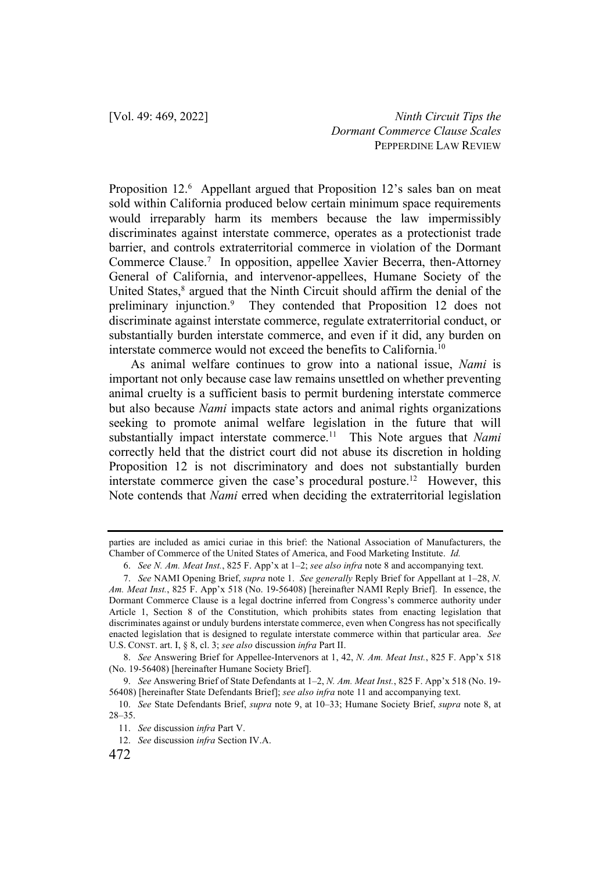Proposition 12.<sup>6</sup> Appellant argued that Proposition 12's sales ban on meat sold within California produced below certain minimum space requirements would irreparably harm its members because the law impermissibly discriminates against interstate commerce, operates as a protectionist trade barrier, and controls extraterritorial commerce in violation of the Dormant Commerce Clause.<sup>7</sup> In opposition, appellee Xavier Becerra, then-Attorney General of California, and intervenor-appellees, Humane Society of the United States,<sup>8</sup> argued that the Ninth Circuit should affirm the denial of the preliminary injunction.<sup>9</sup> They contended that Proposition 12 does not discriminate against interstate commerce, regulate extraterritorial conduct, or substantially burden interstate commerce, and even if it did, any burden on interstate commerce would not exceed the benefits to California.10

As animal welfare continues to grow into a national issue, *Nami* is important not only because case law remains unsettled on whether preventing animal cruelty is a sufficient basis to permit burdening interstate commerce but also because *Nami* impacts state actors and animal rights organizations seeking to promote animal welfare legislation in the future that will substantially impact interstate commerce.<sup>11</sup> This Note argues that *Nami* correctly held that the district court did not abuse its discretion in holding Proposition 12 is not discriminatory and does not substantially burden interstate commerce given the case's procedural posture.<sup>12</sup> However, this Note contends that *Nami* erred when deciding the extraterritorial legislation

parties are included as amici curiae in this brief: the National Association of Manufacturers, the Chamber of Commerce of the United States of America, and Food Marketing Institute. *Id.* 

<sup>6.</sup> *See N. Am. Meat Inst.*, 825 F. App'x at 1–2; *see also infra* note 8 and accompanying text.

<sup>7.</sup> *See* NAMI Opening Brief, *supra* note 1. *See generally* Reply Brief for Appellant at 1–28, *N. Am. Meat Inst.*, 825 F. App'x 518 (No. 19-56408) [hereinafter NAMI Reply Brief]. In essence, the Dormant Commerce Clause is a legal doctrine inferred from Congress's commerce authority under Article 1, Section 8 of the Constitution, which prohibits states from enacting legislation that discriminates against or unduly burdens interstate commerce, even when Congress has not specifically enacted legislation that is designed to regulate interstate commerce within that particular area. *See* U.S. CONST. art. I, § 8, cl. 3; *see also* discussion *infra* Part II.

<sup>8.</sup> *See* Answering Brief for Appellee-Intervenors at 1, 42, *N. Am. Meat Inst.*, 825 F. App'x 518 (No. 19-56408) [hereinafter Humane Society Brief].

<sup>9.</sup> *See* Answering Brief of State Defendants at 1–2, *N. Am. Meat Inst.*, 825 F. App'x 518 (No. 19- 56408) [hereinafter State Defendants Brief]; *see also infra* note 11 and accompanying text.

<sup>10.</sup> *See* State Defendants Brief, *supra* note 9, at 10–33; Humane Society Brief, *supra* note 8, at 28–35.

<sup>11.</sup> *See* discussion *infra* Part V.

<sup>12.</sup> *See* discussion *infra* Section IV.A.

<sup>472</sup>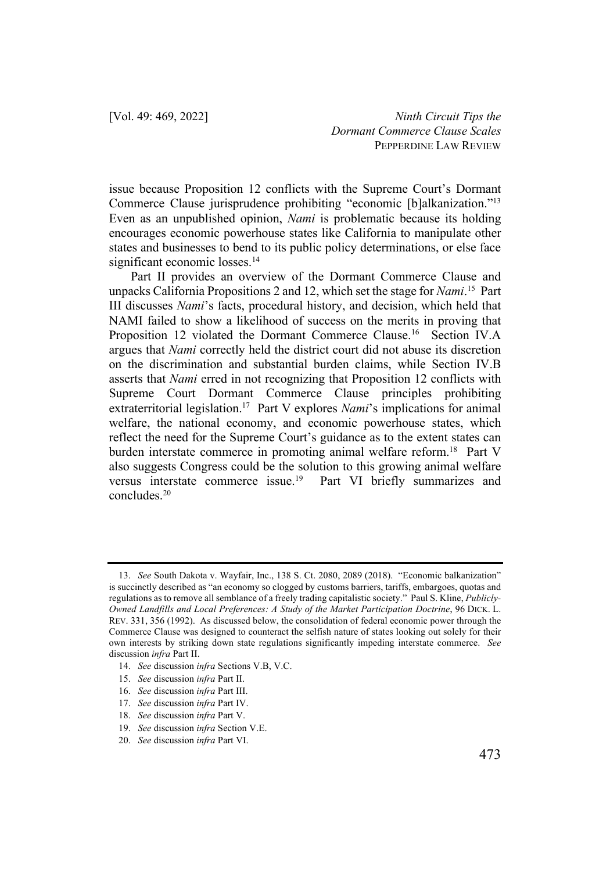issue because Proposition 12 conflicts with the Supreme Court's Dormant Commerce Clause jurisprudence prohibiting "economic [b]alkanization."13 Even as an unpublished opinion, *Nami* is problematic because its holding encourages economic powerhouse states like California to manipulate other states and businesses to bend to its public policy determinations, or else face significant economic losses.<sup>14</sup>

Part II provides an overview of the Dormant Commerce Clause and unpacks California Propositions 2 and 12, which set the stage for *Nami*. 15 Part III discusses *Nami*'s facts, procedural history, and decision, which held that NAMI failed to show a likelihood of success on the merits in proving that Proposition 12 violated the Dormant Commerce Clause.<sup>16</sup> Section IV.A argues that *Nami* correctly held the district court did not abuse its discretion on the discrimination and substantial burden claims, while Section IV.B asserts that *Nami* erred in not recognizing that Proposition 12 conflicts with Supreme Court Dormant Commerce Clause principles prohibiting extraterritorial legislation.17 Part V explores *Nami*'s implications for animal welfare, the national economy, and economic powerhouse states, which reflect the need for the Supreme Court's guidance as to the extent states can burden interstate commerce in promoting animal welfare reform.<sup>18</sup> Part V also suggests Congress could be the solution to this growing animal welfare versus interstate commerce issue.<sup>19</sup> Part VI briefly summarizes and concludes.20

19. *See* discussion *infra* Section V.E.

<sup>13.</sup> *See* South Dakota v. Wayfair, Inc., 138 S. Ct. 2080, 2089 (2018). "Economic balkanization" is succinctly described as "an economy so clogged by customs barriers, tariffs, embargoes, quotas and regulations as to remove all semblance of a freely trading capitalistic society." Paul S. Kline, *Publicly-Owned Landfills and Local Preferences: A Study of the Market Participation Doctrine*, 96 DICK. L. REV. 331, 356 (1992). As discussed below, the consolidation of federal economic power through the Commerce Clause was designed to counteract the selfish nature of states looking out solely for their own interests by striking down state regulations significantly impeding interstate commerce. *See*  discussion *infra* Part II.

<sup>14.</sup> *See* discussion *infra* Sections V.B, V.C.

<sup>15.</sup> *See* discussion *infra* Part II.

<sup>16.</sup> *See* discussion *infra* Part III.

<sup>17.</sup> *See* discussion *infra* Part IV.

<sup>18.</sup> *See* discussion *infra* Part V.

<sup>20.</sup> *See* discussion *infra* Part VI.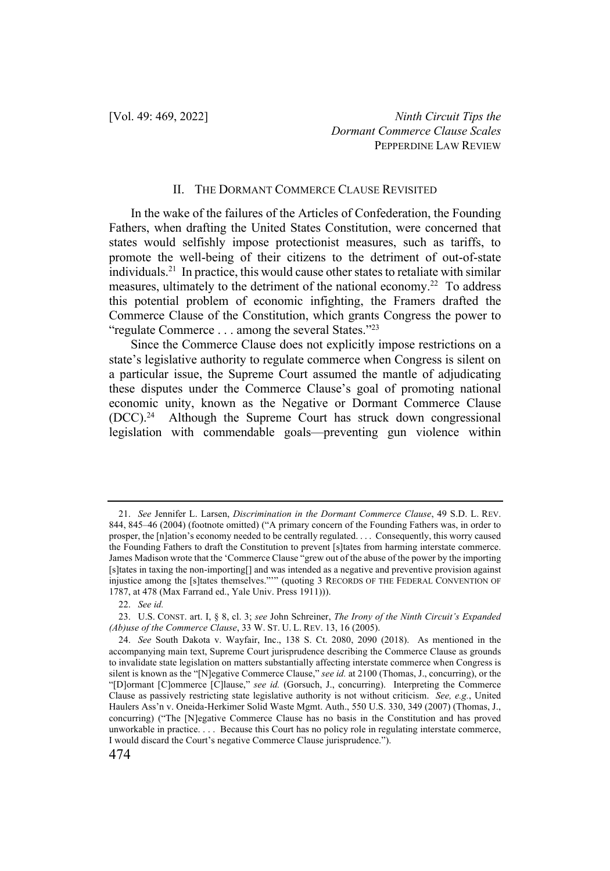#### II. THE DORMANT COMMERCE CLAUSE REVISITED

In the wake of the failures of the Articles of Confederation, the Founding Fathers, when drafting the United States Constitution, were concerned that states would selfishly impose protectionist measures, such as tariffs, to promote the well-being of their citizens to the detriment of out-of-state individuals.<sup>21</sup> In practice, this would cause other states to retaliate with similar measures, ultimately to the detriment of the national economy.<sup>22</sup> To address this potential problem of economic infighting, the Framers drafted the Commerce Clause of the Constitution, which grants Congress the power to "regulate Commerce . . . among the several States."<sup>23</sup>

Since the Commerce Clause does not explicitly impose restrictions on a state's legislative authority to regulate commerce when Congress is silent on a particular issue, the Supreme Court assumed the mantle of adjudicating these disputes under the Commerce Clause's goal of promoting national economic unity, known as the Negative or Dormant Commerce Clause (DCC).24 Although the Supreme Court has struck down congressional legislation with commendable goals—preventing gun violence within

<sup>21.</sup> *See* Jennifer L. Larsen, *Discrimination in the Dormant Commerce Clause*, 49 S.D. L. REV. 844, 845–46 (2004) (footnote omitted) ("A primary concern of the Founding Fathers was, in order to prosper, the [n]ation's economy needed to be centrally regulated. . . . Consequently, this worry caused the Founding Fathers to draft the Constitution to prevent [s]tates from harming interstate commerce. James Madison wrote that the 'Commerce Clause "grew out of the abuse of the power by the importing [s]tates in taxing the non-importing[] and was intended as a negative and preventive provision against injustice among the [s]tates themselves."'" (quoting 3 RECORDS OF THE FEDERAL CONVENTION OF 1787, at 478 (Max Farrand ed., Yale Univ. Press 1911))).

<sup>22.</sup> *See id.*

<sup>23.</sup> U.S. CONST. art. I, § 8, cl. 3; *see* John Schreiner, *The Irony of the Ninth Circuit's Expanded (Ab)use of the Commerce Clause*, 33 W. ST. U. L. REV. 13, 16 (2005).

<sup>24.</sup> *See* South Dakota v. Wayfair, Inc., 138 S. Ct. 2080, 2090 (2018). As mentioned in the accompanying main text, Supreme Court jurisprudence describing the Commerce Clause as grounds to invalidate state legislation on matters substantially affecting interstate commerce when Congress is silent is known as the "[N]egative Commerce Clause," *see id.* at 2100 (Thomas, J., concurring), or the "[D]ormant [C]ommerce [C]lause," *see id.* (Gorsuch, J., concurring). Interpreting the Commerce Clause as passively restricting state legislative authority is not without criticism. *See, e.g.*, United Haulers Ass'n v. Oneida-Herkimer Solid Waste Mgmt. Auth., 550 U.S. 330, 349 (2007) (Thomas, J., concurring) ("The [N]egative Commerce Clause has no basis in the Constitution and has proved unworkable in practice. . . . Because this Court has no policy role in regulating interstate commerce, I would discard the Court's negative Commerce Clause jurisprudence.").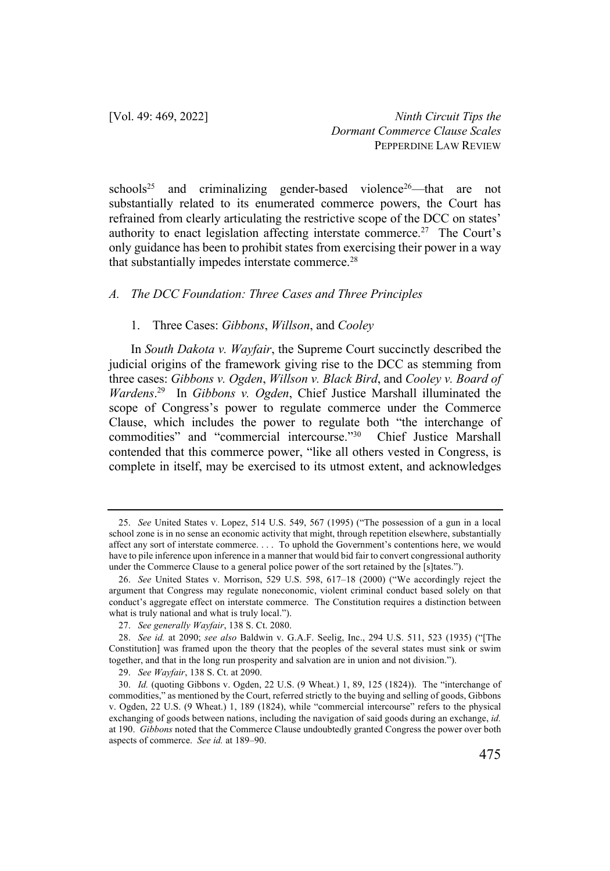schools<sup>25</sup> and criminalizing gender-based violence<sup>26</sup>—that are not substantially related to its enumerated commerce powers, the Court has refrained from clearly articulating the restrictive scope of the DCC on states' authority to enact legislation affecting interstate commerce.<sup>27</sup> The Court's only guidance has been to prohibit states from exercising their power in a way that substantially impedes interstate commerce.<sup>28</sup>

## *A. The DCC Foundation: Three Cases and Three Principles*

#### 1. Three Cases: *Gibbons*, *Willson*, and *Cooley*

In *South Dakota v. Wayfair*, the Supreme Court succinctly described the judicial origins of the framework giving rise to the DCC as stemming from three cases: *Gibbons v. Ogden*, *Willson v. Black Bird*, and *Cooley v. Board of Wardens*. 29 In *Gibbons v. Ogden*, Chief Justice Marshall illuminated the scope of Congress's power to regulate commerce under the Commerce Clause, which includes the power to regulate both "the interchange of commodities" and "commercial intercourse."30 Chief Justice Marshall contended that this commerce power, "like all others vested in Congress, is complete in itself, may be exercised to its utmost extent, and acknowledges

<sup>25.</sup> *See* United States v. Lopez, 514 U.S. 549, 567 (1995) ("The possession of a gun in a local school zone is in no sense an economic activity that might, through repetition elsewhere, substantially affect any sort of interstate commerce. . . . To uphold the Government's contentions here, we would have to pile inference upon inference in a manner that would bid fair to convert congressional authority under the Commerce Clause to a general police power of the sort retained by the [s]tates.").

<sup>26.</sup> *See* United States v. Morrison, 529 U.S. 598, 617–18 (2000) ("We accordingly reject the argument that Congress may regulate noneconomic, violent criminal conduct based solely on that conduct's aggregate effect on interstate commerce. The Constitution requires a distinction between what is truly national and what is truly local.").

<sup>27.</sup> *See generally Wayfair*, 138 S. Ct. 2080.

<sup>28.</sup> *See id.* at 2090; *see also* Baldwin v. G.A.F. Seelig, Inc., 294 U.S. 511, 523 (1935) ("[The Constitution] was framed upon the theory that the peoples of the several states must sink or swim together, and that in the long run prosperity and salvation are in union and not division.").

<sup>29.</sup> *See Wayfair*, 138 S. Ct. at 2090.

<sup>30.</sup> *Id.* (quoting Gibbons v. Ogden, 22 U.S. (9 Wheat.) 1, 89, 125 (1824)). The "interchange of commodities," as mentioned by the Court, referred strictly to the buying and selling of goods, Gibbons v. Ogden, 22 U.S. (9 Wheat.) 1, 189 (1824), while "commercial intercourse" refers to the physical exchanging of goods between nations, including the navigation of said goods during an exchange, *id.*  at 190. *Gibbons* noted that the Commerce Clause undoubtedly granted Congress the power over both aspects of commerce. *See id.* at 189–90.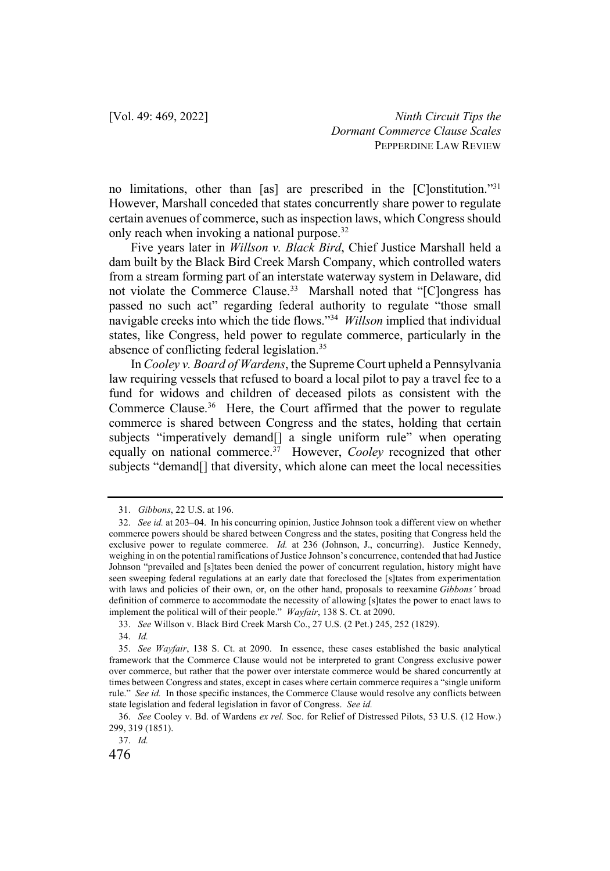no limitations, other than [as] are prescribed in the [C]onstitution."31 However, Marshall conceded that states concurrently share power to regulate certain avenues of commerce, such as inspection laws, which Congress should only reach when invoking a national purpose.<sup>32</sup>

Five years later in *Willson v. Black Bird*, Chief Justice Marshall held a dam built by the Black Bird Creek Marsh Company, which controlled waters from a stream forming part of an interstate waterway system in Delaware, did not violate the Commerce Clause.<sup>33</sup> Marshall noted that "[C]ongress has passed no such act" regarding federal authority to regulate "those small navigable creeks into which the tide flows."34 *Willson* implied that individual states, like Congress, held power to regulate commerce, particularly in the absence of conflicting federal legislation.35

In *Cooley v. Board of Wardens*, the Supreme Court upheld a Pennsylvania law requiring vessels that refused to board a local pilot to pay a travel fee to a fund for widows and children of deceased pilots as consistent with the Commerce Clause.36 Here, the Court affirmed that the power to regulate commerce is shared between Congress and the states, holding that certain subjects "imperatively demand[] a single uniform rule" when operating equally on national commerce.<sup>37</sup> However, *Cooley* recognized that other subjects "demand[] that diversity, which alone can meet the local necessities

37. *Id.*

<sup>31.</sup> *Gibbons*, 22 U.S. at 196.

<sup>32.</sup> *See id.* at 203–04. In his concurring opinion, Justice Johnson took a different view on whether commerce powers should be shared between Congress and the states, positing that Congress held the exclusive power to regulate commerce. *Id.* at 236 (Johnson, J., concurring). Justice Kennedy, weighing in on the potential ramifications of Justice Johnson's concurrence, contended that had Justice Johnson "prevailed and [s]tates been denied the power of concurrent regulation, history might have seen sweeping federal regulations at an early date that foreclosed the [s]tates from experimentation with laws and policies of their own, or, on the other hand, proposals to reexamine *Gibbons'* broad definition of commerce to accommodate the necessity of allowing [s]tates the power to enact laws to implement the political will of their people." *Wayfair*, 138 S. Ct. at 2090.

<sup>33.</sup> *See* Willson v. Black Bird Creek Marsh Co., 27 U.S. (2 Pet.) 245, 252 (1829).

<sup>34.</sup> *Id.* 

<sup>35.</sup> *See Wayfair*, 138 S. Ct. at 2090. In essence, these cases established the basic analytical framework that the Commerce Clause would not be interpreted to grant Congress exclusive power over commerce, but rather that the power over interstate commerce would be shared concurrently at times between Congress and states, except in cases where certain commerce requires a "single uniform rule." *See id.* In those specific instances, the Commerce Clause would resolve any conflicts between state legislation and federal legislation in favor of Congress. *See id.* 

<sup>36.</sup> *See* Cooley v. Bd. of Wardens *ex rel.* Soc. for Relief of Distressed Pilots, 53 U.S. (12 How.) 299, 319 (1851).

<sup>476</sup>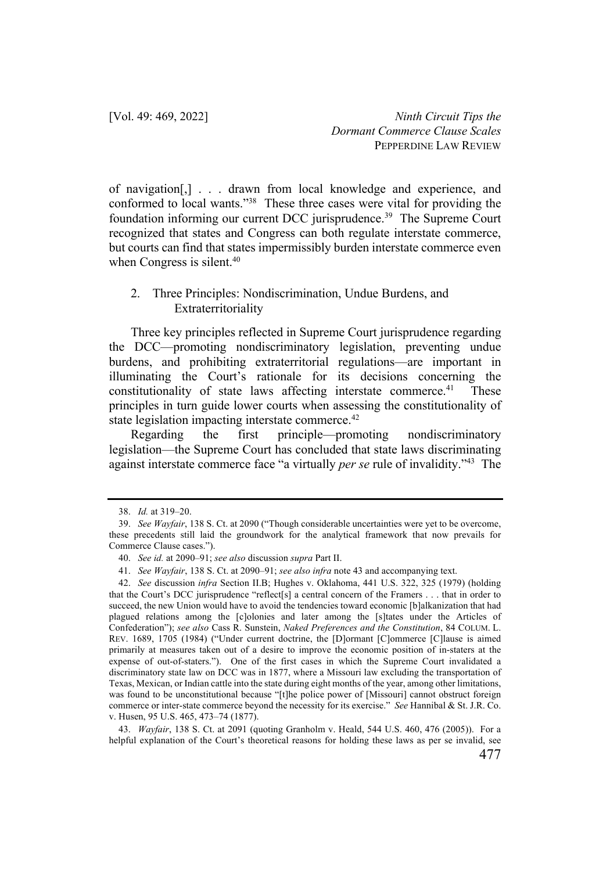of navigation[,] . . . drawn from local knowledge and experience, and conformed to local wants."38 These three cases were vital for providing the foundation informing our current DCC jurisprudence.<sup>39</sup> The Supreme Court recognized that states and Congress can both regulate interstate commerce, but courts can find that states impermissibly burden interstate commerce even when Congress is silent.<sup>40</sup>

## 2. Three Principles: Nondiscrimination, Undue Burdens, and Extraterritoriality

Three key principles reflected in Supreme Court jurisprudence regarding the DCC—promoting nondiscriminatory legislation, preventing undue burdens, and prohibiting extraterritorial regulations—are important in illuminating the Court's rationale for its decisions concerning the constitutionality of state laws affecting interstate commerce.<sup>41</sup> These principles in turn guide lower courts when assessing the constitutionality of state legislation impacting interstate commerce.<sup>42</sup>

Regarding the first principle—promoting nondiscriminatory legislation—the Supreme Court has concluded that state laws discriminating against interstate commerce face "a virtually *per se* rule of invalidity."43 The

43. *Wayfair*, 138 S. Ct. at 2091 (quoting Granholm v. Heald, 544 U.S. 460, 476 (2005)). For a helpful explanation of the Court's theoretical reasons for holding these laws as per se invalid, see

<sup>38.</sup> *Id.* at 319–20.

<sup>39.</sup> *See Wayfair*, 138 S. Ct. at 2090 ("Though considerable uncertainties were yet to be overcome, these precedents still laid the groundwork for the analytical framework that now prevails for Commerce Clause cases.").

<sup>40.</sup> *See id.* at 2090–91; *see also* discussion *supra* Part II.

<sup>41.</sup> *See Wayfair*, 138 S. Ct. at 2090–91; *see also infra* note 43 and accompanying text.

<sup>42.</sup> *See* discussion *infra* Section II.B; Hughes v. Oklahoma, 441 U.S. 322, 325 (1979) (holding that the Court's DCC jurisprudence "reflect[s] a central concern of the Framers . . . that in order to succeed, the new Union would have to avoid the tendencies toward economic [b]alkanization that had plagued relations among the [c]olonies and later among the [s]tates under the Articles of Confederation"); *see also* Cass R. Sunstein, *Naked Preferences and the Constitution*, 84 COLUM. L. REV. 1689, 1705 (1984) ("Under current doctrine, the [D]ormant [C]ommerce [C]lause is aimed primarily at measures taken out of a desire to improve the economic position of in-staters at the expense of out-of-staters."). One of the first cases in which the Supreme Court invalidated a discriminatory state law on DCC was in 1877, where a Missouri law excluding the transportation of Texas, Mexican, or Indian cattle into the state during eight months of the year, among other limitations, was found to be unconstitutional because "[t]he police power of [Missouri] cannot obstruct foreign commerce or inter-state commerce beyond the necessity for its exercise." *See* Hannibal & St. J.R. Co. v. Husen, 95 U.S. 465, 473–74 (1877).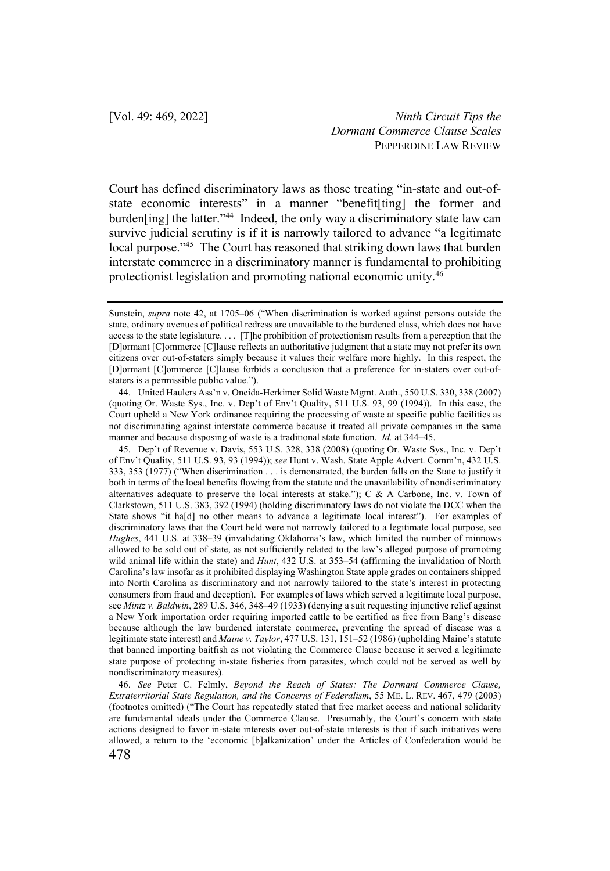Court has defined discriminatory laws as those treating "in-state and out-ofstate economic interests" in a manner "benefit[ting] the former and burden[ing] the latter."<sup>44</sup> Indeed, the only way a discriminatory state law can survive judicial scrutiny is if it is narrowly tailored to advance "a legitimate local purpose."<sup>45</sup> The Court has reasoned that striking down laws that burden interstate commerce in a discriminatory manner is fundamental to prohibiting protectionist legislation and promoting national economic unity.46

44. United Haulers Ass'n v. Oneida-Herkimer Solid Waste Mgmt. Auth., 550 U.S. 330, 338 (2007) (quoting Or. Waste Sys., Inc. v. Dep't of Env't Quality, 511 U.S. 93, 99 (1994)). In this case, the Court upheld a New York ordinance requiring the processing of waste at specific public facilities as not discriminating against interstate commerce because it treated all private companies in the same manner and because disposing of waste is a traditional state function. *Id.* at 344–45.

45. Dep't of Revenue v. Davis, 553 U.S. 328, 338 (2008) (quoting Or. Waste Sys., Inc. v. Dep't of Env't Quality, 511 U.S. 93, 93 (1994)); *see* Hunt v. Wash. State Apple Advert. Comm'n, 432 U.S. 333, 353 (1977) ("When discrimination . . . is demonstrated, the burden falls on the State to justify it both in terms of the local benefits flowing from the statute and the unavailability of nondiscriminatory alternatives adequate to preserve the local interests at stake.");  $C & A$  Carbone, Inc. v. Town of Clarkstown, 511 U.S. 383, 392 (1994) (holding discriminatory laws do not violate the DCC when the State shows "it ha<sup>[d]</sup> no other means to advance a legitimate local interest"). For examples of discriminatory laws that the Court held were not narrowly tailored to a legitimate local purpose, see *Hughes*, 441 U.S. at 338–39 (invalidating Oklahoma's law, which limited the number of minnows allowed to be sold out of state, as not sufficiently related to the law's alleged purpose of promoting wild animal life within the state) and *Hunt*, 432 U.S. at 353–54 (affirming the invalidation of North Carolina's law insofar as it prohibited displaying Washington State apple grades on containers shipped into North Carolina as discriminatory and not narrowly tailored to the state's interest in protecting consumers from fraud and deception). For examples of laws which served a legitimate local purpose, see *Mintz v. Baldwin*, 289 U.S. 346, 348–49 (1933) (denying a suit requesting injunctive relief against a New York importation order requiring imported cattle to be certified as free from Bang's disease because although the law burdened interstate commerce, preventing the spread of disease was a legitimate state interest) and *Maine v. Taylor*, 477 U.S. 131, 151–52 (1986) (upholding Maine's statute that banned importing baitfish as not violating the Commerce Clause because it served a legitimate state purpose of protecting in-state fisheries from parasites, which could not be served as well by nondiscriminatory measures).

478 46. *See* Peter C. Felmly, *Beyond the Reach of States: The Dormant Commerce Clause, Extraterritorial State Regulation, and the Concerns of Federalism*, 55 ME. L. REV. 467, 479 (2003) (footnotes omitted) ("The Court has repeatedly stated that free market access and national solidarity are fundamental ideals under the Commerce Clause. Presumably, the Court's concern with state actions designed to favor in-state interests over out-of-state interests is that if such initiatives were allowed, a return to the 'economic [b]alkanization' under the Articles of Confederation would be

Sunstein, *supra* note 42, at 1705–06 ("When discrimination is worked against persons outside the state, ordinary avenues of political redress are unavailable to the burdened class, which does not have access to the state legislature. . . . [T]he prohibition of protectionism results from a perception that the [D]ormant [C]ommerce [C]lause reflects an authoritative judgment that a state may not prefer its own citizens over out-of-staters simply because it values their welfare more highly. In this respect, the [D]ormant [C]ommerce [C]lause forbids a conclusion that a preference for in-staters over out-ofstaters is a permissible public value.").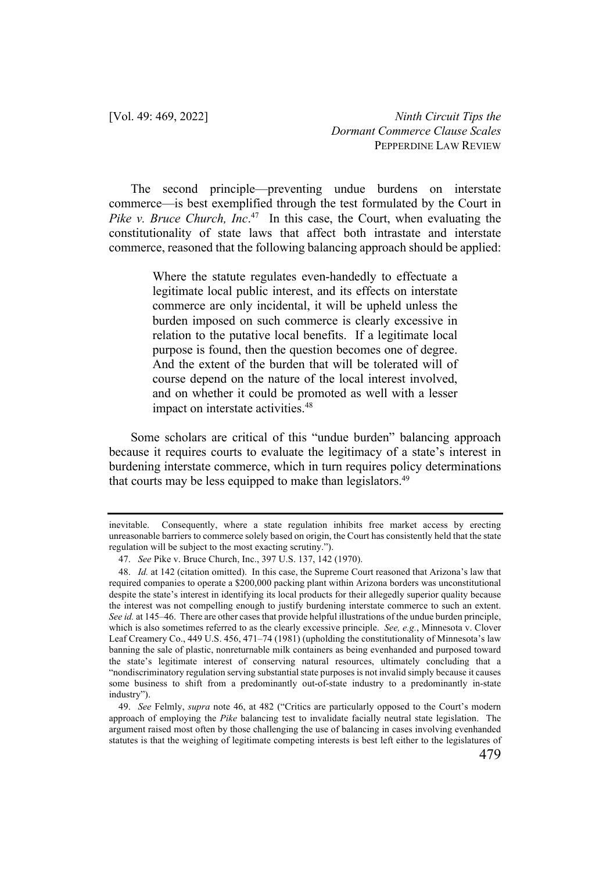The second principle—preventing undue burdens on interstate commerce—is best exemplified through the test formulated by the Court in *Pike v. Bruce Church, Inc.*<sup>47</sup> In this case, the Court, when evaluating the constitutionality of state laws that affect both intrastate and interstate commerce, reasoned that the following balancing approach should be applied:

> Where the statute regulates even-handedly to effectuate a legitimate local public interest, and its effects on interstate commerce are only incidental, it will be upheld unless the burden imposed on such commerce is clearly excessive in relation to the putative local benefits. If a legitimate local purpose is found, then the question becomes one of degree. And the extent of the burden that will be tolerated will of course depend on the nature of the local interest involved, and on whether it could be promoted as well with a lesser impact on interstate activities.<sup>48</sup>

Some scholars are critical of this "undue burden" balancing approach because it requires courts to evaluate the legitimacy of a state's interest in burdening interstate commerce, which in turn requires policy determinations that courts may be less equipped to make than legislators.<sup>49</sup>

inevitable. Consequently, where a state regulation inhibits free market access by erecting unreasonable barriers to commerce solely based on origin, the Court has consistently held that the state regulation will be subject to the most exacting scrutiny.").

<sup>47.</sup> *See* Pike v. Bruce Church, Inc., 397 U.S. 137, 142 (1970).

<sup>48.</sup> *Id.* at 142 (citation omitted). In this case, the Supreme Court reasoned that Arizona's law that required companies to operate a \$200,000 packing plant within Arizona borders was unconstitutional despite the state's interest in identifying its local products for their allegedly superior quality because the interest was not compelling enough to justify burdening interstate commerce to such an extent. *See id.* at 145–46. There are other cases that provide helpful illustrations of the undue burden principle, which is also sometimes referred to as the clearly excessive principle. *See, e.g.*, Minnesota v. Clover Leaf Creamery Co., 449 U.S. 456, 471–74 (1981) (upholding the constitutionality of Minnesota's law banning the sale of plastic, nonreturnable milk containers as being evenhanded and purposed toward the state's legitimate interest of conserving natural resources, ultimately concluding that a "nondiscriminatory regulation serving substantial state purposes is not invalid simply because it causes some business to shift from a predominantly out-of-state industry to a predominantly in-state industry").

<sup>49.</sup> *See* Felmly, *supra* note 46, at 482 ("Critics are particularly opposed to the Court's modern approach of employing the *Pike* balancing test to invalidate facially neutral state legislation. The argument raised most often by those challenging the use of balancing in cases involving evenhanded statutes is that the weighing of legitimate competing interests is best left either to the legislatures of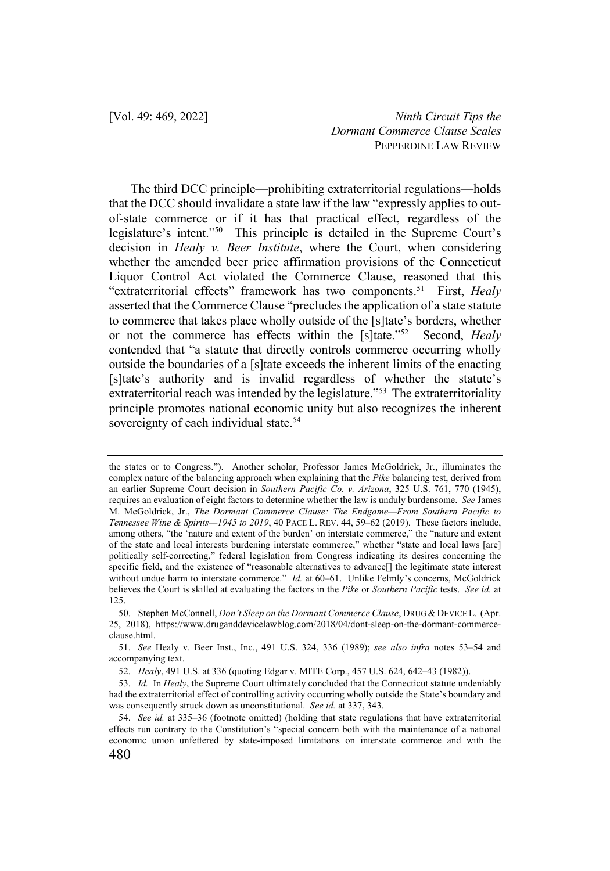The third DCC principle—prohibiting extraterritorial regulations—holds that the DCC should invalidate a state law if the law "expressly applies to outof-state commerce or if it has that practical effect, regardless of the legislature's intent."50 This principle is detailed in the Supreme Court's decision in *Healy v. Beer Institute*, where the Court, when considering whether the amended beer price affirmation provisions of the Connecticut Liquor Control Act violated the Commerce Clause, reasoned that this "extraterritorial effects" framework has two components.51 First, *Healy* asserted that the Commerce Clause "precludes the application of a state statute to commerce that takes place wholly outside of the [s]tate's borders, whether or not the commerce has effects within the [s]tate."52 Second, *Healy* contended that "a statute that directly controls commerce occurring wholly outside the boundaries of a [s]tate exceeds the inherent limits of the enacting [s]tate's authority and is invalid regardless of whether the statute's extraterritorial reach was intended by the legislature."<sup>53</sup> The extraterritoriality principle promotes national economic unity but also recognizes the inherent sovereignty of each individual state.<sup>54</sup>

the states or to Congress."). Another scholar, Professor James McGoldrick, Jr., illuminates the complex nature of the balancing approach when explaining that the *Pike* balancing test, derived from an earlier Supreme Court decision in *Southern Pacific Co. v. Arizona*, 325 U.S. 761, 770 (1945), requires an evaluation of eight factors to determine whether the law is unduly burdensome. *See* James M. McGoldrick, Jr., *The Dormant Commerce Clause: The Endgame—From Southern Pacific to Tennessee Wine & Spirits—1945 to 2019*, 40 PACE L. REV. 44, 59–62 (2019). These factors include, among others, "the 'nature and extent of the burden' on interstate commerce," the "nature and extent of the state and local interests burdening interstate commerce," whether "state and local laws [are] politically self-correcting," federal legislation from Congress indicating its desires concerning the specific field, and the existence of "reasonable alternatives to advance<sup>[]</sup> the legitimate state interest without undue harm to interstate commerce." *Id.* at 60–61. Unlike Felmly's concerns, McGoldrick believes the Court is skilled at evaluating the factors in the *Pike* or *Southern Pacific* tests. *See id.* at 125.

<sup>50.</sup> Stephen McConnell, *Don't Sleep on the Dormant Commerce Clause*, DRUG & DEVICE L. (Apr. 25, 2018), https://www.druganddevicelawblog.com/2018/04/dont-sleep-on-the-dormant-commerceclause.html.

<sup>51.</sup> *See* Healy v. Beer Inst., Inc., 491 U.S. 324, 336 (1989); *see also infra* notes 53–54 and accompanying text.

<sup>52.</sup> *Healy*, 491 U.S. at 336 (quoting Edgar v. MITE Corp., 457 U.S. 624, 642–43 (1982)).

<sup>53.</sup> *Id.* In *Healy*, the Supreme Court ultimately concluded that the Connecticut statute undeniably had the extraterritorial effect of controlling activity occurring wholly outside the State's boundary and was consequently struck down as unconstitutional. *See id.* at 337, 343.

<sup>54.</sup> *See id.* at 335–36 (footnote omitted) (holding that state regulations that have extraterritorial effects run contrary to the Constitution's "special concern both with the maintenance of a national economic union unfettered by state-imposed limitations on interstate commerce and with the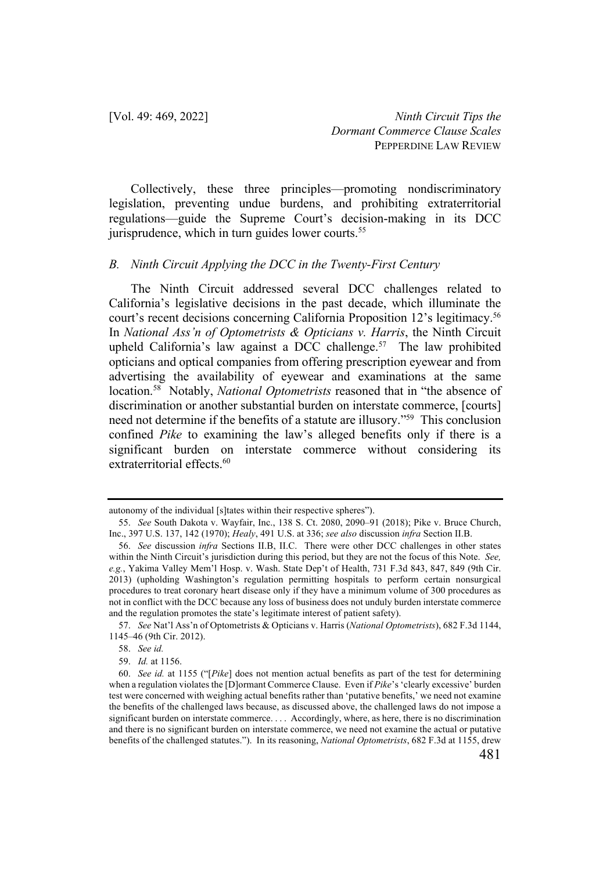Collectively, these three principles—promoting nondiscriminatory legislation, preventing undue burdens, and prohibiting extraterritorial regulations—guide the Supreme Court's decision-making in its DCC jurisprudence, which in turn guides lower courts.<sup>55</sup>

#### *B. Ninth Circuit Applying the DCC in the Twenty-First Century*

The Ninth Circuit addressed several DCC challenges related to California's legislative decisions in the past decade, which illuminate the court's recent decisions concerning California Proposition 12's legitimacy.<sup>56</sup> In *National Ass'n of Optometrists & Opticians v. Harris*, the Ninth Circuit upheld California's law against a DCC challenge.<sup>57</sup> The law prohibited opticians and optical companies from offering prescription eyewear and from advertising the availability of eyewear and examinations at the same location.58 Notably, *National Optometrists* reasoned that in "the absence of discrimination or another substantial burden on interstate commerce, [courts] need not determine if the benefits of a statute are illusory."59 This conclusion confined *Pike* to examining the law's alleged benefits only if there is a significant burden on interstate commerce without considering its extraterritorial effects.<sup>60</sup>

57. *See* Nat'l Ass'n of Optometrists & Opticians v. Harris (*National Optometrists*), 682 F.3d 1144, 1145–46 (9th Cir. 2012).

58. *See id.* 

autonomy of the individual [s]tates within their respective spheres").

<sup>55.</sup> *See* South Dakota v. Wayfair, Inc., 138 S. Ct. 2080, 2090–91 (2018); Pike v. Bruce Church, Inc., 397 U.S. 137, 142 (1970); *Healy*, 491 U.S. at 336; *see also* discussion *infra* Section II.B.

<sup>56.</sup> *See* discussion *infra* Sections II.B, II.C. There were other DCC challenges in other states within the Ninth Circuit's jurisdiction during this period, but they are not the focus of this Note. *See, e.g.*, Yakima Valley Mem'l Hosp. v. Wash. State Dep't of Health, 731 F.3d 843, 847, 849 (9th Cir. 2013) (upholding Washington's regulation permitting hospitals to perform certain nonsurgical procedures to treat coronary heart disease only if they have a minimum volume of 300 procedures as not in conflict with the DCC because any loss of business does not unduly burden interstate commerce and the regulation promotes the state's legitimate interest of patient safety).

<sup>59.</sup> *Id.* at 1156.

<sup>60.</sup> *See id.* at 1155 ("[*Pike*] does not mention actual benefits as part of the test for determining when a regulation violates the [D]ormant Commerce Clause. Even if *Pike*'s 'clearly excessive' burden test were concerned with weighing actual benefits rather than 'putative benefits,' we need not examine the benefits of the challenged laws because, as discussed above, the challenged laws do not impose a significant burden on interstate commerce. . . . Accordingly, where, as here, there is no discrimination and there is no significant burden on interstate commerce, we need not examine the actual or putative benefits of the challenged statutes."). In its reasoning, *National Optometrists*, 682 F.3d at 1155, drew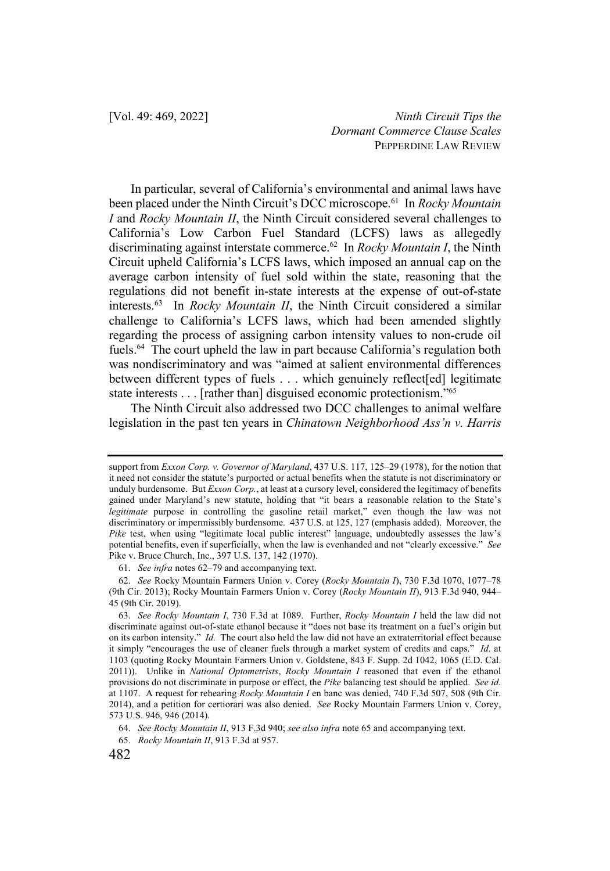In particular, several of California's environmental and animal laws have been placed under the Ninth Circuit's DCC microscope.61 In *Rocky Mountain I* and *Rocky Mountain II*, the Ninth Circuit considered several challenges to California's Low Carbon Fuel Standard (LCFS) laws as allegedly discriminating against interstate commerce.62 In *Rocky Mountain I*, the Ninth Circuit upheld California's LCFS laws, which imposed an annual cap on the average carbon intensity of fuel sold within the state, reasoning that the regulations did not benefit in-state interests at the expense of out-of-state interests.63 In *Rocky Mountain II*, the Ninth Circuit considered a similar challenge to California's LCFS laws, which had been amended slightly regarding the process of assigning carbon intensity values to non-crude oil fuels.64 The court upheld the law in part because California's regulation both was nondiscriminatory and was "aimed at salient environmental differences between different types of fuels . . . which genuinely reflect[ed] legitimate state interests . . . [rather than] disguised economic protectionism."65

The Ninth Circuit also addressed two DCC challenges to animal welfare legislation in the past ten years in *Chinatown Neighborhood Ass'n v. Harris* 

support from *Exxon Corp. v. Governor of Maryland*, 437 U.S. 117, 125–29 (1978), for the notion that it need not consider the statute's purported or actual benefits when the statute is not discriminatory or unduly burdensome. But *Exxon Corp.*, at least at a cursory level, considered the legitimacy of benefits gained under Maryland's new statute, holding that "it bears a reasonable relation to the State's *legitimate* purpose in controlling the gasoline retail market," even though the law was not discriminatory or impermissibly burdensome. 437 U.S. at 125, 127 (emphasis added). Moreover, the *Pike* test, when using "legitimate local public interest" language, undoubtedly assesses the law's potential benefits, even if superficially, when the law is evenhanded and not "clearly excessive." *See*  Pike v. Bruce Church, Inc., 397 U.S. 137, 142 (1970).

<sup>61.</sup> *See infra* notes 62–79 and accompanying text.

<sup>62.</sup> *See* Rocky Mountain Farmers Union v. Corey (*Rocky Mountain I*), 730 F.3d 1070, 1077–78 (9th Cir. 2013); Rocky Mountain Farmers Union v. Corey (*Rocky Mountain II*), 913 F.3d 940, 944– 45 (9th Cir. 2019).

<sup>63.</sup> *See Rocky Mountain I*, 730 F.3d at 1089. Further, *Rocky Mountain I* held the law did not discriminate against out-of-state ethanol because it "does not base its treatment on a fuel's origin but on its carbon intensity." *Id.* The court also held the law did not have an extraterritorial effect because it simply "encourages the use of cleaner fuels through a market system of credits and caps." *Id.* at 1103 (quoting Rocky Mountain Farmers Union v. Goldstene, 843 F. Supp. 2d 1042, 1065 (E.D. Cal. 2011)). Unlike in *National Optometrists*, *Rocky Mountain I* reasoned that even if the ethanol provisions do not discriminate in purpose or effect, the *Pike* balancing test should be applied. *See id.*  at 1107. A request for rehearing *Rocky Mountain I* en banc was denied, 740 F.3d 507, 508 (9th Cir. 2014), and a petition for certiorari was also denied. *See* Rocky Mountain Farmers Union v. Corey, 573 U.S. 946, 946 (2014).

<sup>64.</sup> *See Rocky Mountain II*, 913 F.3d 940; *see also infra* note 65 and accompanying text.

<sup>65.</sup> *Rocky Mountain II*, 913 F.3d at 957.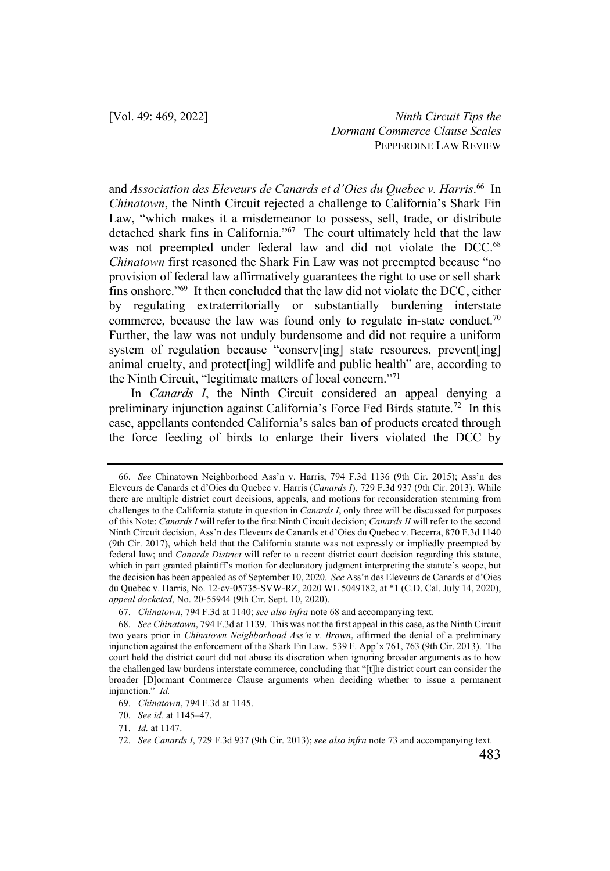and *Association des Eleveurs de Canards et d'Oies du Quebec v. Harris*. 66 In *Chinatown*, the Ninth Circuit rejected a challenge to California's Shark Fin Law, "which makes it a misdemeanor to possess, sell, trade, or distribute detached shark fins in California."67 The court ultimately held that the law was not preempted under federal law and did not violate the DCC. 68 *Chinatown* first reasoned the Shark Fin Law was not preempted because "no provision of federal law affirmatively guarantees the right to use or sell shark fins onshore."69 It then concluded that the law did not violate the DCC, either by regulating extraterritorially or substantially burdening interstate commerce, because the law was found only to regulate in-state conduct.<sup>70</sup> Further, the law was not unduly burdensome and did not require a uniform system of regulation because "conserv[ing] state resources, prevent[ing] animal cruelty, and protect[ing] wildlife and public health" are, according to the Ninth Circuit, "legitimate matters of local concern."71

In *Canards I*, the Ninth Circuit considered an appeal denying a preliminary injunction against California's Force Fed Birds statute.72 In this case, appellants contended California's sales ban of products created through the force feeding of birds to enlarge their livers violated the DCC by

<sup>66.</sup> *See* Chinatown Neighborhood Ass'n v. Harris, 794 F.3d 1136 (9th Cir. 2015); Ass'n des Eleveurs de Canards et d'Oies du Quebec v. Harris (*Canards I*), 729 F.3d 937 (9th Cir. 2013). While there are multiple district court decisions, appeals, and motions for reconsideration stemming from challenges to the California statute in question in *Canards I*, only three will be discussed for purposes of this Note: *Canards I* will refer to the first Ninth Circuit decision; *Canards II* will refer to the second Ninth Circuit decision, Ass'n des Eleveurs de Canards et d'Oies du Quebec v. Becerra, 870 F.3d 1140 (9th Cir. 2017), which held that the California statute was not expressly or impliedly preempted by federal law; and *Canards District* will refer to a recent district court decision regarding this statute, which in part granted plaintiff's motion for declaratory judgment interpreting the statute's scope, but the decision has been appealed as of September 10, 2020. *See* Ass'n des Eleveurs de Canards et d'Oies du Quebec v. Harris, No. 12-cv-05735-SVW-RZ, 2020 WL 5049182, at \*1 (C.D. Cal. July 14, 2020), *appeal docketed*, No. 20-55944 (9th Cir. Sept. 10, 2020).

<sup>67.</sup> *Chinatown*, 794 F.3d at 1140; *see also infra* note 68 and accompanying text.

<sup>68.</sup> *See Chinatown*, 794 F.3d at 1139. This was not the first appeal in this case, as the Ninth Circuit two years prior in *Chinatown Neighborhood Ass'n v. Brown*, affirmed the denial of a preliminary injunction against the enforcement of the Shark Fin Law. 539 F. App'x 761, 763 (9th Cir. 2013). The court held the district court did not abuse its discretion when ignoring broader arguments as to how the challenged law burdens interstate commerce, concluding that "[t]he district court can consider the broader [D]ormant Commerce Clause arguments when deciding whether to issue a permanent injunction." *Id.*

<sup>69.</sup> *Chinatown*, 794 F.3d at 1145.

<sup>70.</sup> *See id.* at 1145–47.

<sup>71.</sup> *Id.* at 1147.

<sup>72.</sup> *See Canards I*, 729 F.3d 937 (9th Cir. 2013); *see also infra* note 73 and accompanying text.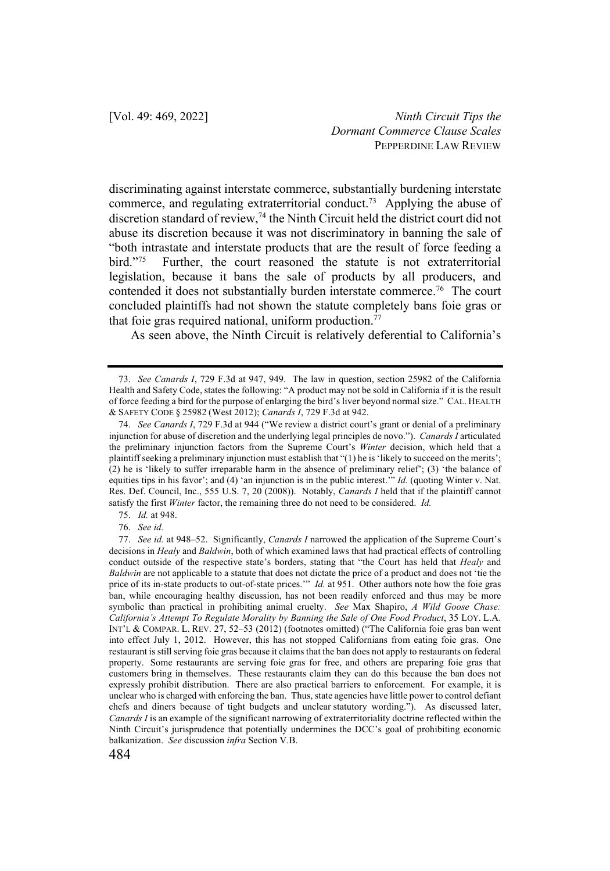discriminating against interstate commerce, substantially burdening interstate commerce, and regulating extraterritorial conduct.73 Applying the abuse of discretion standard of review,<sup>74</sup> the Ninth Circuit held the district court did not abuse its discretion because it was not discriminatory in banning the sale of "both intrastate and interstate products that are the result of force feeding a bird."<sup>75</sup> Further, the court reasoned the statute is not extraterritorial legislation, because it bans the sale of products by all producers, and contended it does not substantially burden interstate commerce.<sup>76</sup> The court concluded plaintiffs had not shown the statute completely bans foie gras or that foie gras required national, uniform production.<sup>77</sup>

As seen above, the Ninth Circuit is relatively deferential to California's

75. *Id.* at 948.

76. *See id.*

<sup>73.</sup> *See Canards I*, 729 F.3d at 947, 949. The law in question, section 25982 of the California Health and Safety Code, states the following: "A product may not be sold in California if it is the result of force feeding a bird for the purpose of enlarging the bird's liver beyond normal size." CAL. HEALTH & SAFETY CODE § 25982 (West 2012); *Canards I*, 729 F.3d at 942.

<sup>74.</sup> *See Canards I*, 729 F.3d at 944 ("We review a district court's grant or denial of a preliminary injunction for abuse of discretion and the underlying legal principles de novo."). *Canards I* articulated the preliminary injunction factors from the Supreme Court's *Winter* decision, which held that a plaintiff seeking a preliminary injunction must establish that "(1) he is 'likely to succeed on the merits'; (2) he is 'likely to suffer irreparable harm in the absence of preliminary relief'; (3) 'the balance of equities tips in his favor'; and (4) 'an injunction is in the public interest." *Id.* (quoting Winter v. Nat. Res. Def. Council, Inc., 555 U.S. 7, 20 (2008)). Notably, *Canards I* held that if the plaintiff cannot satisfy the first *Winter* factor, the remaining three do not need to be considered. *Id.* 

<sup>77.</sup> *See id.* at 948–52. Significantly, *Canards I* narrowed the application of the Supreme Court's decisions in *Healy* and *Baldwin*, both of which examined laws that had practical effects of controlling conduct outside of the respective state's borders, stating that "the Court has held that *Healy* and *Baldwin* are not applicable to a statute that does not dictate the price of a product and does not 'tie the price of its in-state products to out-of-state prices.'" *Id.* at 951. Other authors note how the foie gras ban, while encouraging healthy discussion, has not been readily enforced and thus may be more symbolic than practical in prohibiting animal cruelty. *See* Max Shapiro, *A Wild Goose Chase: California's Attempt To Regulate Morality by Banning the Sale of One Food Product*, 35 LOY. L.A. INT'L & COMPAR. L. REV. 27, 52–53 (2012) (footnotes omitted) ("The California foie gras ban went into effect July 1, 2012. However, this has not stopped Californians from eating foie gras. One restaurant is still serving foie gras because it claims that the ban does not apply to restaurants on federal property. Some restaurants are serving foie gras for free, and others are preparing foie gras that customers bring in themselves. These restaurants claim they can do this because the ban does not expressly prohibit distribution. There are also practical barriers to enforcement. For example, it is unclear who is charged with enforcing the ban. Thus, state agencies have little power to control defiant chefs and diners because of tight budgets and unclear statutory wording."). As discussed later, *Canards I* is an example of the significant narrowing of extraterritoriality doctrine reflected within the Ninth Circuit's jurisprudence that potentially undermines the DCC's goal of prohibiting economic balkanization. *See* discussion *infra* Section V.B.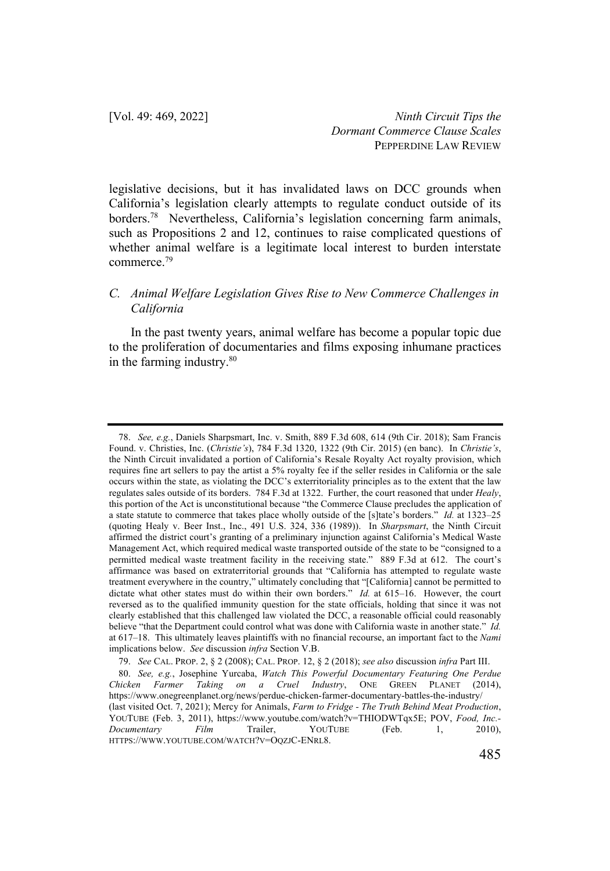legislative decisions, but it has invalidated laws on DCC grounds when California's legislation clearly attempts to regulate conduct outside of its borders.78 Nevertheless, California's legislation concerning farm animals, such as Propositions 2 and 12, continues to raise complicated questions of whether animal welfare is a legitimate local interest to burden interstate commerce.79

## *C. Animal Welfare Legislation Gives Rise to New Commerce Challenges in California*

In the past twenty years, animal welfare has become a popular topic due to the proliferation of documentaries and films exposing inhumane practices in the farming industry.<sup>80</sup>

<sup>78.</sup> *See, e.g.*, Daniels Sharpsmart, Inc. v. Smith, 889 F.3d 608, 614 (9th Cir. 2018); Sam Francis Found. v. Christies, Inc. (*Christie's*), 784 F.3d 1320, 1322 (9th Cir. 2015) (en banc). In *Christie's*, the Ninth Circuit invalidated a portion of California's Resale Royalty Act royalty provision, which requires fine art sellers to pay the artist a 5% royalty fee if the seller resides in California or the sale occurs within the state, as violating the DCC's exterritoriality principles as to the extent that the law regulates sales outside of its borders. 784 F.3d at 1322. Further, the court reasoned that under *Healy*, this portion of the Act is unconstitutional because "the Commerce Clause precludes the application of a state statute to commerce that takes place wholly outside of the [s]tate's borders." *Id.* at 1323–25 (quoting Healy v. Beer Inst., Inc., 491 U.S. 324, 336 (1989)). In *Sharpsmart*, the Ninth Circuit affirmed the district court's granting of a preliminary injunction against California's Medical Waste Management Act, which required medical waste transported outside of the state to be "consigned to a permitted medical waste treatment facility in the receiving state." 889 F.3d at 612. The court's affirmance was based on extraterritorial grounds that "California has attempted to regulate waste treatment everywhere in the country," ultimately concluding that "[California] cannot be permitted to dictate what other states must do within their own borders." *Id.* at 615–16. However, the court reversed as to the qualified immunity question for the state officials, holding that since it was not clearly established that this challenged law violated the DCC, a reasonable official could reasonably believe "that the Department could control what was done with California waste in another state." *Id.*  at 617–18. This ultimately leaves plaintiffs with no financial recourse, an important fact to the *Nami* implications below. *See* discussion *infra* Section V.B.

<sup>79.</sup> *See* CAL. PROP. 2, § 2 (2008); CAL. PROP. 12, § 2 (2018); *see also* discussion *infra* Part III.

<sup>80.</sup> *See, e.g.*, Josephine Yurcaba, *Watch This Powerful Documentary Featuring One Perdue Chicken Farmer Taking on a Cruel Industry*, ONE GREEN PLANET (2014), https://www.onegreenplanet.org/news/perdue-chicken-farmer-documentary-battles-the-industry/ (last visited Oct. 7, 2021); Mercy for Animals, *Farm to Fridge - The Truth Behind Meat Production*, YOUTUBE (Feb. 3, 2011), https://www.youtube.com/watch?v=THIODWTqx5E; POV, *Food, Inc.- Documentary Film* Trailer, YOUTUBE (Feb. 1, 2010), HTTPS://WWW.YOUTUBE.COM/WATCH?V=OQZJC-ENRL8.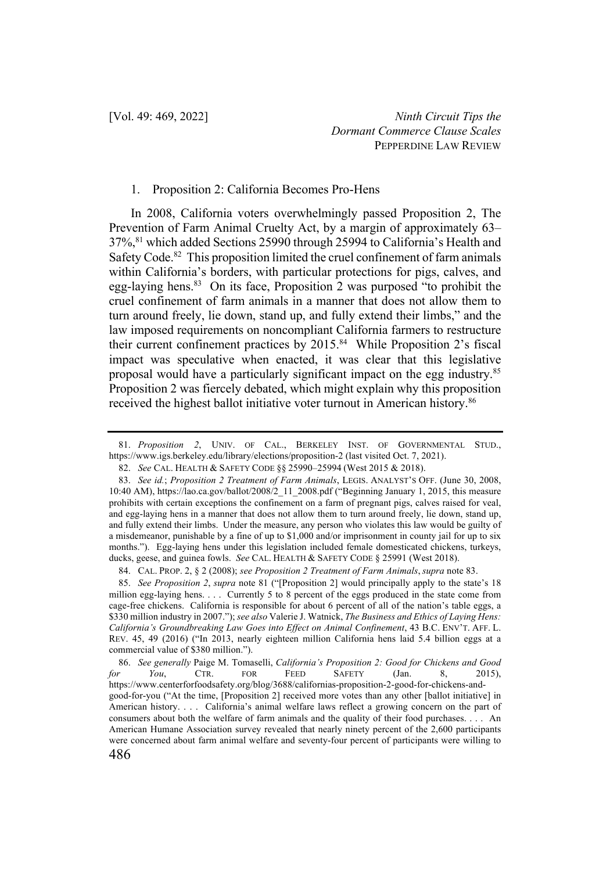#### 1. Proposition 2: California Becomes Pro-Hens

In 2008, California voters overwhelmingly passed Proposition 2, The Prevention of Farm Animal Cruelty Act, by a margin of approximately 63– 37%,81 which added Sections 25990 through 25994 to California's Health and Safety Code.<sup>82</sup> This proposition limited the cruel confinement of farm animals within California's borders, with particular protections for pigs, calves, and egg-laying hens.<sup>83</sup> On its face, Proposition 2 was purposed "to prohibit the cruel confinement of farm animals in a manner that does not allow them to turn around freely, lie down, stand up, and fully extend their limbs," and the law imposed requirements on noncompliant California farmers to restructure their current confinement practices by 2015.<sup>84</sup> While Proposition 2's fiscal impact was speculative when enacted, it was clear that this legislative proposal would have a particularly significant impact on the egg industry.85 Proposition 2 was fiercely debated, which might explain why this proposition received the highest ballot initiative voter turnout in American history.<sup>86</sup>

84. CAL. PROP. 2, § 2 (2008); *see Proposition 2 Treatment of Farm Animals*, *supra* note 83.

85. *See Proposition 2*, *supra* note 81 ("[Proposition 2] would principally apply to the state's 18 million egg-laying hens. . . . Currently 5 to 8 percent of the eggs produced in the state come from cage-free chickens. California is responsible for about 6 percent of all of the nation's table eggs, a \$330 million industry in 2007."); *see also* Valerie J. Watnick, *The Business and Ethics of Laying Hens: California's Groundbreaking Law Goes into Effect on Animal Confinement*, 43 B.C. ENV'T. AFF. L. REV. 45, 49 (2016) ("In 2013, nearly eighteen million California hens laid 5.4 billion eggs at a commercial value of \$380 million.").

<sup>81.</sup> *Proposition 2*, UNIV. OF CAL., BERKELEY INST. OF GOVERNMENTAL STUD., https://www.igs.berkeley.edu/library/elections/proposition-2 (last visited Oct. 7, 2021).

<sup>82.</sup> *See* CAL. HEALTH & SAFETY CODE §§ 25990–25994 (West 2015 & 2018).

<sup>83.</sup> *See id.*; *Proposition 2 Treatment of Farm Animals*, LEGIS. ANALYST'S OFF. (June 30, 2008, 10:40 AM), https://lao.ca.gov/ballot/2008/2\_11\_2008.pdf ("Beginning January 1, 2015, this measure prohibits with certain exceptions the confinement on a farm of pregnant pigs, calves raised for veal, and egg-laying hens in a manner that does not allow them to turn around freely, lie down, stand up, and fully extend their limbs. Under the measure, any person who violates this law would be guilty of a misdemeanor, punishable by a fine of up to \$1,000 and/or imprisonment in county jail for up to six months."). Egg-laying hens under this legislation included female domesticated chickens, turkeys, ducks, geese, and guinea fowls. *See* CAL. HEALTH & SAFETY CODE § 25991 (West 2018).

<sup>86.</sup> *See generally* Paige M. Tomaselli, *California's Proposition 2: Good for Chickens and Good for You*, CTR. FOR FEED SAFETY (Jan. 8, 2015), https://www.centerforfoodsafety.org/blog/3688/californias-proposition-2-good-for-chickens-andgood-for-you ("At the time, [Proposition 2] received more votes than any other [ballot initiative] in American history. . . . California's animal welfare laws reflect a growing concern on the part of consumers about both the welfare of farm animals and the quality of their food purchases. . . . An American Humane Association survey revealed that nearly ninety percent of the 2,600 participants were concerned about farm animal welfare and seventy-four percent of participants were willing to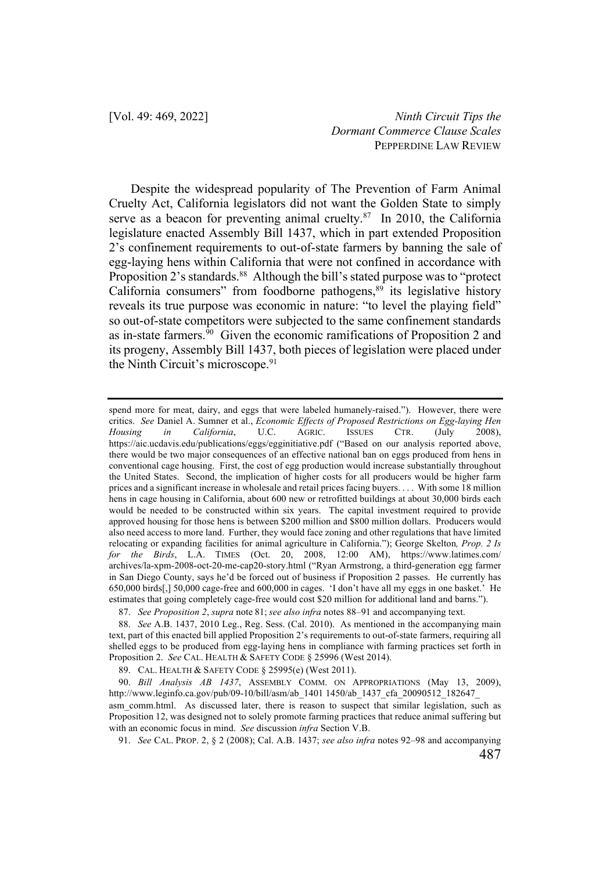Despite the widespread popularity of The Prevention of Farm Animal Cruelty Act, California legislators did not want the Golden State to simply serve as a beacon for preventing animal cruelty. $87$  In 2010, the California legislature enacted Assembly Bill 1437, which in part extended Proposition 2's confinement requirements to out-of-state farmers by banning the sale of egg-laying hens within California that were not confined in accordance with Proposition 2's standards.<sup>88</sup> Although the bill's stated purpose was to "protect" California consumers" from foodborne pathogens, $89$  its legislative history reveals its true purpose was economic in nature: "to level the playing field" so out-of-state competitors were subjected to the same confinement standards as in-state farmers.90 Given the economic ramifications of Proposition 2 and its progeny, Assembly Bill 1437, both pieces of legislation were placed under the Ninth Circuit's microscope.<sup>91</sup>

spend more for meat, dairy, and eggs that were labeled humanely-raised."). However, there were critics. *See* Daniel A. Sumner et al., *Economic Effects of Proposed Restrictions on Egg-laying Hen Housing in California*, U.C. AGRIC. ISSUES CTR. (July 2008), https://aic.ucdavis.edu/publications/eggs/egginitiative.pdf ("Based on our analysis reported above, there would be two major consequences of an effective national ban on eggs produced from hens in conventional cage housing. First, the cost of egg production would increase substantially throughout the United States. Second, the implication of higher costs for all producers would be higher farm prices and a significant increase in wholesale and retail prices facing buyers. . . . With some 18 million hens in cage housing in California, about 600 new or retrofitted buildings at about 30,000 birds each would be needed to be constructed within six years. The capital investment required to provide approved housing for those hens is between \$200 million and \$800 million dollars. Producers would also need access to more land. Further, they would face zoning and other regulations that have limited relocating or expanding facilities for animal agriculture in California."); George Skelton*, Prop. 2 Is for the Birds*, L.A. TIMES (Oct. 20, 2008, 12:00 AM), https://www.latimes.com/ archives/la-xpm-2008-oct-20-me-cap20-story.html ("Ryan Armstrong, a third-generation egg farmer in San Diego County, says he'd be forced out of business if Proposition 2 passes. He currently has 650,000 birds[,] 50,000 cage-free and 600,000 in cages. 'I don't have all my eggs in one basket.' He estimates that going completely cage-free would cost \$20 million for additional land and barns.").

87. *See Proposition 2*, *supra* note 81; *see also infra* notes 88–91 and accompanying text.

88. *See* A.B. 1437, 2010 Leg., Reg. Sess. (Cal. 2010). As mentioned in the accompanying main text, part of this enacted bill applied Proposition 2's requirements to out-of-state farmers, requiring all shelled eggs to be produced from egg-laying hens in compliance with farming practices set forth in Proposition 2. *See* CAL. HEALTH & SAFETY CODE § 25996 (West 2014).

89. CAL. HEALTH & SAFETY CODE § 25995(e) (West 2011).

90. *Bill Analysis AB 1437*, ASSEMBLY COMM. ON APPROPRIATIONS (May 13, 2009), http://www.leginfo.ca.gov/pub/09-10/bill/asm/ab\_1401 1450/ab\_1437\_cfa\_20090512\_182647\_

asm comm.html. As discussed later, there is reason to suspect that similar legislation, such as Proposition 12, was designed not to solely promote farming practices that reduce animal suffering but with an economic focus in mind. *See* discussion *infra* Section V.B.

91. *See* CAL. PROP. 2, § 2 (2008); Cal. A.B. 1437; *see also infra* notes 92–98 and accompanying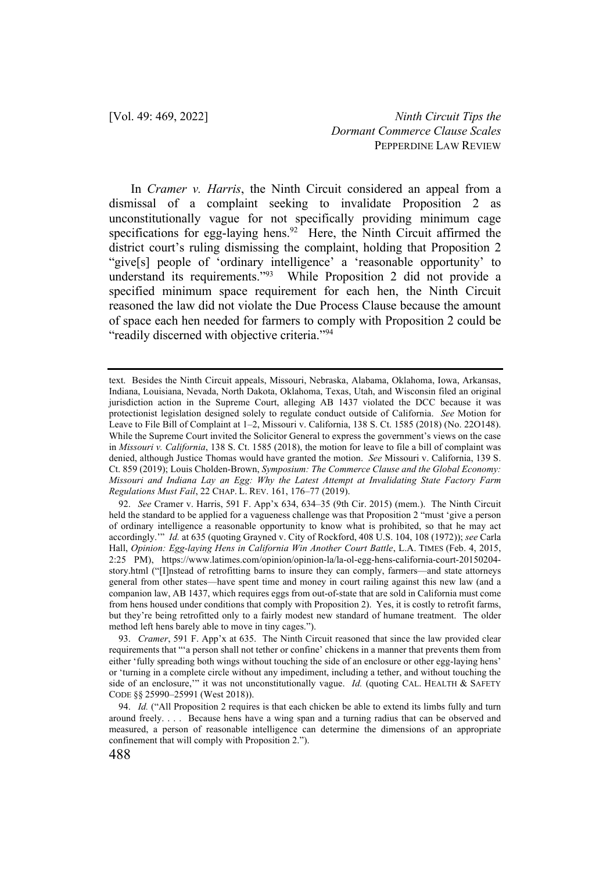In *Cramer v. Harris*, the Ninth Circuit considered an appeal from a dismissal of a complaint seeking to invalidate Proposition 2 as unconstitutionally vague for not specifically providing minimum cage specifications for egg-laying hens.<sup>92</sup> Here, the Ninth Circuit affirmed the district court's ruling dismissing the complaint, holding that Proposition 2 "give[s] people of 'ordinary intelligence' a 'reasonable opportunity' to understand its requirements."93 While Proposition 2 did not provide a specified minimum space requirement for each hen, the Ninth Circuit reasoned the law did not violate the Due Process Clause because the amount of space each hen needed for farmers to comply with Proposition 2 could be "readily discerned with objective criteria."<sup>94</sup>

text. Besides the Ninth Circuit appeals, Missouri, Nebraska, Alabama, Oklahoma, Iowa, Arkansas, Indiana, Louisiana, Nevada, North Dakota, Oklahoma, Texas, Utah, and Wisconsin filed an original jurisdiction action in the Supreme Court, alleging AB 1437 violated the DCC because it was protectionist legislation designed solely to regulate conduct outside of California. *See* Motion for Leave to File Bill of Complaint at 1–2, Missouri v. California, 138 S. Ct. 1585 (2018) (No. 22O148). While the Supreme Court invited the Solicitor General to express the government's views on the case in *Missouri v. California*, 138 S. Ct. 1585 (2018), the motion for leave to file a bill of complaint was denied, although Justice Thomas would have granted the motion. *See* Missouri v. California, 139 S. Ct. 859 (2019); Louis Cholden-Brown, *Symposium: The Commerce Clause and the Global Economy: Missouri and Indiana Lay an Egg: Why the Latest Attempt at Invalidating State Factory Farm Regulations Must Fail*, 22 CHAP. L. REV. 161, 176–77 (2019).

<sup>92.</sup> *See* Cramer v. Harris, 591 F. App'x 634, 634–35 (9th Cir. 2015) (mem.). The Ninth Circuit held the standard to be applied for a vagueness challenge was that Proposition 2 "must 'give a person of ordinary intelligence a reasonable opportunity to know what is prohibited, so that he may act accordingly.'" *Id.* at 635 (quoting Grayned v. City of Rockford, 408 U.S. 104, 108 (1972)); *see* Carla Hall, *Opinion: Egg-laying Hens in California Win Another Court Battle*, L.A. TIMES (Feb. 4, 2015, 2:25 PM), https://www.latimes.com/opinion/opinion-la/la-ol-egg-hens-california-court-20150204 story.html ("[I]nstead of retrofitting barns to insure they can comply, farmers—and state attorneys general from other states—have spent time and money in court railing against this new law (and a companion law, AB 1437, which requires eggs from out-of-state that are sold in California must come from hens housed under conditions that comply with Proposition 2). Yes, it is costly to retrofit farms, but they're being retrofitted only to a fairly modest new standard of humane treatment. The older method left hens barely able to move in tiny cages.").

<sup>93.</sup> *Cramer*, 591 F. App'x at 635.The Ninth Circuit reasoned that since the law provided clear requirements that "'a person shall not tether or confine' chickens in a manner that prevents them from either 'fully spreading both wings without touching the side of an enclosure or other egg-laying hens' or 'turning in a complete circle without any impediment, including a tether, and without touching the side of an enclosure,"" it was not unconstitutionally vague. *Id.* (quoting CAL. HEALTH & SAFETY CODE §§ 25990–25991 (West 2018)).

<sup>94.</sup> *Id.* ("All Proposition 2 requires is that each chicken be able to extend its limbs fully and turn around freely. . . . Because hens have a wing span and a turning radius that can be observed and measured, a person of reasonable intelligence can determine the dimensions of an appropriate confinement that will comply with Proposition 2.").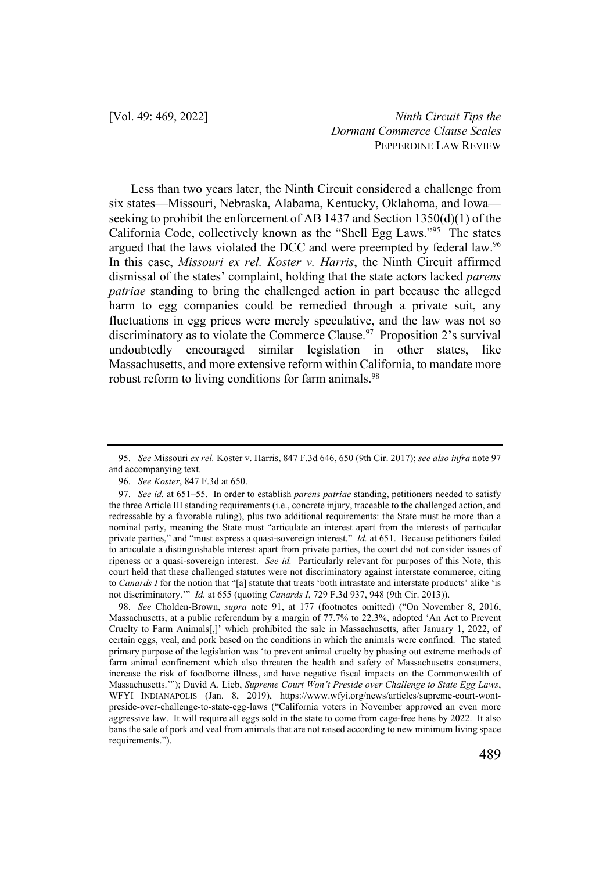Less than two years later, the Ninth Circuit considered a challenge from six states—Missouri, Nebraska, Alabama, Kentucky, Oklahoma, and Iowa seeking to prohibit the enforcement of AB 1437 and Section 1350(d)(1) of the California Code, collectively known as the "Shell Egg Laws."95 The states argued that the laws violated the DCC and were preempted by federal law.<sup>96</sup> In this case, *Missouri ex rel. Koster v. Harris*, the Ninth Circuit affirmed dismissal of the states' complaint, holding that the state actors lacked *parens patriae* standing to bring the challenged action in part because the alleged harm to egg companies could be remedied through a private suit, any fluctuations in egg prices were merely speculative, and the law was not so discriminatory as to violate the Commerce Clause.<sup>97</sup> Proposition 2's survival undoubtedly encouraged similar legislation in other states, like Massachusetts, and more extensive reform within California, to mandate more robust reform to living conditions for farm animals.<sup>98</sup>

98. *See* Cholden-Brown, *supra* note 91, at 177 (footnotes omitted) ("On November 8, 2016, Massachusetts, at a public referendum by a margin of 77.7% to 22.3%, adopted 'An Act to Prevent Cruelty to Farm Animals[,]' which prohibited the sale in Massachusetts, after January 1, 2022, of certain eggs, veal, and pork based on the conditions in which the animals were confined. The stated primary purpose of the legislation was 'to prevent animal cruelty by phasing out extreme methods of farm animal confinement which also threaten the health and safety of Massachusetts consumers, increase the risk of foodborne illness, and have negative fiscal impacts on the Commonwealth of Massachusetts.'"); David A. Lieb, *Supreme Court Won't Preside over Challenge to State Egg Laws*, WFYI INDIANAPOLIS (Jan. 8, 2019), https://www.wfyi.org/news/articles/supreme-court-wontpreside-over-challenge-to-state-egg-laws ("California voters in November approved an even more aggressive law. It will require all eggs sold in the state to come from cage-free hens by 2022. It also bans the sale of pork and veal from animals that are not raised according to new minimum living space requirements.").

<sup>95.</sup> *See* Missouri *ex rel.* Koster v. Harris, 847 F.3d 646, 650 (9th Cir. 2017); *see also infra* note 97 and accompanying text.

<sup>96.</sup> *See Koster*, 847 F.3d at 650.

<sup>97.</sup> *See id.* at 651–55. In order to establish *parens patriae* standing, petitioners needed to satisfy the three Article III standing requirements (i.e., concrete injury, traceable to the challenged action, and redressable by a favorable ruling), plus two additional requirements: the State must be more than a nominal party, meaning the State must "articulate an interest apart from the interests of particular private parties," and "must express a quasi-sovereign interest." *Id.* at 651. Because petitioners failed to articulate a distinguishable interest apart from private parties, the court did not consider issues of ripeness or a quasi-sovereign interest. *See id.* Particularly relevant for purposes of this Note, this court held that these challenged statutes were not discriminatory against interstate commerce, citing to *Canards I* for the notion that "[a] statute that treats 'both intrastate and interstate products' alike 'is not discriminatory.'" *Id.* at 655 (quoting *Canards I*, 729 F.3d 937, 948 (9th Cir. 2013)).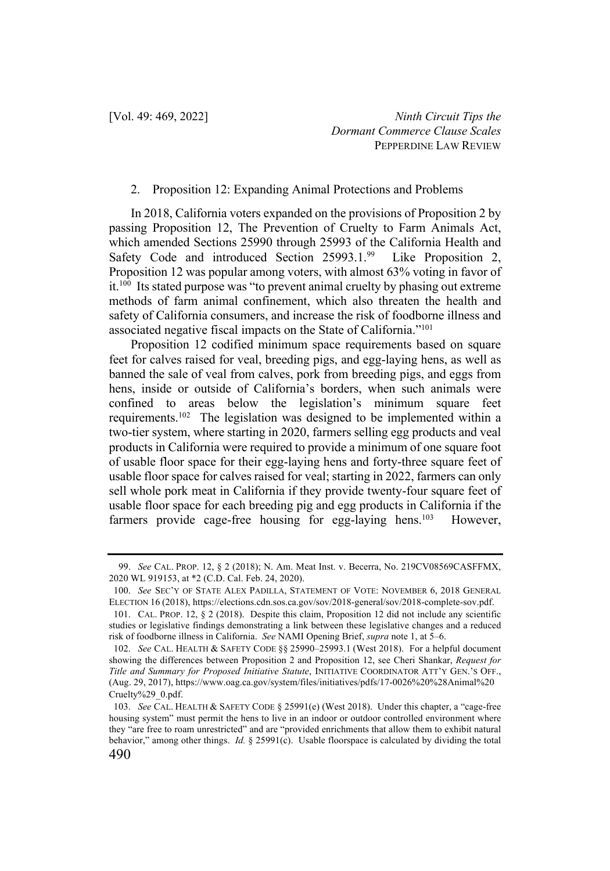#### 2. Proposition 12: Expanding Animal Protections and Problems

In 2018, California voters expanded on the provisions of Proposition 2 by passing Proposition 12, The Prevention of Cruelty to Farm Animals Act, which amended Sections 25990 through 25993 of the California Health and Safety Code and introduced Section 25993.1.99 Like Proposition 2, Proposition 12 was popular among voters, with almost 63% voting in favor of it.100 Its stated purpose was "to prevent animal cruelty by phasing out extreme methods of farm animal confinement, which also threaten the health and safety of California consumers, and increase the risk of foodborne illness and associated negative fiscal impacts on the State of California."101

Proposition 12 codified minimum space requirements based on square feet for calves raised for veal, breeding pigs, and egg-laying hens, as well as banned the sale of veal from calves, pork from breeding pigs, and eggs from hens, inside or outside of California's borders, when such animals were confined to areas below the legislation's minimum square feet requirements.102 The legislation was designed to be implemented within a two-tier system, where starting in 2020, farmers selling egg products and veal products in California were required to provide a minimum of one square foot of usable floor space for their egg-laying hens and forty-three square feet of usable floor space for calves raised for veal; starting in 2022, farmers can only sell whole pork meat in California if they provide twenty-four square feet of usable floor space for each breeding pig and egg products in California if the farmers provide cage-free housing for egg-laying hens.<sup>103</sup> However,

<sup>99.</sup> *See* CAL. PROP. 12, § 2 (2018); N. Am. Meat Inst. v. Becerra, No. 219CV08569CASFFMX, 2020 WL 919153, at \*2 (C.D. Cal. Feb. 24, 2020).

<sup>100.</sup> *See* SEC'Y OF STATE ALEX PADILLA, STATEMENT OF VOTE: NOVEMBER 6, 2018 GENERAL ELECTION 16 (2018), https://elections.cdn.sos.ca.gov/sov/2018-general/sov/2018-complete-sov.pdf.

<sup>101.</sup> CAL. PROP. 12, § 2 (2018). Despite this claim, Proposition 12 did not include any scientific studies or legislative findings demonstrating a link between these legislative changes and a reduced risk of foodborne illness in California. *See* NAMI Opening Brief, *supra* note 1, at 5–6.

<sup>102.</sup> *See* CAL. HEALTH & SAFETY CODE §§ 25990–25993.1 (West 2018). For a helpful document showing the differences between Proposition 2 and Proposition 12, see Cheri Shankar, *Request for Title and Summary for Proposed Initiative Statute*, INITIATIVE COORDINATOR ATT'Y GEN.'S OFF., (Aug. 29, 2017), https://www.oag.ca.gov/system/files/initiatives/pdfs/17-0026%20%28Animal%20 Cruelty%29\_0.pdf.

<sup>490</sup> 103. *See* CAL. HEALTH & SAFETY CODE § 25991(e) (West 2018). Under this chapter, a "cage-free housing system" must permit the hens to live in an indoor or outdoor controlled environment where they "are free to roam unrestricted" and are "provided enrichments that allow them to exhibit natural behavior," among other things. *Id.* § 25991(c). Usable floorspace is calculated by dividing the total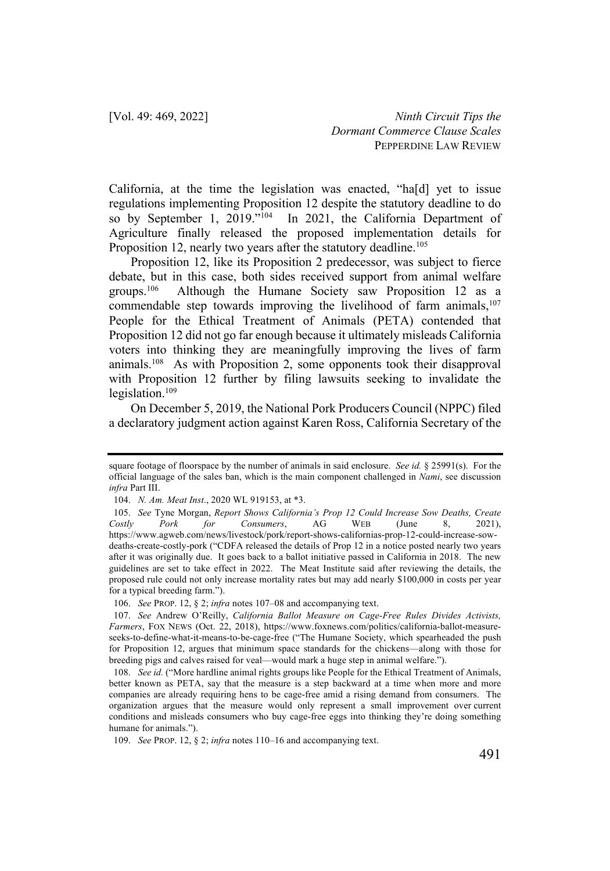California, at the time the legislation was enacted, "ha[d] yet to issue regulations implementing Proposition 12 despite the statutory deadline to do so by September 1, 2019."104 In 2021, the California Department of Agriculture finally released the proposed implementation details for Proposition 12, nearly two years after the statutory deadline.<sup>105</sup>

Proposition 12, like its Proposition 2 predecessor, was subject to fierce debate, but in this case, both sides received support from animal welfare groups.106 Although the Humane Society saw Proposition 12 as a commendable step towards improving the livelihood of farm animals, $107$ People for the Ethical Treatment of Animals (PETA) contended that Proposition 12 did not go far enough because it ultimately misleads California voters into thinking they are meaningfully improving the lives of farm animals.108 As with Proposition 2, some opponents took their disapproval with Proposition 12 further by filing lawsuits seeking to invalidate the legislation. $109$ 

On December 5, 2019, the National Pork Producers Council (NPPC) filed a declaratory judgment action against Karen Ross, California Secretary of the

square footage of floorspace by the number of animals in said enclosure. *See id.* § 25991(s). For the official language of the sales ban, which is the main component challenged in *Nami*, see discussion *infra* Part III.

<sup>104.</sup> *N. Am. Meat Inst*., 2020 WL 919153, at \*3.

<sup>105.</sup> *See* Tyne Morgan, *Report Shows California's Prop 12 Could Increase Sow Deaths, Create Costly Pork for Consumers*, AG WEB (June 8, 2021), https://www.agweb.com/news/livestock/pork/report-shows-californias-prop-12-could-increase-sowdeaths-create-costly-pork ("CDFA released the details of Prop 12 in a notice posted nearly two years after it was originally due. It goes back to a ballot initiative passed in California in 2018. The new guidelines are set to take effect in 2022. The Meat Institute said after reviewing the details, the proposed rule could not only increase mortality rates but may add nearly \$100,000 in costs per year for a typical breeding farm.").

<sup>106.</sup> *See* PROP. 12, § 2; *infra* notes 107–08 and accompanying text.

<sup>107.</sup> *See* Andrew O'Reilly, *California Ballot Measure on Cage-Free Rules Divides Activists, Farmers*, FOX NEWS (Oct. 22, 2018), https://www.foxnews.com/politics/california-ballot-measureseeks-to-define-what-it-means-to-be-cage-free ("The Humane Society, which spearheaded the push for Proposition 12, argues that minimum space standards for the chickens—along with those for breeding pigs and calves raised for veal—would mark a huge step in animal welfare.").

<sup>108.</sup> *See id.* ("More hardline animal rights groups like People for the Ethical Treatment of Animals, better known as PETA, say that the measure is a step backward at a time when more and more companies are already requiring hens to be cage-free amid a rising demand from consumers. The organization argues that the measure would only represent a small improvement over current conditions and misleads consumers who buy cage-free eggs into thinking they're doing something humane for animals.").

<sup>109.</sup> *See* PROP. 12, § 2; *infra* notes 110–16 and accompanying text.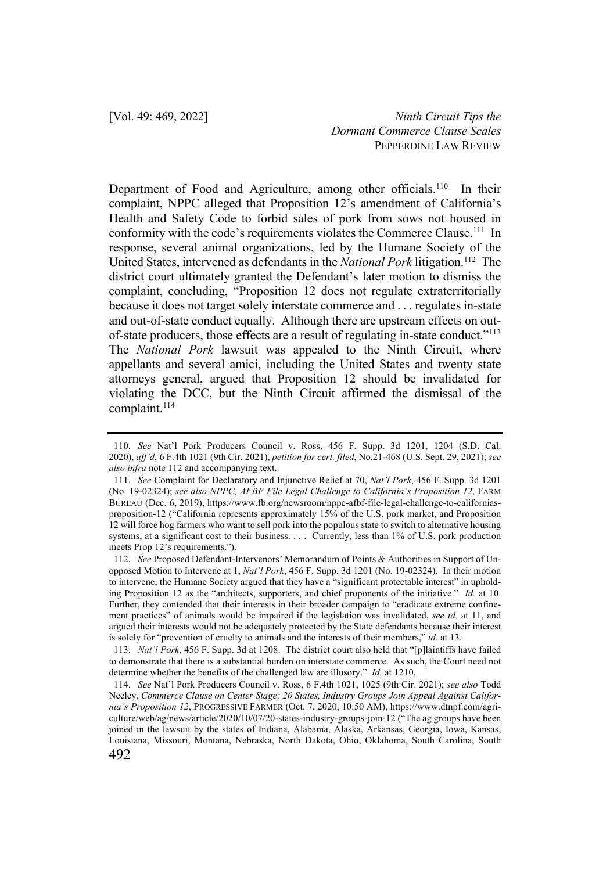Department of Food and Agriculture, among other officials.<sup>110</sup> In their complaint, NPPC alleged that Proposition 12's amendment of California's Health and Safety Code to forbid sales of pork from sows not housed in conformity with the code's requirements violates the Commerce Clause.<sup>111</sup> In response, several animal organizations, led by the Humane Society of the United States, intervened as defendants in the *National Pork* litigation.<sup>112</sup> The district court ultimately granted the Defendant's later motion to dismiss the complaint, concluding, "Proposition 12 does not regulate extraterritorially because it does not target solely interstate commerce and . . . regulates in-state and out-of-state conduct equally. Although there are upstream effects on outof-state producers, those effects are a result of regulating in-state conduct."113 The *National Pork* lawsuit was appealed to the Ninth Circuit, where appellants and several amici, including the United States and twenty state attorneys general, argued that Proposition 12 should be invalidated for violating the DCC, but the Ninth Circuit affirmed the dismissal of the complaint.114

113. *Nat'l Pork*, 456 F. Supp. 3d at 1208. The district court also held that "[p]laintiffs have failed to demonstrate that there is a substantial burden on interstate commerce. As such, the Court need not determine whether the benefits of the challenged law are illusory." *Id.* at 1210.

<sup>110.</sup> *See* Nat'l Pork Producers Council v. Ross, 456 F. Supp. 3d 1201, 1204 (S.D. Cal. 2020), *aff'd*, 6 F.4th 1021 (9th Cir. 2021), *petition for cert. filed*, No.21-468 (U.S. Sept. 29, 2021); *see also infra* note 112 and accompanying text.

<sup>111.</sup> *See* Complaint for Declaratory and Injunctive Relief at 70, *Nat'l Pork*, 456 F. Supp. 3d 1201 (No. 19-02324); *see also NPPC, AFBF File Legal Challenge to California's Proposition 12*, FARM BUREAU (Dec. 6, 2019), https://www.fb.org/newsroom/nppc-afbf-file-legal-challenge-to-californiasproposition-12 ("California represents approximately 15% of the U.S. pork market, and Proposition 12 will force hog farmers who want to sell pork into the populous state to switch to alternative housing systems, at a significant cost to their business. . . . Currently, less than 1% of U.S. pork production meets Prop 12's requirements.").

<sup>112.</sup> *See* Proposed Defendant-Intervenors' Memorandum of Points & Authorities in Support of Unopposed Motion to Intervene at 1, *Nat'l Pork*, 456 F. Supp. 3d 1201 (No. 19-02324). In their motion to intervene, the Humane Society argued that they have a "significant protectable interest" in upholding Proposition 12 as the "architects, supporters, and chief proponents of the initiative." *Id.* at 10. Further, they contended that their interests in their broader campaign to "eradicate extreme confinement practices" of animals would be impaired if the legislation was invalidated, *see id.* at 11, and argued their interests would not be adequately protected by the State defendants because their interest is solely for "prevention of cruelty to animals and the interests of their members," *id.* at 13.

<sup>492</sup> 114. *See* Nat'l Pork Producers Council v. Ross, 6 F.4th 1021, 1025 (9th Cir. 2021); *see also* Todd Neeley, *Commerce Clause on Center Stage: 20 States, Industry Groups Join Appeal Against California's Proposition 12*, PROGRESSIVE FARMER (Oct. 7, 2020, 10:50 AM), https://www.dtnpf.com/agriculture/web/ag/news/article/2020/10/07/20-states-industry-groups-join-12 ("The ag groups have been joined in the lawsuit by the states of Indiana, Alabama, Alaska, Arkansas, Georgia, Iowa, Kansas, Louisiana, Missouri, Montana, Nebraska, North Dakota, Ohio, Oklahoma, South Carolina, South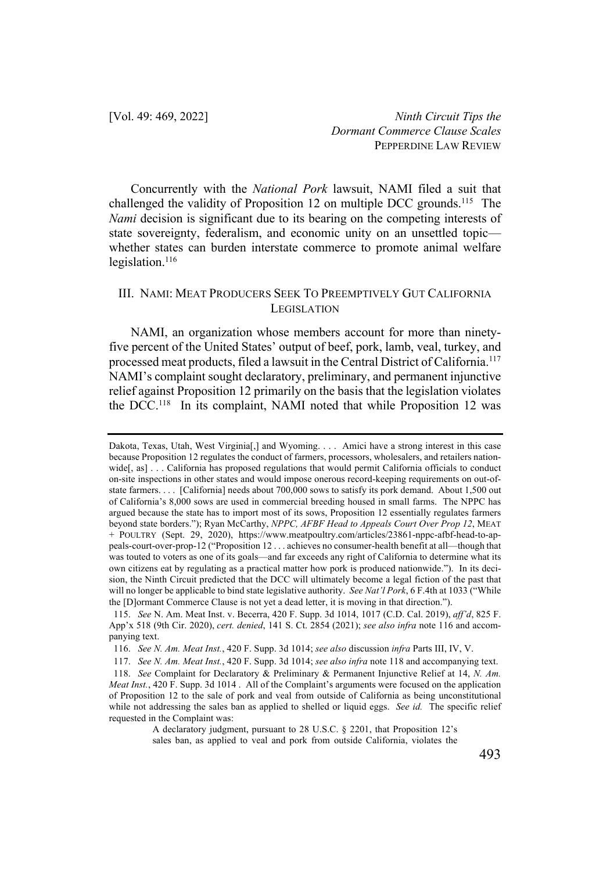Concurrently with the *National Pork* lawsuit, NAMI filed a suit that challenged the validity of Proposition 12 on multiple DCC grounds.<sup>115</sup> The *Nami* decision is significant due to its bearing on the competing interests of state sovereignty, federalism, and economic unity on an unsettled topic whether states can burden interstate commerce to promote animal welfare legislation.<sup>116</sup>

## III. NAMI: MEAT PRODUCERS SEEK TO PREEMPTIVELY GUT CALIFORNIA LEGISLATION

NAMI, an organization whose members account for more than ninetyfive percent of the United States' output of beef, pork, lamb, veal, turkey, and processed meat products, filed a lawsuit in the Central District of California.117 NAMI's complaint sought declaratory, preliminary, and permanent injunctive relief against Proposition 12 primarily on the basis that the legislation violates the DCC. 118 In its complaint, NAMI noted that while Proposition 12 was

Dakota, Texas, Utah, West Virginia[,] and Wyoming. . . . Amici have a strong interest in this case because Proposition 12 regulates the conduct of farmers, processors, wholesalers, and retailers nationwide[, as] . . . California has proposed regulations that would permit California officials to conduct on-site inspections in other states and would impose onerous record-keeping requirements on out-ofstate farmers. . . . [California] needs about 700,000 sows to satisfy its pork demand. About 1,500 out of California's 8,000 sows are used in commercial breeding housed in small farms. The NPPC has argued because the state has to import most of its sows, Proposition 12 essentially regulates farmers beyond state borders."); Ryan McCarthy, *NPPC, AFBF Head to Appeals Court Over Prop 12*, MEAT + POULTRY (Sept. 29, 2020), https://www.meatpoultry.com/articles/23861-nppc-afbf-head-to-appeals-court-over-prop-12 ("Proposition 12 . . . achieves no consumer-health benefit at all—though that was touted to voters as one of its goals—and far exceeds any right of California to determine what its own citizens eat by regulating as a practical matter how pork is produced nationwide."). In its decision, the Ninth Circuit predicted that the DCC will ultimately become a legal fiction of the past that will no longer be applicable to bind state legislative authority. *See Nat'l Pork*, 6 F.4th at 1033 ("While the [D]ormant Commerce Clause is not yet a dead letter, it is moving in that direction.").

<sup>115.</sup> *See* N. Am. Meat Inst. v. Becerra, 420 F. Supp. 3d 1014, 1017 (C.D. Cal. 2019), *aff'd*, 825 F. App'x 518 (9th Cir. 2020), *cert. denied*, 141 S. Ct. 2854 (2021); *see also infra* note 116 and accompanying text.

<sup>116.</sup> *See N. Am. Meat Inst.*, 420 F. Supp. 3d 1014; *see also* discussion *infra* Parts III, IV, V.

<sup>117.</sup> *See N. Am. Meat Inst.*, 420 F. Supp. 3d 1014; *see also infra* note 118 and accompanying text.

<sup>118.</sup> *See* Complaint for Declaratory & Preliminary & Permanent Injunctive Relief at 14, *N. Am. Meat Inst.*, 420 F. Supp. 3d 1014 . All of the Complaint's arguments were focused on the application of Proposition 12 to the sale of pork and veal from outside of California as being unconstitutional while not addressing the sales ban as applied to shelled or liquid eggs. *See id.* The specific relief requested in the Complaint was:

A declaratory judgment, pursuant to 28 U.S.C. § 2201, that Proposition 12's sales ban, as applied to veal and pork from outside California, violates the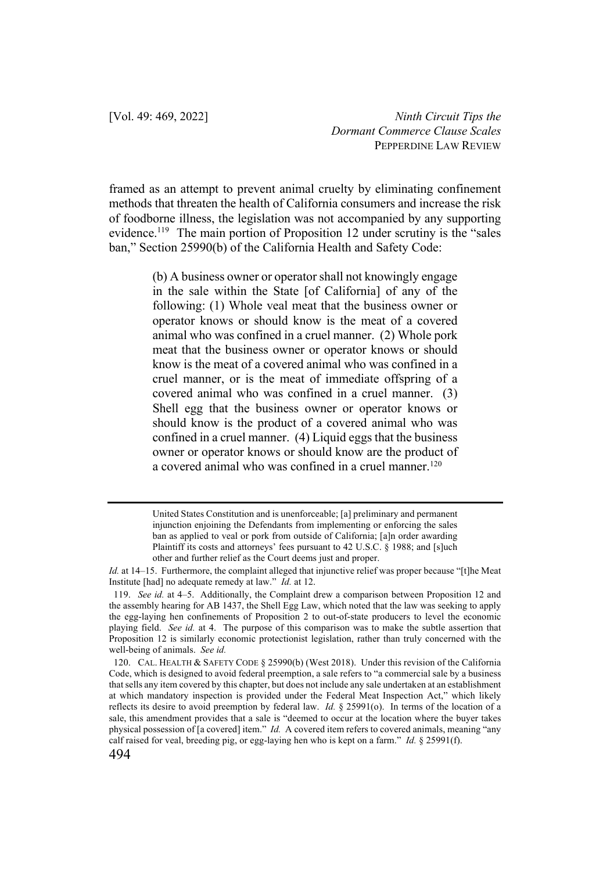framed as an attempt to prevent animal cruelty by eliminating confinement methods that threaten the health of California consumers and increase the risk of foodborne illness, the legislation was not accompanied by any supporting evidence.<sup>119</sup> The main portion of Proposition 12 under scrutiny is the "sales" ban," Section 25990(b) of the California Health and Safety Code:

> (b) A business owner or operator shall not knowingly engage in the sale within the State [of California] of any of the following: (1) Whole veal meat that the business owner or operator knows or should know is the meat of a covered animal who was confined in a cruel manner. (2) Whole pork meat that the business owner or operator knows or should know is the meat of a covered animal who was confined in a cruel manner, or is the meat of immediate offspring of a covered animal who was confined in a cruel manner. (3) Shell egg that the business owner or operator knows or should know is the product of a covered animal who was confined in a cruel manner. (4) Liquid eggs that the business owner or operator knows or should know are the product of a covered animal who was confined in a cruel manner.<sup>120</sup>

United States Constitution and is unenforceable; [a] preliminary and permanent injunction enjoining the Defendants from implementing or enforcing the sales ban as applied to veal or pork from outside of California; [a]n order awarding Plaintiff its costs and attorneys' fees pursuant to 42 U.S.C. § 1988; and [s]uch other and further relief as the Court deems just and proper.

*Id.* at 14–15. Furthermore, the complaint alleged that injunctive relief was proper because "[t]he Meat Institute [had] no adequate remedy at law." *Id.* at 12.

<sup>119.</sup> *See id.* at 4–5. Additionally, the Complaint drew a comparison between Proposition 12 and the assembly hearing for AB 1437, the Shell Egg Law, which noted that the law was seeking to apply the egg-laying hen confinements of Proposition 2 to out-of-state producers to level the economic playing field. *See id.* at 4. The purpose of this comparison was to make the subtle assertion that Proposition 12 is similarly economic protectionist legislation, rather than truly concerned with the well-being of animals. *See id.*

<sup>120.</sup> CAL. HEALTH & SAFETY CODE § 25990(b) (West 2018). Under this revision of the California Code, which is designed to avoid federal preemption, a sale refers to "a commercial sale by a business that sells any item covered by this chapter, but does not include any sale undertaken at an establishment at which mandatory inspection is provided under the Federal Meat Inspection Act," which likely reflects its desire to avoid preemption by federal law. *Id.* § 25991(o). In terms of the location of a sale, this amendment provides that a sale is "deemed to occur at the location where the buyer takes physical possession of [a covered] item." *Id.* A covered item refers to covered animals, meaning "any calf raised for veal, breeding pig, or egg-laying hen who is kept on a farm." *Id.* § 25991(f).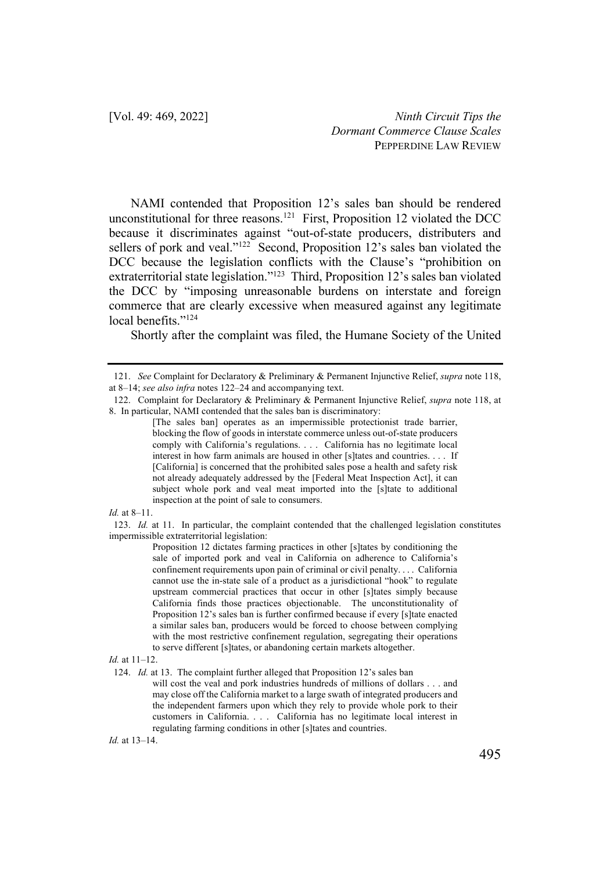NAMI contended that Proposition 12's sales ban should be rendered unconstitutional for three reasons.<sup>121</sup> First, Proposition 12 violated the DCC because it discriminates against "out-of-state producers, distributers and sellers of pork and veal."<sup>122</sup> Second, Proposition 12's sales ban violated the DCC because the legislation conflicts with the Clause's "prohibition on extraterritorial state legislation."123 Third, Proposition 12's sales ban violated the DCC by "imposing unreasonable burdens on interstate and foreign commerce that are clearly excessive when measured against any legitimate local benefits."<sup>124</sup>

Shortly after the complaint was filed, the Humane Society of the United

*Id.* at 8–11.

123. *Id.* at 11. In particular, the complaint contended that the challenged legislation constitutes impermissible extraterritorial legislation:

*Id.* at 13–14.

<sup>121.</sup> *See* Complaint for Declaratory & Preliminary & Permanent Injunctive Relief, *supra* note 118, at 8–14; *see also infra* notes 122–24 and accompanying text.

<sup>122.</sup> Complaint for Declaratory & Preliminary & Permanent Injunctive Relief, *supra* note 118, at 8. In particular, NAMI contended that the sales ban is discriminatory:

<sup>[</sup>The sales ban] operates as an impermissible protectionist trade barrier, blocking the flow of goods in interstate commerce unless out-of-state producers comply with California's regulations. . . . California has no legitimate local interest in how farm animals are housed in other [s]tates and countries. . . . If [California] is concerned that the prohibited sales pose a health and safety risk not already adequately addressed by the [Federal Meat Inspection Act], it can subject whole pork and veal meat imported into the [s]tate to additional inspection at the point of sale to consumers.

Proposition 12 dictates farming practices in other [s]tates by conditioning the sale of imported pork and veal in California on adherence to California's confinement requirements upon pain of criminal or civil penalty. . . . California cannot use the in-state sale of a product as a jurisdictional "hook" to regulate upstream commercial practices that occur in other [s]tates simply because California finds those practices objectionable. The unconstitutionality of Proposition 12's sales ban is further confirmed because if every [s]tate enacted a similar sales ban, producers would be forced to choose between complying with the most restrictive confinement regulation, segregating their operations to serve different [s]tates, or abandoning certain markets altogether.

*Id.* at 11–12.

<sup>124.</sup> *Id.* at 13. The complaint further alleged that Proposition 12's sales ban

will cost the veal and pork industries hundreds of millions of dollars . . . and may close off the California market to a large swath of integrated producers and the independent farmers upon which they rely to provide whole pork to their customers in California. . . . California has no legitimate local interest in regulating farming conditions in other [s]tates and countries.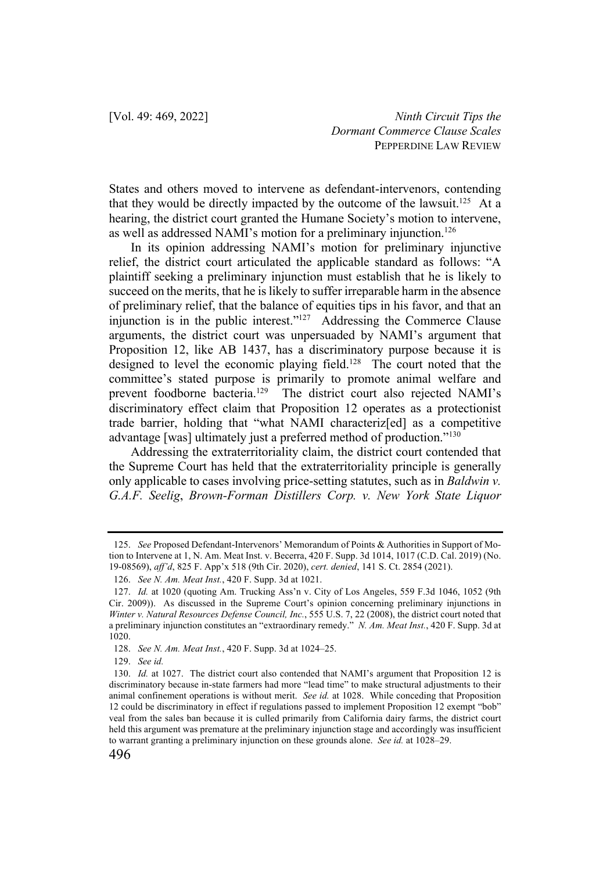States and others moved to intervene as defendant-intervenors, contending that they would be directly impacted by the outcome of the lawsuit.<sup>125</sup> At a hearing, the district court granted the Humane Society's motion to intervene, as well as addressed NAMI's motion for a preliminary injunction.126

In its opinion addressing NAMI's motion for preliminary injunctive relief, the district court articulated the applicable standard as follows: "A plaintiff seeking a preliminary injunction must establish that he is likely to succeed on the merits, that he is likely to suffer irreparable harm in the absence of preliminary relief, that the balance of equities tips in his favor, and that an injunction is in the public interest."127 Addressing the Commerce Clause arguments, the district court was unpersuaded by NAMI's argument that Proposition 12, like AB 1437, has a discriminatory purpose because it is designed to level the economic playing field.<sup>128</sup> The court noted that the committee's stated purpose is primarily to promote animal welfare and prevent foodborne bacteria.129 The district court also rejected NAMI's discriminatory effect claim that Proposition 12 operates as a protectionist trade barrier, holding that "what NAMI characteriz[ed] as a competitive advantage [was] ultimately just a preferred method of production."130

Addressing the extraterritoriality claim, the district court contended that the Supreme Court has held that the extraterritoriality principle is generally only applicable to cases involving price-setting statutes, such as in *Baldwin v. G.A.F. Seelig*, *Brown-Forman Distillers Corp. v. New York State Liquor* 

<sup>125.</sup> *See* Proposed Defendant-Intervenors' Memorandum of Points & Authorities in Support of Motion to Intervene at 1, N. Am. Meat Inst. v. Becerra, 420 F. Supp. 3d 1014, 1017 (C.D. Cal. 2019) (No. 19-08569), *aff'd*, 825 F. App'x 518 (9th Cir. 2020), *cert. denied*, 141 S. Ct. 2854 (2021).

<sup>126.</sup> *See N. Am. Meat Inst.*, 420 F. Supp. 3d at 1021.

<sup>127.</sup> *Id.* at 1020 (quoting Am. Trucking Ass'n v. City of Los Angeles, 559 F.3d 1046, 1052 (9th Cir. 2009)). As discussed in the Supreme Court's opinion concerning preliminary injunctions in *Winter v. Natural Resources Defense Council, Inc.*, 555 U.S. 7, 22 (2008), the district court noted that a preliminary injunction constitutes an "extraordinary remedy." *N. Am. Meat Inst.*, 420 F. Supp. 3d at 1020.

<sup>128.</sup> *See N. Am. Meat Inst.*, 420 F. Supp. 3d at 1024–25.

<sup>129.</sup> *See id.*

<sup>130.</sup> *Id.* at 1027. The district court also contended that NAMI's argument that Proposition 12 is discriminatory because in-state farmers had more "lead time" to make structural adjustments to their animal confinement operations is without merit. *See id.* at 1028. While conceding that Proposition 12 could be discriminatory in effect if regulations passed to implement Proposition 12 exempt "bob" veal from the sales ban because it is culled primarily from California dairy farms, the district court held this argument was premature at the preliminary injunction stage and accordingly was insufficient to warrant granting a preliminary injunction on these grounds alone. *See id.* at 1028–29.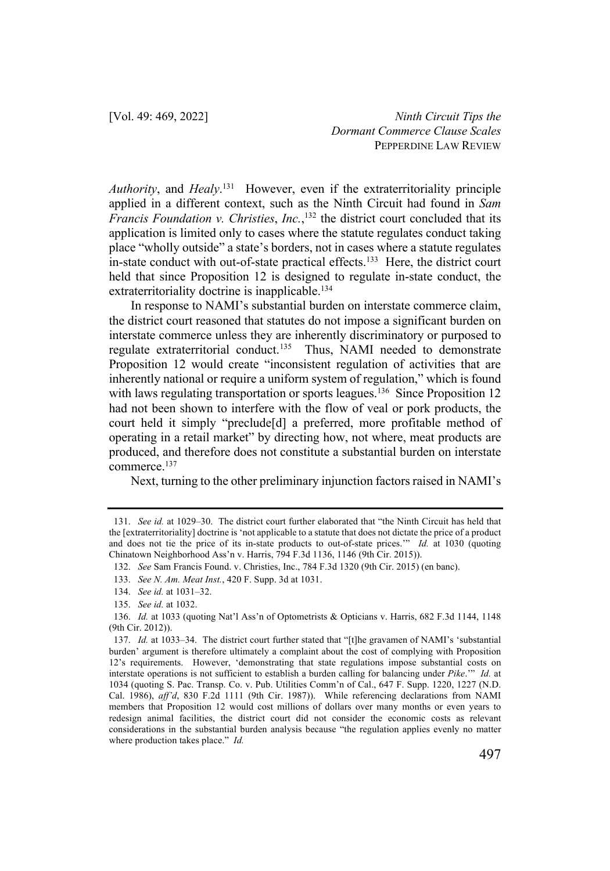*Authority*, and *Healy*. 131 However, even if the extraterritoriality principle applied in a different context, such as the Ninth Circuit had found in *Sam Francis Foundation v. Christies*, *Inc.*, <sup>132</sup> the district court concluded that its application is limited only to cases where the statute regulates conduct taking place "wholly outside" a state's borders, not in cases where a statute regulates in-state conduct with out-of-state practical effects.<sup>133</sup> Here, the district court held that since Proposition 12 is designed to regulate in-state conduct, the extraterritoriality doctrine is inapplicable.<sup>134</sup>

In response to NAMI's substantial burden on interstate commerce claim, the district court reasoned that statutes do not impose a significant burden on interstate commerce unless they are inherently discriminatory or purposed to regulate extraterritorial conduct.<sup>135</sup> Thus, NAMI needed to demonstrate Proposition 12 would create "inconsistent regulation of activities that are inherently national or require a uniform system of regulation," which is found with laws regulating transportation or sports leagues.<sup>136</sup> Since Proposition 12 had not been shown to interfere with the flow of veal or pork products, the court held it simply "preclude[d] a preferred, more profitable method of operating in a retail market" by directing how, not where, meat products are produced, and therefore does not constitute a substantial burden on interstate commerce.<sup>137</sup>

Next, turning to the other preliminary injunction factors raised in NAMI's

<sup>131.</sup> *See id.* at 1029–30. The district court further elaborated that "the Ninth Circuit has held that the [extraterritoriality] doctrine is 'not applicable to a statute that does not dictate the price of a product and does not tie the price of its in-state products to out-of-state prices.'" *Id.* at 1030 (quoting Chinatown Neighborhood Ass'n v. Harris, 794 F.3d 1136, 1146 (9th Cir. 2015)).

<sup>132.</sup> *See* Sam Francis Found. v. Christies, Inc., 784 F.3d 1320 (9th Cir. 2015) (en banc).

<sup>133.</sup> *See N. Am. Meat Inst.*, 420 F. Supp. 3d at 1031.

<sup>134.</sup> *See id.* at 1031–32.

<sup>135.</sup> *See id.* at 1032.

<sup>136.</sup> *Id.* at 1033 (quoting Nat'l Ass'n of Optometrists & Opticians v. Harris, 682 F.3d 1144, 1148 (9th Cir. 2012)).

<sup>137.</sup> *Id.* at 1033–34. The district court further stated that "[t]he gravamen of NAMI's 'substantial burden' argument is therefore ultimately a complaint about the cost of complying with Proposition 12's requirements. However, 'demonstrating that state regulations impose substantial costs on interstate operations is not sufficient to establish a burden calling for balancing under *Pike*.'" *Id.* at 1034 (quoting S. Pac. Transp. Co. v. Pub. Utilities Comm'n of Cal., 647 F. Supp. 1220, 1227 (N.D. Cal. 1986), *aff'd*, 830 F.2d 1111 (9th Cir. 1987)). While referencing declarations from NAMI members that Proposition 12 would cost millions of dollars over many months or even years to redesign animal facilities, the district court did not consider the economic costs as relevant considerations in the substantial burden analysis because "the regulation applies evenly no matter where production takes place." *Id.*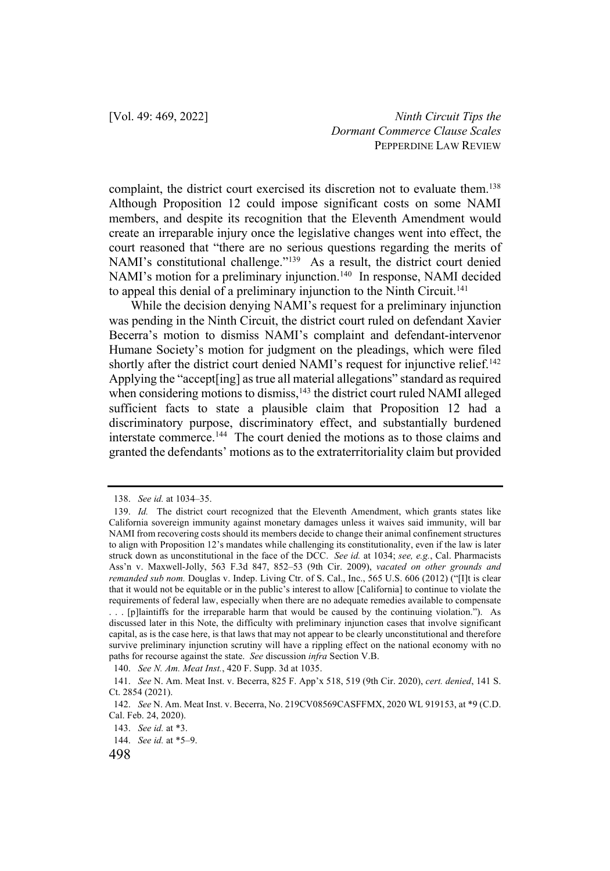complaint, the district court exercised its discretion not to evaluate them.<sup>138</sup> Although Proposition 12 could impose significant costs on some NAMI members, and despite its recognition that the Eleventh Amendment would create an irreparable injury once the legislative changes went into effect, the court reasoned that "there are no serious questions regarding the merits of NAMI's constitutional challenge."<sup>139</sup> As a result, the district court denied NAMI's motion for a preliminary injunction.<sup>140</sup> In response, NAMI decided to appeal this denial of a preliminary injunction to the Ninth Circuit.<sup>141</sup>

While the decision denying NAMI's request for a preliminary injunction was pending in the Ninth Circuit, the district court ruled on defendant Xavier Becerra's motion to dismiss NAMI's complaint and defendant-intervenor Humane Society's motion for judgment on the pleadings, which were filed shortly after the district court denied NAMI's request for injunctive relief.<sup>142</sup> Applying the "accept[ing] as true all material allegations" standard as required when considering motions to dismiss, $143$  the district court ruled NAMI alleged sufficient facts to state a plausible claim that Proposition 12 had a discriminatory purpose, discriminatory effect, and substantially burdened interstate commerce.144 The court denied the motions as to those claims and granted the defendants' motions as to the extraterritoriality claim but provided

<sup>138.</sup> *See id.* at 1034–35.

<sup>139.</sup> *Id.* The district court recognized that the Eleventh Amendment, which grants states like California sovereign immunity against monetary damages unless it waives said immunity, will bar NAMI from recovering costs should its members decide to change their animal confinement structures to align with Proposition 12's mandates while challenging its constitutionality, even if the law is later struck down as unconstitutional in the face of the DCC. *See id.* at 1034; *see, e.g.*, Cal. Pharmacists Ass'n v. Maxwell-Jolly, 563 F.3d 847, 852–53 (9th Cir. 2009), *vacated on other grounds and remanded sub nom.* Douglas v. Indep. Living Ctr. of S. Cal., Inc., 565 U.S. 606 (2012) ("[I]t is clear that it would not be equitable or in the public's interest to allow [California] to continue to violate the requirements of federal law, especially when there are no adequate remedies available to compensate . . . [p]laintiffs for the irreparable harm that would be caused by the continuing violation."). As discussed later in this Note, the difficulty with preliminary injunction cases that involve significant capital, as is the case here, is that laws that may not appear to be clearly unconstitutional and therefore survive preliminary injunction scrutiny will have a rippling effect on the national economy with no paths for recourse against the state. *See* discussion *infra* Section V.B.

<sup>140.</sup> *See N. Am. Meat Inst.*, 420 F. Supp. 3d at 1035.

<sup>141.</sup> *See* N. Am. Meat Inst. v. Becerra, 825 F. App'x 518, 519 (9th Cir. 2020), *cert. denied*, 141 S. Ct. 2854 (2021).

<sup>142.</sup> *See* N. Am. Meat Inst. v. Becerra, No. 219CV08569CASFFMX, 2020 WL 919153, at \*9 (C.D. Cal. Feb. 24, 2020).

<sup>143.</sup> *See id.* at \*3.

<sup>144.</sup> *See id.* at \*5–9.

<sup>498</sup>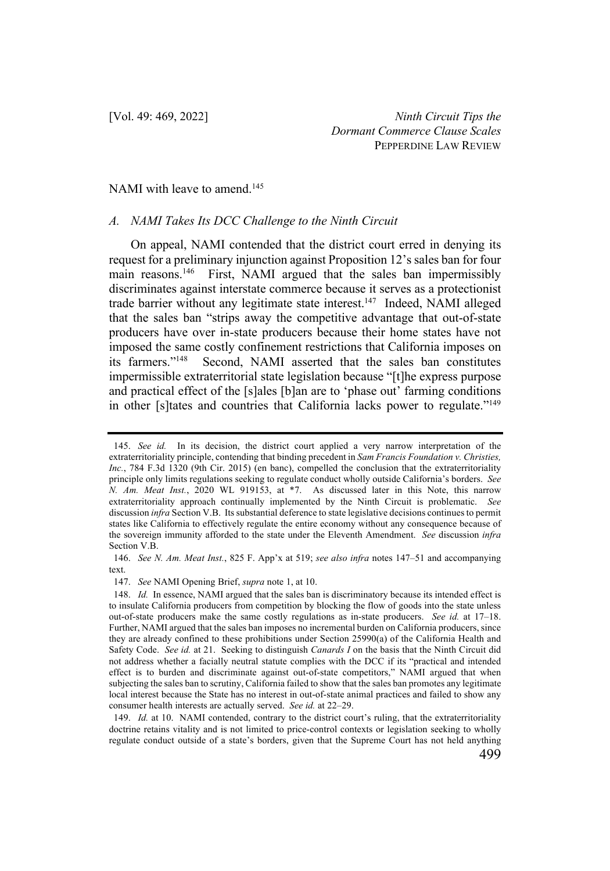#### NAMI with leave to amend.<sup>145</sup>

#### *A. NAMI Takes Its DCC Challenge to the Ninth Circuit*

On appeal, NAMI contended that the district court erred in denying its request for a preliminary injunction against Proposition 12's sales ban for four main reasons.<sup>146</sup> First, NAMI argued that the sales ban impermissibly discriminates against interstate commerce because it serves as a protectionist trade barrier without any legitimate state interest.<sup>147</sup> Indeed, NAMI alleged that the sales ban "strips away the competitive advantage that out-of-state producers have over in-state producers because their home states have not imposed the same costly confinement restrictions that California imposes on its farmers."148 Second, NAMI asserted that the sales ban constitutes impermissible extraterritorial state legislation because "[t]he express purpose and practical effect of the [s]ales [b]an are to 'phase out' farming conditions in other [s]tates and countries that California lacks power to regulate."<sup>149</sup>

<sup>145.</sup> *See id.* In its decision, the district court applied a very narrow interpretation of the extraterritoriality principle, contending that binding precedent in *Sam Francis Foundation v. Christies, Inc.*, 784 F.3d 1320 (9th Cir. 2015) (en banc), compelled the conclusion that the extraterritoriality principle only limits regulations seeking to regulate conduct wholly outside California's borders. *See N. Am. Meat Inst.*, 2020 WL 919153, at \*7. As discussed later in this Note, this narrow extraterritoriality approach continually implemented by the Ninth Circuit is problematic. *See*  discussion *infra* Section V.B. Its substantial deference to state legislative decisions continues to permit states like California to effectively regulate the entire economy without any consequence because of the sovereign immunity afforded to the state under the Eleventh Amendment. *See* discussion *infra*  Section V.B.

<sup>146.</sup> *See N. Am. Meat Inst.*, 825 F. App'x at 519; *see also infra* notes 147–51 and accompanying text.

<sup>147.</sup> *See* NAMI Opening Brief, *supra* note 1, at 10.

<sup>148.</sup> *Id.* In essence, NAMI argued that the sales ban is discriminatory because its intended effect is to insulate California producers from competition by blocking the flow of goods into the state unless out-of-state producers make the same costly regulations as in-state producers. *See id.* at 17–18. Further, NAMI argued that the sales ban imposes no incremental burden on California producers, since they are already confined to these prohibitions under Section 25990(a) of the California Health and Safety Code. *See id.* at 21. Seeking to distinguish *Canards I* on the basis that the Ninth Circuit did not address whether a facially neutral statute complies with the DCC if its "practical and intended effect is to burden and discriminate against out-of-state competitors," NAMI argued that when subjecting the sales ban to scrutiny, California failed to show that the sales ban promotes any legitimate local interest because the State has no interest in out-of-state animal practices and failed to show any consumer health interests are actually served. *See id.* at 22–29.

<sup>149.</sup> *Id.* at 10. NAMI contended, contrary to the district court's ruling, that the extraterritoriality doctrine retains vitality and is not limited to price-control contexts or legislation seeking to wholly regulate conduct outside of a state's borders, given that the Supreme Court has not held anything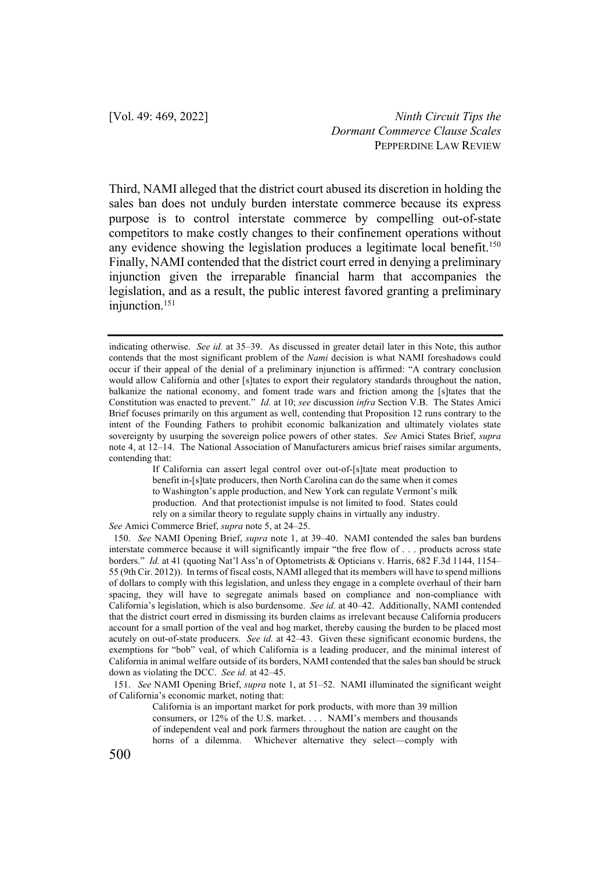Third, NAMI alleged that the district court abused its discretion in holding the sales ban does not unduly burden interstate commerce because its express purpose is to control interstate commerce by compelling out-of-state competitors to make costly changes to their confinement operations without any evidence showing the legislation produces a legitimate local benefit.<sup>150</sup> Finally, NAMI contended that the district court erred in denying a preliminary injunction given the irreparable financial harm that accompanies the legislation, and as a result, the public interest favored granting a preliminary injunction.151

If California can assert legal control over out-of-[s]tate meat production to benefit in-[s]tate producers, then North Carolina can do the same when it comes to Washington's apple production, and New York can regulate Vermont's milk production. And that protectionist impulse is not limited to food. States could rely on a similar theory to regulate supply chains in virtually any industry.

*See* Amici Commerce Brief, *supra* note 5, at 24–25.

151. *See* NAMI Opening Brief, *supra* note 1, at 51–52. NAMI illuminated the significant weight of California's economic market, noting that:

California is an important market for pork products, with more than 39 million consumers, or 12% of the U.S. market. . . . NAMI's members and thousands of independent veal and pork farmers throughout the nation are caught on the horns of a dilemma. Whichever alternative they select—comply with

indicating otherwise. *See id.* at 35–39. As discussed in greater detail later in this Note, this author contends that the most significant problem of the *Nami* decision is what NAMI foreshadows could occur if their appeal of the denial of a preliminary injunction is affirmed: "A contrary conclusion would allow California and other [s]tates to export their regulatory standards throughout the nation, balkanize the national economy, and foment trade wars and friction among the [s]tates that the Constitution was enacted to prevent." *Id.* at 10; *see* discussion *infra* Section V.B. The States Amici Brief focuses primarily on this argument as well, contending that Proposition 12 runs contrary to the intent of the Founding Fathers to prohibit economic balkanization and ultimately violates state sovereignty by usurping the sovereign police powers of other states. *See* Amici States Brief, *supra* note 4, at 12–14. The National Association of Manufacturers amicus brief raises similar arguments, contending that:

<sup>150.</sup> *See* NAMI Opening Brief, *supra* note 1, at 39–40. NAMI contended the sales ban burdens interstate commerce because it will significantly impair "the free flow of . . . products across state borders." *Id.* at 41 (quoting Nat'l Ass'n of Optometrists & Opticians v. Harris, 682 F.3d 1144, 1154– 55 (9th Cir. 2012)). In terms of fiscal costs, NAMI alleged that its members will have to spend millions of dollars to comply with this legislation, and unless they engage in a complete overhaul of their barn spacing, they will have to segregate animals based on compliance and non-compliance with California's legislation, which is also burdensome. *See id.* at 40–42. Additionally, NAMI contended that the district court erred in dismissing its burden claims as irrelevant because California producers account for a small portion of the veal and hog market, thereby causing the burden to be placed most acutely on out-of-state producers. *See id.* at 42–43. Given these significant economic burdens, the exemptions for "bob" veal, of which California is a leading producer, and the minimal interest of California in animal welfare outside of its borders, NAMI contended that the sales ban should be struck down as violating the DCC. *See id.* at 42–45.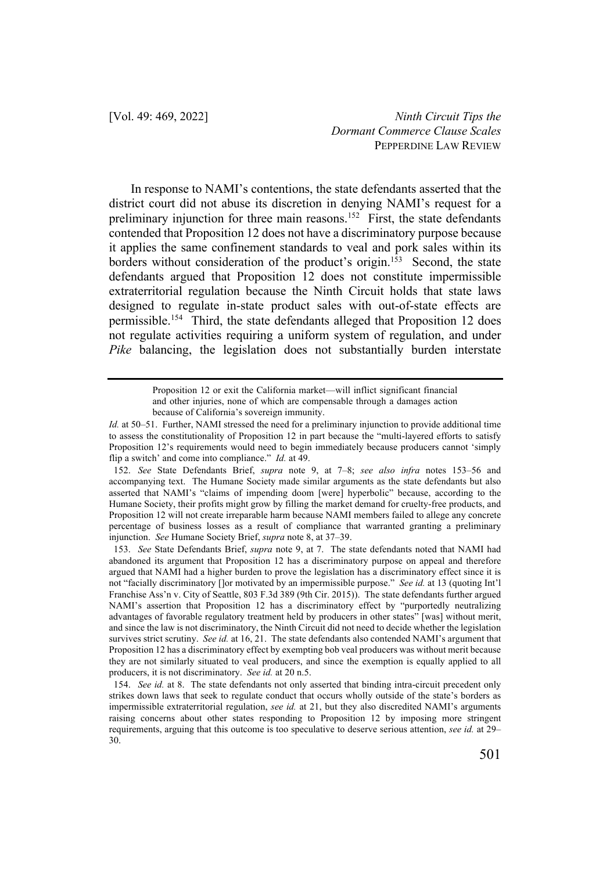In response to NAMI's contentions, the state defendants asserted that the district court did not abuse its discretion in denying NAMI's request for a preliminary injunction for three main reasons.<sup>152</sup> First, the state defendants contended that Proposition 12 does not have a discriminatory purpose because it applies the same confinement standards to veal and pork sales within its borders without consideration of the product's origin.<sup>153</sup> Second, the state defendants argued that Proposition 12 does not constitute impermissible extraterritorial regulation because the Ninth Circuit holds that state laws designed to regulate in-state product sales with out-of-state effects are permissible.154 Third, the state defendants alleged that Proposition 12 does not regulate activities requiring a uniform system of regulation, and under *Pike* balancing, the legislation does not substantially burden interstate

152. *See* State Defendants Brief, *supra* note 9, at 7–8; *see also infra* notes 153–56 and accompanying text. The Humane Society made similar arguments as the state defendants but also asserted that NAMI's "claims of impending doom [were] hyperbolic" because, according to the Humane Society, their profits might grow by filling the market demand for cruelty-free products, and Proposition 12 will not create irreparable harm because NAMI members failed to allege any concrete percentage of business losses as a result of compliance that warranted granting a preliminary injunction. *See* Humane Society Brief, *supra* note 8, at 37–39.

153. *See* State Defendants Brief, *supra* note 9, at 7. The state defendants noted that NAMI had abandoned its argument that Proposition 12 has a discriminatory purpose on appeal and therefore argued that NAMI had a higher burden to prove the legislation has a discriminatory effect since it is not "facially discriminatory []or motivated by an impermissible purpose." *See id.* at 13 (quoting Int'l Franchise Ass'n v. City of Seattle, 803 F.3d 389 (9th Cir. 2015)). The state defendants further argued NAMI's assertion that Proposition 12 has a discriminatory effect by "purportedly neutralizing advantages of favorable regulatory treatment held by producers in other states" [was] without merit, and since the law is not discriminatory, the Ninth Circuit did not need to decide whether the legislation survives strict scrutiny. *See id.* at 16, 21. The state defendants also contended NAMI's argument that Proposition 12 has a discriminatory effect by exempting bob veal producers was without merit because they are not similarly situated to veal producers, and since the exemption is equally applied to all producers, it is not discriminatory. *See id.* at 20 n.5.

154. *See id.* at 8. The state defendants not only asserted that binding intra-circuit precedent only strikes down laws that seek to regulate conduct that occurs wholly outside of the state's borders as impermissible extraterritorial regulation, *see id.* at 21, but they also discredited NAMI's arguments raising concerns about other states responding to Proposition 12 by imposing more stringent requirements, arguing that this outcome is too speculative to deserve serious attention, *see id.* at 29– 30.

Proposition 12 or exit the California market—will inflict significant financial and other injuries, none of which are compensable through a damages action because of California's sovereign immunity.

*Id.* at 50–51. Further, NAMI stressed the need for a preliminary injunction to provide additional time to assess the constitutionality of Proposition 12 in part because the "multi-layered efforts to satisfy Proposition 12's requirements would need to begin immediately because producers cannot 'simply flip a switch' and come into compliance." *Id.* at 49.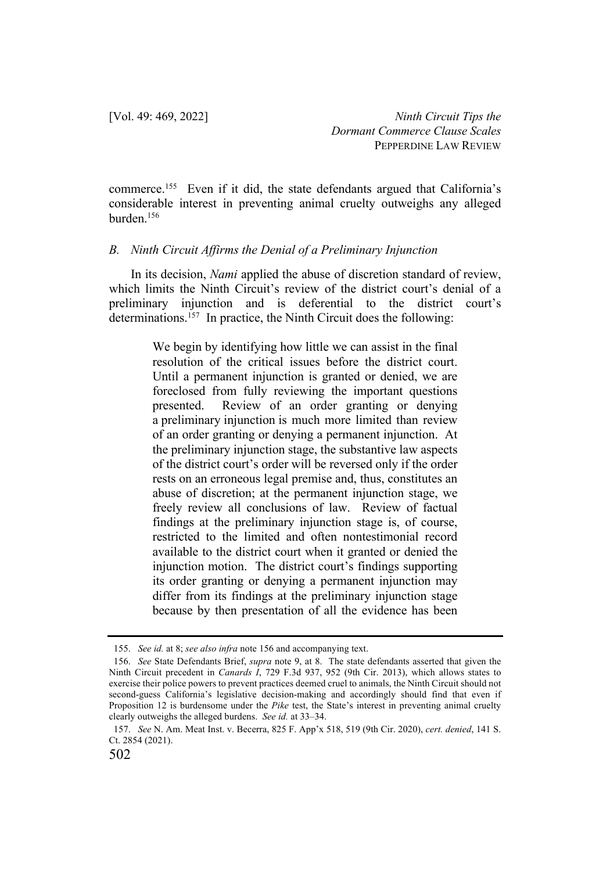commerce.155 Even if it did, the state defendants argued that California's considerable interest in preventing animal cruelty outweighs any alleged burden.156

### *B. Ninth Circuit Affirms the Denial of a Preliminary Injunction*

In its decision, *Nami* applied the abuse of discretion standard of review, which limits the Ninth Circuit's review of the district court's denial of a preliminary injunction and is deferential to the district court's determinations.<sup>157</sup> In practice, the Ninth Circuit does the following:

> We begin by identifying how little we can assist in the final resolution of the critical issues before the district court. Until a permanent injunction is granted or denied, we are foreclosed from fully reviewing the important questions presented. Review of an order granting or denying a preliminary injunction is much more limited than review of an order granting or denying a permanent injunction. At the preliminary injunction stage, the substantive law aspects of the district court's order will be reversed only if the order rests on an erroneous legal premise and, thus, constitutes an abuse of discretion; at the permanent injunction stage, we freely review all conclusions of law. Review of factual findings at the preliminary injunction stage is, of course, restricted to the limited and often nontestimonial record available to the district court when it granted or denied the injunction motion. The district court's findings supporting its order granting or denying a permanent injunction may differ from its findings at the preliminary injunction stage because by then presentation of all the evidence has been

<sup>155.</sup> *See id.* at 8; *see also infra* note 156 and accompanying text.

<sup>156.</sup> *See* State Defendants Brief, *supra* note 9, at 8. The state defendants asserted that given the Ninth Circuit precedent in *Canards I*, 729 F.3d 937, 952 (9th Cir. 2013), which allows states to exercise their police powers to prevent practices deemed cruel to animals, the Ninth Circuit should not second-guess California's legislative decision-making and accordingly should find that even if Proposition 12 is burdensome under the *Pike* test, the State's interest in preventing animal cruelty clearly outweighs the alleged burdens. *See id.* at 33–34.

<sup>157.</sup> *See* N. Am. Meat Inst. v. Becerra, 825 F. App'x 518, 519 (9th Cir. 2020), *cert. denied*, 141 S. Ct. 2854 (2021).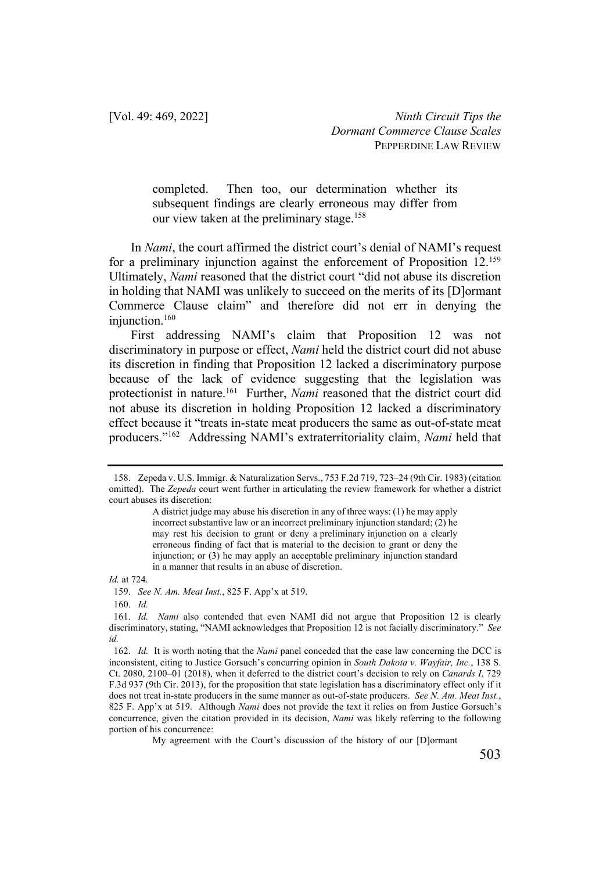> completed. Then too, our determination whether its subsequent findings are clearly erroneous may differ from our view taken at the preliminary stage.<sup>158</sup>

In *Nami*, the court affirmed the district court's denial of NAMI's request for a preliminary injunction against the enforcement of Proposition 12.159 Ultimately, *Nami* reasoned that the district court "did not abuse its discretion in holding that NAMI was unlikely to succeed on the merits of its [D]ormant Commerce Clause claim" and therefore did not err in denying the injunction.<sup>160</sup>

First addressing NAMI's claim that Proposition 12 was not discriminatory in purpose or effect, *Nami* held the district court did not abuse its discretion in finding that Proposition 12 lacked a discriminatory purpose because of the lack of evidence suggesting that the legislation was protectionist in nature.161 Further, *Nami* reasoned that the district court did not abuse its discretion in holding Proposition 12 lacked a discriminatory effect because it "treats in-state meat producers the same as out-of-state meat producers."162 Addressing NAMI's extraterritoriality claim, *Nami* held that

*Id.* at 724.

160. *Id.* 

<sup>158.</sup> Zepeda v. U.S. Immigr. & Naturalization Servs., 753 F.2d 719, 723–24 (9th Cir. 1983) (citation omitted). The *Zepeda* court went further in articulating the review framework for whether a district court abuses its discretion:

A district judge may abuse his discretion in any of three ways: (1) he may apply incorrect substantive law or an incorrect preliminary injunction standard; (2) he may rest his decision to grant or deny a preliminary injunction on a clearly erroneous finding of fact that is material to the decision to grant or deny the injunction; or (3) he may apply an acceptable preliminary injunction standard in a manner that results in an abuse of discretion.

<sup>159.</sup> *See N. Am. Meat Inst.*, 825 F. App'x at 519.

<sup>161.</sup> *Id. Nami* also contended that even NAMI did not argue that Proposition 12 is clearly discriminatory, stating, "NAMI acknowledges that Proposition 12 is not facially discriminatory." *See id.* 

<sup>162.</sup> *Id.* It is worth noting that the *Nami* panel conceded that the case law concerning the DCC is inconsistent, citing to Justice Gorsuch's concurring opinion in *South Dakota v. Wayfair, Inc.*, 138 S. Ct. 2080, 2100–01 (2018), when it deferred to the district court's decision to rely on *Canards I*, 729 F.3d 937 (9th Cir. 2013), for the proposition that state legislation has a discriminatory effect only if it does not treat in-state producers in the same manner as out-of-state producers. *See N. Am. Meat Inst.*, 825 F. App'x at 519. Although *Nami* does not provide the text it relies on from Justice Gorsuch's concurrence, given the citation provided in its decision, *Nami* was likely referring to the following portion of his concurrence:

My agreement with the Court's discussion of the history of our [D]ormant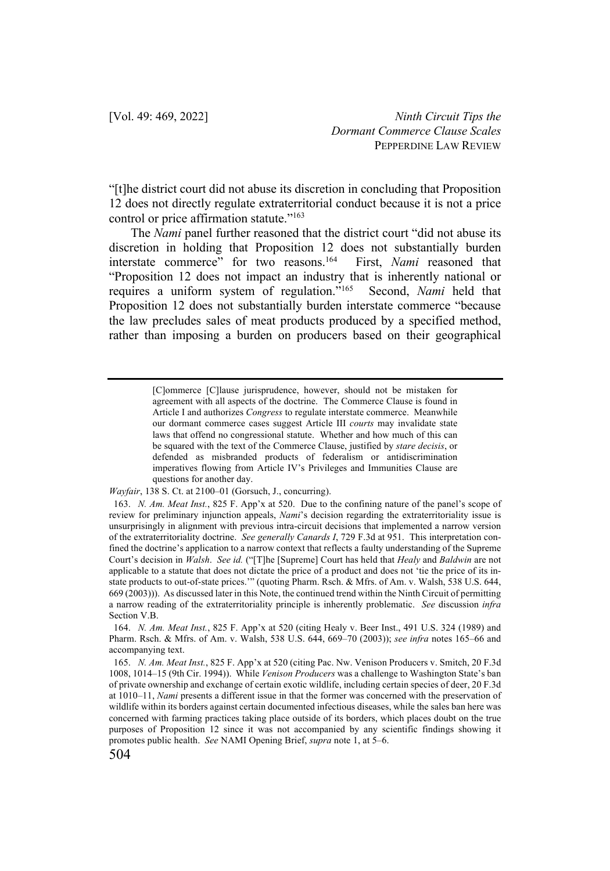"[t]he district court did not abuse its discretion in concluding that Proposition 12 does not directly regulate extraterritorial conduct because it is not a price control or price affirmation statute."163

The *Nami* panel further reasoned that the district court "did not abuse its discretion in holding that Proposition 12 does not substantially burden interstate commerce" for two reasons.164 First, *Nami* reasoned that "Proposition 12 does not impact an industry that is inherently national or requires a uniform system of regulation."165 Second, *Nami* held that Proposition 12 does not substantially burden interstate commerce "because the law precludes sales of meat products produced by a specified method, rather than imposing a burden on producers based on their geographical

*Wayfair*, 138 S. Ct. at 2100–01 (Gorsuch, J., concurring).

<sup>[</sup>C]ommerce [C]lause jurisprudence, however, should not be mistaken for agreement with all aspects of the doctrine. The Commerce Clause is found in Article I and authorizes *Congress* to regulate interstate commerce. Meanwhile our dormant commerce cases suggest Article III *courts* may invalidate state laws that offend no congressional statute. Whether and how much of this can be squared with the text of the Commerce Clause, justified by *stare decisis*, or defended as misbranded products of federalism or antidiscrimination imperatives flowing from Article IV's Privileges and Immunities Clause are questions for another day.

<sup>163.</sup> *N. Am. Meat Inst.*, 825 F. App'x at 520. Due to the confining nature of the panel's scope of review for preliminary injunction appeals, *Nami*'s decision regarding the extraterritoriality issue is unsurprisingly in alignment with previous intra-circuit decisions that implemented a narrow version of the extraterritoriality doctrine. *See generally Canards I*, 729 F.3d at 951. This interpretation confined the doctrine's application to a narrow context that reflects a faulty understanding of the Supreme Court's decision in *Walsh*. *See id.* ("[T]he [Supreme] Court has held that *Healy* and *Baldwin* are not applicable to a statute that does not dictate the price of a product and does not 'tie the price of its instate products to out-of-state prices.'" (quoting Pharm. Rsch. & Mfrs. of Am. v. Walsh, 538 U.S. 644, 669 (2003))). As discussed later in this Note, the continued trend within the Ninth Circuit of permitting a narrow reading of the extraterritoriality principle is inherently problematic. *See* discussion *infra*  Section V.B.

<sup>164.</sup> *N. Am. Meat Inst.*, 825 F. App'x at 520 (citing Healy v. Beer Inst., 491 U.S. 324 (1989) and Pharm. Rsch. & Mfrs. of Am. v. Walsh, 538 U.S. 644, 669–70 (2003)); *see infra* notes 165–66 and accompanying text.

<sup>165.</sup> *N. Am. Meat Inst.*, 825 F. App'x at 520 (citing Pac. Nw. Venison Producers v. Smitch, 20 F.3d 1008, 1014–15 (9th Cir. 1994)). While *Venison Producers* was a challenge to Washington State's ban of private ownership and exchange of certain exotic wildlife, including certain species of deer, 20 F.3d at 1010–11, *Nami* presents a different issue in that the former was concerned with the preservation of wildlife within its borders against certain documented infectious diseases, while the sales ban here was concerned with farming practices taking place outside of its borders, which places doubt on the true purposes of Proposition 12 since it was not accompanied by any scientific findings showing it promotes public health. *See* NAMI Opening Brief, *supra* note 1, at 5–6.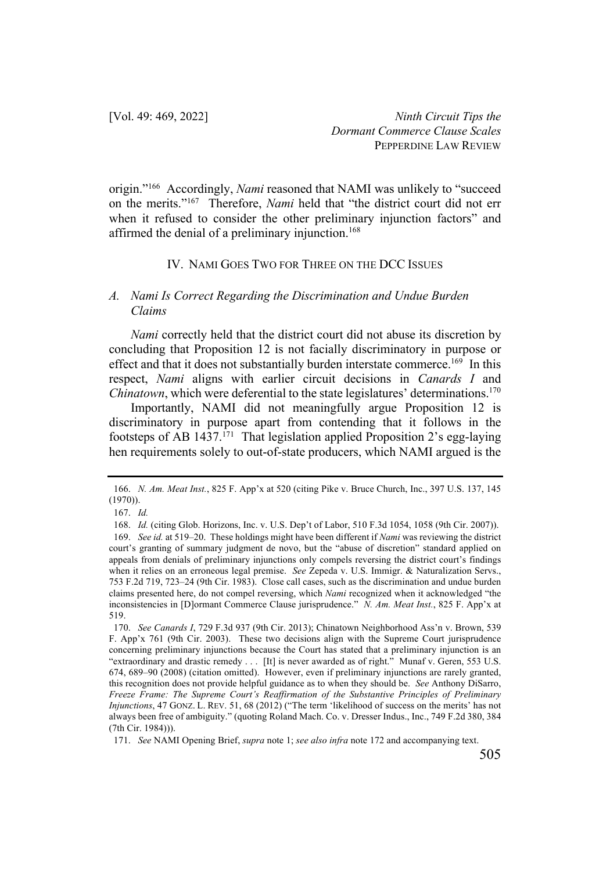origin."166 Accordingly, *Nami* reasoned that NAMI was unlikely to "succeed on the merits."167 Therefore, *Nami* held that "the district court did not err when it refused to consider the other preliminary injunction factors" and affirmed the denial of a preliminary injunction.<sup>168</sup>

#### IV. NAMI GOES TWO FOR THREE ON THE DCC ISSUES

## *A. Nami Is Correct Regarding the Discrimination and Undue Burden Claims*

*Nami* correctly held that the district court did not abuse its discretion by concluding that Proposition 12 is not facially discriminatory in purpose or effect and that it does not substantially burden interstate commerce.<sup>169</sup> In this respect, *Nami* aligns with earlier circuit decisions in *Canards I* and *Chinatown*, which were deferential to the state legislatures' determinations.<sup>170</sup>

Importantly, NAMI did not meaningfully argue Proposition 12 is discriminatory in purpose apart from contending that it follows in the footsteps of AB  $1437<sup>171</sup>$  That legislation applied Proposition 2's egg-laying hen requirements solely to out-of-state producers, which NAMI argued is the

<sup>166.</sup> *N. Am. Meat Inst.*, 825 F. App'x at 520 (citing Pike v. Bruce Church, Inc., 397 U.S. 137, 145 (1970)).

<sup>167.</sup> *Id.*

<sup>168.</sup> *Id.* (citing Glob. Horizons, Inc. v. U.S. Dep't of Labor, 510 F.3d 1054, 1058 (9th Cir. 2007)).

<sup>169.</sup> *See id.* at 519–20. These holdings might have been different if *Nami* was reviewing the district court's granting of summary judgment de novo, but the "abuse of discretion" standard applied on appeals from denials of preliminary injunctions only compels reversing the district court's findings when it relies on an erroneous legal premise. *See* Zepeda v. U.S. Immigr. & Naturalization Servs., 753 F.2d 719, 723–24 (9th Cir. 1983). Close call cases, such as the discrimination and undue burden claims presented here, do not compel reversing, which *Nami* recognized when it acknowledged "the inconsistencies in [D]ormant Commerce Clause jurisprudence." *N. Am. Meat Inst.*, 825 F. App'x at 519.

<sup>170.</sup> *See Canards I*, 729 F.3d 937 (9th Cir. 2013); Chinatown Neighborhood Ass'n v. Brown, 539 F. App'x 761 (9th Cir. 2003). These two decisions align with the Supreme Court jurisprudence concerning preliminary injunctions because the Court has stated that a preliminary injunction is an "extraordinary and drastic remedy . . . [It] is never awarded as of right." Munaf v. Geren, 553 U.S. 674, 689–90 (2008) (citation omitted). However, even if preliminary injunctions are rarely granted, this recognition does not provide helpful guidance as to when they should be. *See* Anthony DiSarro, *Freeze Frame: The Supreme Court's Reaffirmation of the Substantive Principles of Preliminary Injunctions*, 47 GONZ. L. REV. 51, 68 (2012) ("The term 'likelihood of success on the merits' has not always been free of ambiguity." (quoting Roland Mach. Co. v. Dresser Indus., Inc., 749 F.2d 380, 384 (7th Cir. 1984))).

<sup>171.</sup> *See* NAMI Opening Brief, *supra* note 1; *see also infra* note 172 and accompanying text.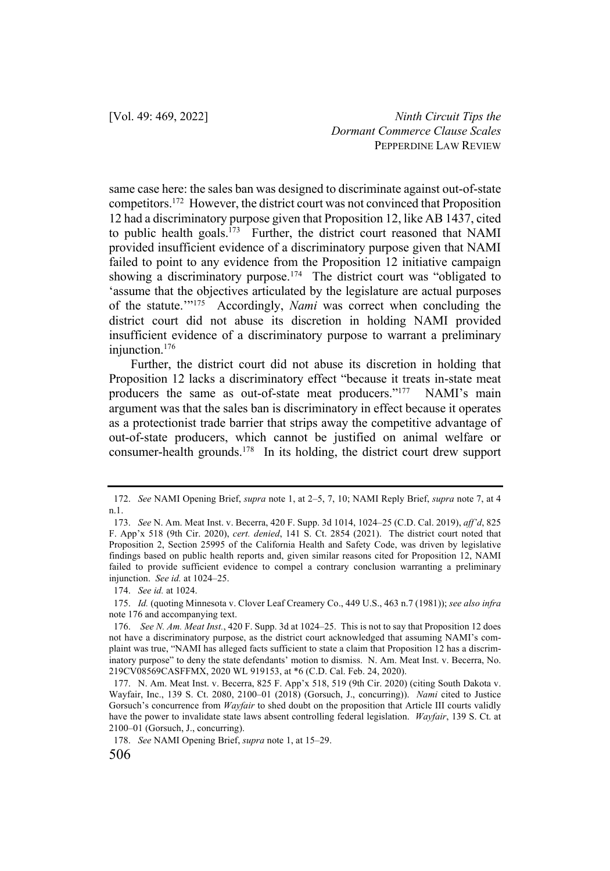same case here: the sales ban was designed to discriminate against out-of-state competitors.172 However, the district court was not convinced that Proposition 12 had a discriminatory purpose given that Proposition 12, like AB 1437, cited to public health goals.<sup>173</sup> Further, the district court reasoned that NAMI provided insufficient evidence of a discriminatory purpose given that NAMI failed to point to any evidence from the Proposition 12 initiative campaign showing a discriminatory purpose.<sup>174</sup> The district court was "obligated to 'assume that the objectives articulated by the legislature are actual purposes of the statute.'"175 Accordingly, *Nami* was correct when concluding the district court did not abuse its discretion in holding NAMI provided insufficient evidence of a discriminatory purpose to warrant a preliminary injunction.176

Further, the district court did not abuse its discretion in holding that Proposition 12 lacks a discriminatory effect "because it treats in-state meat producers the same as out-of-state meat producers."<sup>177</sup> NAMI's main argument was that the sales ban is discriminatory in effect because it operates as a protectionist trade barrier that strips away the competitive advantage of out-of-state producers, which cannot be justified on animal welfare or consumer-health grounds.178 In its holding, the district court drew support

174. *See id.* at 1024.

<sup>172.</sup> *See* NAMI Opening Brief, *supra* note 1, at 2–5, 7, 10; NAMI Reply Brief, *supra* note 7, at 4 n.1.

<sup>173.</sup> *See* N. Am. Meat Inst. v. Becerra, 420 F. Supp. 3d 1014, 1024–25 (C.D. Cal. 2019), *aff'd*, 825 F. App'x 518 (9th Cir. 2020), *cert. denied*, 141 S. Ct. 2854 (2021). The district court noted that Proposition 2, Section 25995 of the California Health and Safety Code, was driven by legislative findings based on public health reports and, given similar reasons cited for Proposition 12, NAMI failed to provide sufficient evidence to compel a contrary conclusion warranting a preliminary injunction. *See id.* at 1024–25.

<sup>175.</sup> *Id.* (quoting Minnesota v. Clover Leaf Creamery Co., 449 U.S., 463 n.7 (1981)); *see also infra* note 176 and accompanying text.

<sup>176.</sup> *See N. Am. Meat Inst.*, 420 F. Supp. 3d at 1024–25. This is not to say that Proposition 12 does not have a discriminatory purpose, as the district court acknowledged that assuming NAMI's complaint was true, "NAMI has alleged facts sufficient to state a claim that Proposition 12 has a discriminatory purpose" to deny the state defendants' motion to dismiss. N. Am. Meat Inst. v. Becerra, No. 219CV08569CASFFMX, 2020 WL 919153, at \*6 (C.D. Cal. Feb. 24, 2020).

<sup>177.</sup> N. Am. Meat Inst. v. Becerra, 825 F. App'x 518, 519 (9th Cir. 2020) (citing South Dakota v. Wayfair, Inc., 139 S. Ct. 2080, 2100–01 (2018) (Gorsuch, J., concurring)). *Nami* cited to Justice Gorsuch's concurrence from *Wayfair* to shed doubt on the proposition that Article III courts validly have the power to invalidate state laws absent controlling federal legislation. *Wayfair*, 139 S. Ct. at 2100–01 (Gorsuch, J., concurring).

<sup>178.</sup> *See* NAMI Opening Brief, *supra* note 1, at 15–29.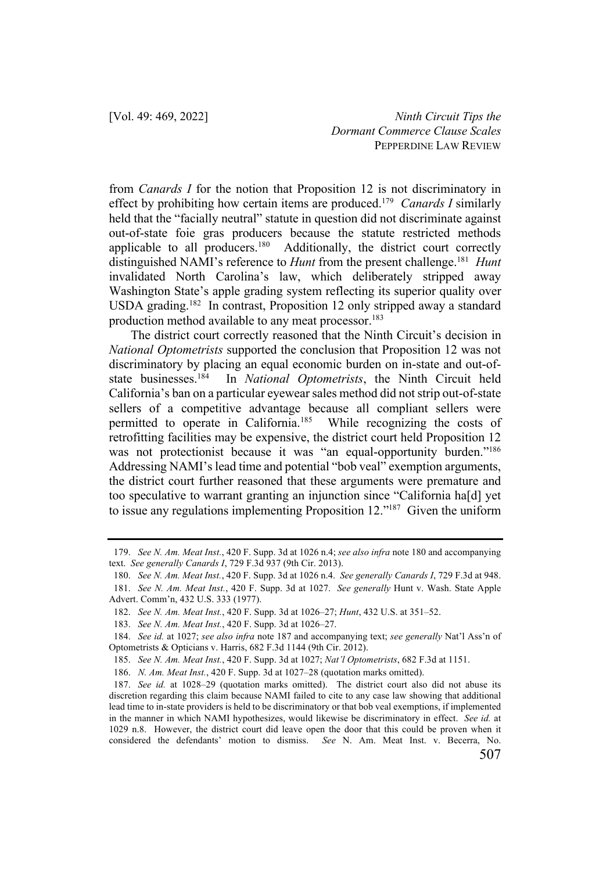from *Canards I* for the notion that Proposition 12 is not discriminatory in effect by prohibiting how certain items are produced.179 *Canards I* similarly held that the "facially neutral" statute in question did not discriminate against out-of-state foie gras producers because the statute restricted methods applicable to all producers.<sup>180</sup> Additionally, the district court correctly distinguished NAMI's reference to *Hunt* from the present challenge.181 *Hunt* invalidated North Carolina's law, which deliberately stripped away Washington State's apple grading system reflecting its superior quality over USDA grading.<sup>182</sup> In contrast, Proposition 12 only stripped away a standard production method available to any meat processor.<sup>183</sup>

The district court correctly reasoned that the Ninth Circuit's decision in *National Optometrists* supported the conclusion that Proposition 12 was not discriminatory by placing an equal economic burden on in-state and out-ofstate businesses.184 In *National Optometrists*, the Ninth Circuit held California's ban on a particular eyewear sales method did not strip out-of-state sellers of a competitive advantage because all compliant sellers were permitted to operate in California.185 While recognizing the costs of retrofitting facilities may be expensive, the district court held Proposition 12 was not protectionist because it was "an equal-opportunity burden."<sup>186</sup> Addressing NAMI's lead time and potential "bob veal" exemption arguments, the district court further reasoned that these arguments were premature and too speculative to warrant granting an injunction since "California ha[d] yet to issue any regulations implementing Proposition 12."187 Given the uniform

<sup>179.</sup> *See N. Am. Meat Inst.*, 420 F. Supp. 3d at 1026 n.4; *see also infra* note 180 and accompanying text. *See generally Canards I*, 729 F.3d 937 (9th Cir. 2013).

<sup>180.</sup> *See N. Am. Meat Inst.*, 420 F. Supp. 3d at 1026 n.4. *See generally Canards I*, 729 F.3d at 948. 181. *See N. Am. Meat Inst.*, 420 F. Supp. 3d at 1027. *See generally* Hunt v. Wash. State Apple Advert. Comm'n, 432 U.S. 333 (1977).

<sup>182.</sup> *See N. Am. Meat Inst.*, 420 F. Supp. 3d at 1026–27; *Hunt*, 432 U.S. at 351–52.

<sup>183.</sup> *See N. Am. Meat Inst.*, 420 F. Supp. 3d at 1026–27.

<sup>184.</sup> *See id.* at 1027; *see also infra* note 187 and accompanying text; *see generally* Nat'l Ass'n of Optometrists & Opticians v. Harris, 682 F.3d 1144 (9th Cir. 2012).

<sup>185.</sup> *See N. Am. Meat Inst.*, 420 F. Supp. 3d at 1027; *Nat'l Optometrists*, 682 F.3d at 1151.

<sup>186.</sup> *N. Am. Meat Inst.*, 420 F. Supp. 3d at 1027–28 (quotation marks omitted).

<sup>187.</sup> *See id.* at 1028–29 (quotation marks omitted). The district court also did not abuse its discretion regarding this claim because NAMI failed to cite to any case law showing that additional lead time to in-state providers is held to be discriminatory or that bob veal exemptions, if implemented in the manner in which NAMI hypothesizes, would likewise be discriminatory in effect. *See id.* at 1029 n.8. However, the district court did leave open the door that this could be proven when it considered the defendants' motion to dismiss. *See* N. Am. Meat Inst. v. Becerra, No.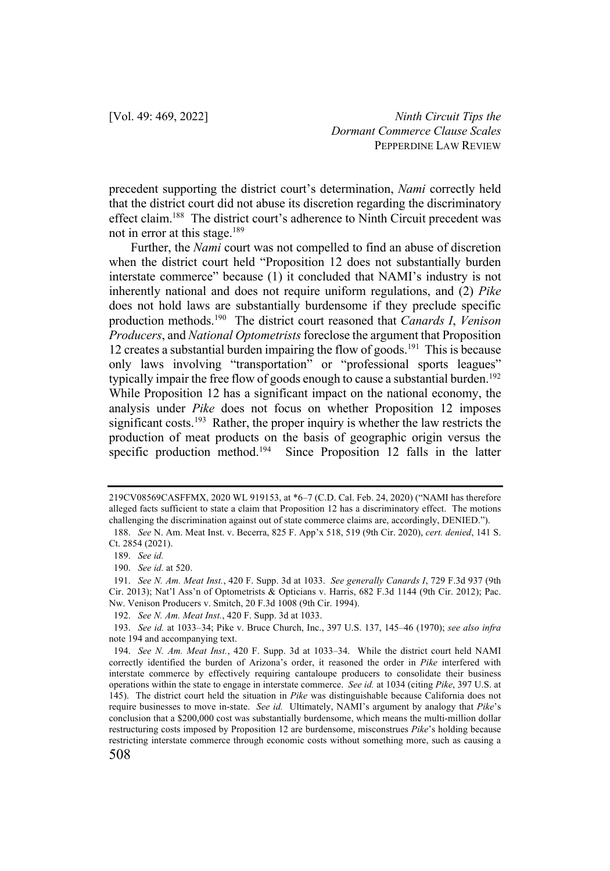precedent supporting the district court's determination, *Nami* correctly held that the district court did not abuse its discretion regarding the discriminatory effect claim.<sup>188</sup> The district court's adherence to Ninth Circuit precedent was not in error at this stage.<sup>189</sup>

Further, the *Nami* court was not compelled to find an abuse of discretion when the district court held "Proposition 12 does not substantially burden interstate commerce" because (1) it concluded that NAMI's industry is not inherently national and does not require uniform regulations, and (2) *Pike* does not hold laws are substantially burdensome if they preclude specific production methods.190 The district court reasoned that *Canards I*, *Venison Producers*, and *National Optometrists* foreclose the argument that Proposition 12 creates a substantial burden impairing the flow of goods.<sup>191</sup> This is because only laws involving "transportation" or "professional sports leagues" typically impair the free flow of goods enough to cause a substantial burden.<sup>192</sup> While Proposition 12 has a significant impact on the national economy, the analysis under *Pike* does not focus on whether Proposition 12 imposes significant costs.<sup>193</sup> Rather, the proper inquiry is whether the law restricts the production of meat products on the basis of geographic origin versus the specific production method.<sup>194</sup> Since Proposition 12 falls in the latter

<sup>219</sup>CV08569CASFFMX, 2020 WL 919153, at \*6–7 (C.D. Cal. Feb. 24, 2020) ("NAMI has therefore alleged facts sufficient to state a claim that Proposition 12 has a discriminatory effect. The motions challenging the discrimination against out of state commerce claims are, accordingly, DENIED.").

<sup>188.</sup> *See* N. Am. Meat Inst. v. Becerra, 825 F. App'x 518, 519 (9th Cir. 2020), *cert. denied*, 141 S. Ct. 2854 (2021).

<sup>189.</sup> *See id.*

<sup>190.</sup> *See id.* at 520.

<sup>191.</sup> *See N. Am. Meat Inst.*, 420 F. Supp. 3d at 1033. *See generally Canards I*, 729 F.3d 937 (9th Cir. 2013); Nat'l Ass'n of Optometrists & Opticians v. Harris, 682 F.3d 1144 (9th Cir. 2012); Pac. Nw. Venison Producers v. Smitch, 20 F.3d 1008 (9th Cir. 1994).

<sup>192.</sup> *See N. Am. Meat Inst.*, 420 F. Supp. 3d at 1033.

<sup>193.</sup> *See id.* at 1033–34; Pike v. Bruce Church, Inc., 397 U.S. 137, 145–46 (1970); *see also infra* note 194 and accompanying text.

<sup>194.</sup> *See N. Am. Meat Inst.*, 420 F. Supp. 3d at 1033–34. While the district court held NAMI correctly identified the burden of Arizona's order, it reasoned the order in *Pike* interfered with interstate commerce by effectively requiring cantaloupe producers to consolidate their business operations within the state to engage in interstate commerce. *See id.* at 1034 (citing *Pike*, 397 U.S. at 145). The district court held the situation in *Pike* was distinguishable because California does not require businesses to move in-state. *See id.* Ultimately, NAMI's argument by analogy that *Pike*'s conclusion that a \$200,000 cost was substantially burdensome, which means the multi-million dollar restructuring costs imposed by Proposition 12 are burdensome, misconstrues *Pike*'s holding because restricting interstate commerce through economic costs without something more, such as causing a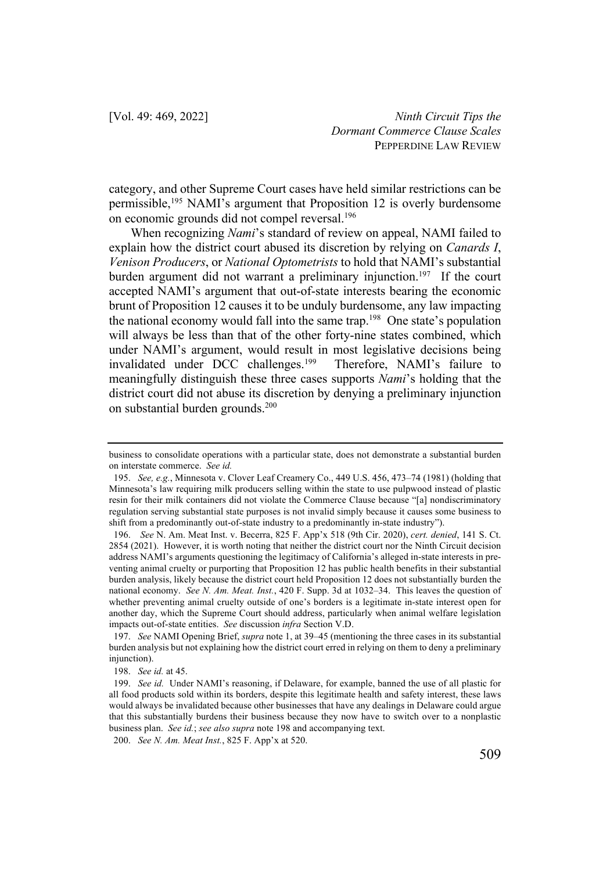category, and other Supreme Court cases have held similar restrictions can be permissible,195 NAMI's argument that Proposition 12 is overly burdensome on economic grounds did not compel reversal.196

When recognizing *Nami*'s standard of review on appeal, NAMI failed to explain how the district court abused its discretion by relying on *Canards I*, *Venison Producers*, or *National Optometrists* to hold that NAMI's substantial burden argument did not warrant a preliminary injunction.<sup>197</sup> If the court accepted NAMI's argument that out-of-state interests bearing the economic brunt of Proposition 12 causes it to be unduly burdensome, any law impacting the national economy would fall into the same trap.<sup>198</sup> One state's population will always be less than that of the other forty-nine states combined, which under NAMI's argument, would result in most legislative decisions being invalidated under DCC challenges.<sup>199</sup> Therefore, NAMI's failure to meaningfully distinguish these three cases supports *Nami*'s holding that the district court did not abuse its discretion by denying a preliminary injunction on substantial burden grounds.200

business to consolidate operations with a particular state, does not demonstrate a substantial burden on interstate commerce. *See id.* 

<sup>195.</sup> *See, e.g.*, Minnesota v. Clover Leaf Creamery Co., 449 U.S. 456, 473–74 (1981) (holding that Minnesota's law requiring milk producers selling within the state to use pulpwood instead of plastic resin for their milk containers did not violate the Commerce Clause because "[a] nondiscriminatory regulation serving substantial state purposes is not invalid simply because it causes some business to shift from a predominantly out-of-state industry to a predominantly in-state industry").

<sup>196.</sup> *See* N. Am. Meat Inst. v. Becerra, 825 F. App'x 518 (9th Cir. 2020), *cert. denied*, 141 S. Ct. 2854 (2021). However, it is worth noting that neither the district court nor the Ninth Circuit decision address NAMI's arguments questioning the legitimacy of California's alleged in-state interests in preventing animal cruelty or purporting that Proposition 12 has public health benefits in their substantial burden analysis, likely because the district court held Proposition 12 does not substantially burden the national economy. *See N. Am. Meat. Inst.*, 420 F. Supp. 3d at 1032–34. This leaves the question of whether preventing animal cruelty outside of one's borders is a legitimate in-state interest open for another day, which the Supreme Court should address, particularly when animal welfare legislation impacts out-of-state entities. *See* discussion *infra* Section V.D.

<sup>197.</sup> *See* NAMI Opening Brief, *supra* note 1, at 39–45 (mentioning the three cases in its substantial burden analysis but not explaining how the district court erred in relying on them to deny a preliminary injunction).

<sup>198.</sup> *See id.* at 45.

<sup>199.</sup> *See id.* Under NAMI's reasoning, if Delaware, for example, banned the use of all plastic for all food products sold within its borders, despite this legitimate health and safety interest, these laws would always be invalidated because other businesses that have any dealings in Delaware could argue that this substantially burdens their business because they now have to switch over to a nonplastic business plan. *See id.*; *see also supra* note 198 and accompanying text.

<sup>200.</sup> *See N. Am. Meat Inst.*, 825 F. App'x at 520.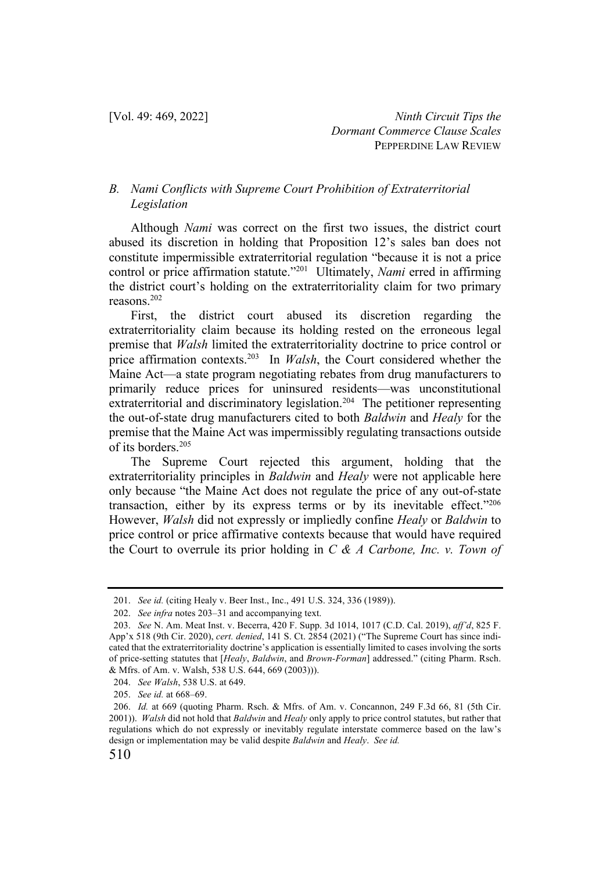## *B. Nami Conflicts with Supreme Court Prohibition of Extraterritorial Legislation*

Although *Nami* was correct on the first two issues, the district court abused its discretion in holding that Proposition 12's sales ban does not constitute impermissible extraterritorial regulation "because it is not a price control or price affirmation statute."201 Ultimately, *Nami* erred in affirming the district court's holding on the extraterritoriality claim for two primary reasons.202

First, the district court abused its discretion regarding the extraterritoriality claim because its holding rested on the erroneous legal premise that *Walsh* limited the extraterritoriality doctrine to price control or price affirmation contexts.203 In *Walsh*, the Court considered whether the Maine Act—a state program negotiating rebates from drug manufacturers to primarily reduce prices for uninsured residents—was unconstitutional extraterritorial and discriminatory legislation.<sup>204</sup> The petitioner representing the out-of-state drug manufacturers cited to both *Baldwin* and *Healy* for the premise that the Maine Act was impermissibly regulating transactions outside of its borders.205

The Supreme Court rejected this argument, holding that the extraterritoriality principles in *Baldwin* and *Healy* were not applicable here only because "the Maine Act does not regulate the price of any out-of-state transaction, either by its express terms or by its inevitable effect."206 However, *Walsh* did not expressly or impliedly confine *Healy* or *Baldwin* to price control or price affirmative contexts because that would have required the Court to overrule its prior holding in *C & A Carbone, Inc. v. Town of* 

<sup>201.</sup> *See id.* (citing Healy v. Beer Inst., Inc., 491 U.S. 324, 336 (1989)).

<sup>202.</sup> *See infra* notes 203–31 and accompanying text.

<sup>203.</sup> *See* N. Am. Meat Inst. v. Becerra, 420 F. Supp. 3d 1014, 1017 (C.D. Cal. 2019), *aff'd*, 825 F. App'x 518 (9th Cir. 2020), *cert. denied*, 141 S. Ct. 2854 (2021) ("The Supreme Court has since indicated that the extraterritoriality doctrine's application is essentially limited to cases involving the sorts of price-setting statutes that [*Healy*, *Baldwin*, and *Brown-Forman*] addressed." (citing Pharm. Rsch. & Mfrs. of Am. v. Walsh, 538 U.S. 644, 669 (2003))).

<sup>204.</sup> *See Walsh*, 538 U.S. at 649.

<sup>205.</sup> *See id.* at 668–69.

<sup>206.</sup> *Id.* at 669 (quoting Pharm. Rsch. & Mfrs. of Am. v. Concannon, 249 F.3d 66, 81 (5th Cir. 2001)). *Walsh* did not hold that *Baldwin* and *Healy* only apply to price control statutes, but rather that regulations which do not expressly or inevitably regulate interstate commerce based on the law's design or implementation may be valid despite *Baldwin* and *Healy*. *See id.*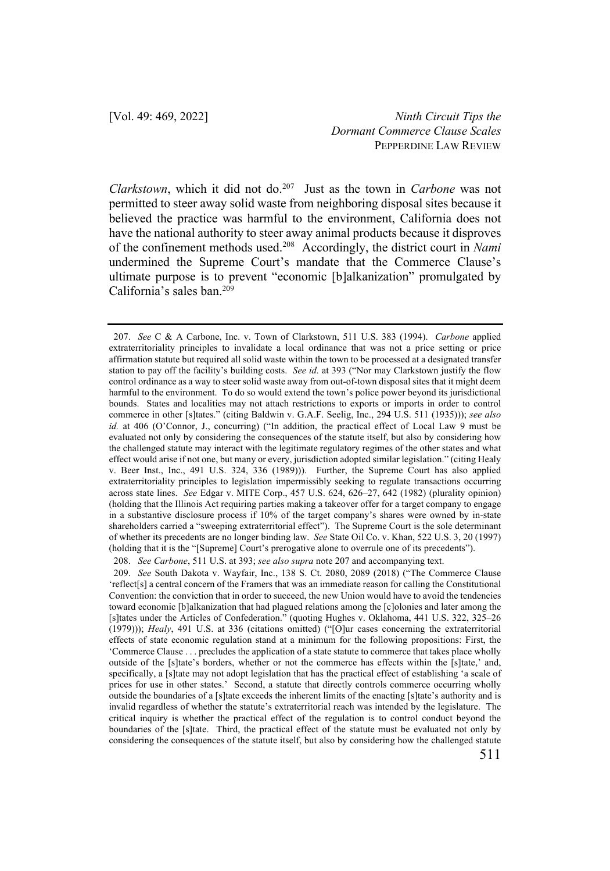*Clarkstown*, which it did not do. 207 Just as the town in *Carbone* was not permitted to steer away solid waste from neighboring disposal sites because it believed the practice was harmful to the environment, California does not have the national authority to steer away animal products because it disproves of the confinement methods used.208 Accordingly, the district court in *Nami* undermined the Supreme Court's mandate that the Commerce Clause's ultimate purpose is to prevent "economic [b]alkanization" promulgated by California's sales ban.<sup>209</sup>

<sup>207.</sup> *See* C & A Carbone, Inc. v. Town of Clarkstown, 511 U.S. 383 (1994). *Carbone* applied extraterritoriality principles to invalidate a local ordinance that was not a price setting or price affirmation statute but required all solid waste within the town to be processed at a designated transfer station to pay off the facility's building costs. *See id.* at 393 ("Nor may Clarkstown justify the flow control ordinance as a way to steer solid waste away from out-of-town disposal sites that it might deem harmful to the environment. To do so would extend the town's police power beyond its jurisdictional bounds. States and localities may not attach restrictions to exports or imports in order to control commerce in other [s]tates." (citing Baldwin v. G.A.F. Seelig, Inc., 294 U.S. 511 (1935))); *see also id.* at 406 (O'Connor, J., concurring) ("In addition, the practical effect of Local Law 9 must be evaluated not only by considering the consequences of the statute itself, but also by considering how the challenged statute may interact with the legitimate regulatory regimes of the other states and what effect would arise if not one, but many or every, jurisdiction adopted similar legislation." (citing Healy v. Beer Inst., Inc., 491 U.S. 324, 336 (1989))). Further, the Supreme Court has also applied extraterritoriality principles to legislation impermissibly seeking to regulate transactions occurring across state lines. *See* Edgar v. MITE Corp., 457 U.S. 624, 626–27, 642 (1982) (plurality opinion) (holding that the Illinois Act requiring parties making a takeover offer for a target company to engage in a substantive disclosure process if 10% of the target company's shares were owned by in-state shareholders carried a "sweeping extraterritorial effect"). The Supreme Court is the sole determinant of whether its precedents are no longer binding law. *See* State Oil Co. v. Khan, 522 U.S. 3, 20 (1997) (holding that it is the "[Supreme] Court's prerogative alone to overrule one of its precedents").

<sup>208.</sup> *See Carbone*, 511 U.S. at 393; *see also supra* note 207 and accompanying text.

<sup>209.</sup> *See* South Dakota v. Wayfair, Inc., 138 S. Ct. 2080, 2089 (2018) ("The Commerce Clause 'reflect[s] a central concern of the Framers that was an immediate reason for calling the Constitutional Convention: the conviction that in order to succeed, the new Union would have to avoid the tendencies toward economic [b]alkanization that had plagued relations among the [c]olonies and later among the [s]tates under the Articles of Confederation." (quoting Hughes v. Oklahoma, 441 U.S. 322, 325–26 (1979))); *Healy*, 491 U.S. at 336 (citations omitted) ("[O]ur cases concerning the extraterritorial effects of state economic regulation stand at a minimum for the following propositions: First, the 'Commerce Clause . . . precludes the application of a state statute to commerce that takes place wholly outside of the [s]tate's borders, whether or not the commerce has effects within the [s]tate,' and, specifically, a [s]tate may not adopt legislation that has the practical effect of establishing 'a scale of prices for use in other states.' Second, a statute that directly controls commerce occurring wholly outside the boundaries of a [s]tate exceeds the inherent limits of the enacting [s]tate's authority and is invalid regardless of whether the statute's extraterritorial reach was intended by the legislature. The critical inquiry is whether the practical effect of the regulation is to control conduct beyond the boundaries of the [s]tate. Third, the practical effect of the statute must be evaluated not only by considering the consequences of the statute itself, but also by considering how the challenged statute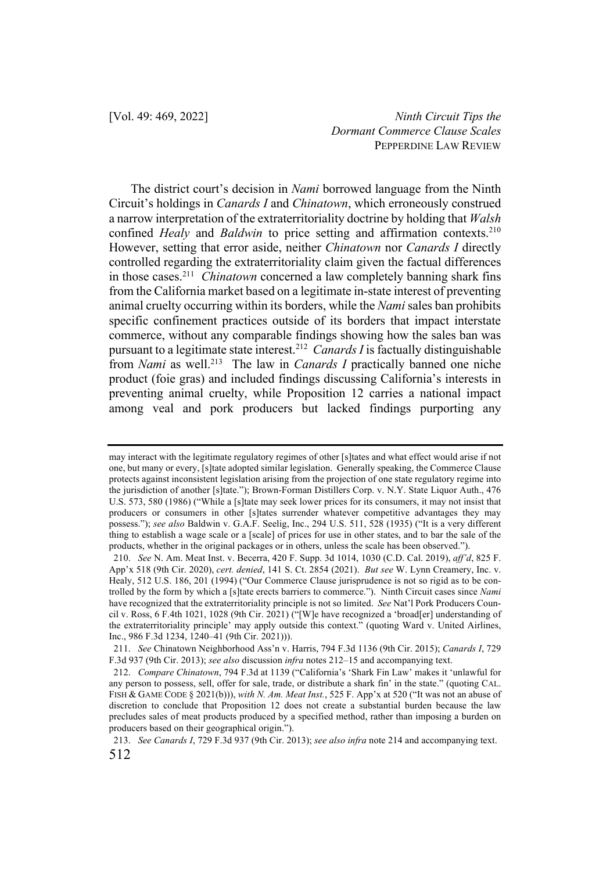The district court's decision in *Nami* borrowed language from the Ninth Circuit's holdings in *Canards I* and *Chinatown*, which erroneously construed a narrow interpretation of the extraterritoriality doctrine by holding that *Walsh* confined *Healy* and *Baldwin* to price setting and affirmation contexts.<sup>210</sup> However, setting that error aside, neither *Chinatown* nor *Canards I* directly controlled regarding the extraterritoriality claim given the factual differences in those cases.211 *Chinatown* concerned a law completely banning shark fins from the California market based on a legitimate in-state interest of preventing animal cruelty occurring within its borders, while the *Nami* sales ban prohibits specific confinement practices outside of its borders that impact interstate commerce, without any comparable findings showing how the sales ban was pursuant to a legitimate state interest.212 *Canards I* is factually distinguishable from *Nami* as well.<sup>213</sup> The law in *Canards I* practically banned one niche product (foie gras) and included findings discussing California's interests in preventing animal cruelty, while Proposition 12 carries a national impact among veal and pork producers but lacked findings purporting any

may interact with the legitimate regulatory regimes of other [s]tates and what effect would arise if not one, but many or every, [s]tate adopted similar legislation. Generally speaking, the Commerce Clause protects against inconsistent legislation arising from the projection of one state regulatory regime into the jurisdiction of another [s]tate."); Brown-Forman Distillers Corp. v. N.Y. State Liquor Auth., 476 U.S. 573, 580 (1986) ("While a [s]tate may seek lower prices for its consumers, it may not insist that producers or consumers in other [s]tates surrender whatever competitive advantages they may possess."); *see also* Baldwin v. G.A.F. Seelig, Inc., 294 U.S. 511, 528 (1935) ("It is a very different thing to establish a wage scale or a [scale] of prices for use in other states, and to bar the sale of the products, whether in the original packages or in others, unless the scale has been observed.").

<sup>210.</sup> *See* N. Am. Meat Inst. v. Becerra, 420 F. Supp. 3d 1014, 1030 (C.D. Cal. 2019), *aff'd*, 825 F. App'x 518 (9th Cir. 2020), *cert. denied*, 141 S. Ct. 2854 (2021). *But see* W. Lynn Creamery, Inc. v. Healy, 512 U.S. 186, 201 (1994) ("Our Commerce Clause jurisprudence is not so rigid as to be controlled by the form by which a [s]tate erects barriers to commerce."). Ninth Circuit cases since *Nami*  have recognized that the extraterritoriality principle is not so limited. *See* Nat'l Pork Producers Council v. Ross, 6 F.4th 1021, 1028 (9th Cir. 2021) ("[W]e have recognized a 'broad[er] understanding of the extraterritoriality principle' may apply outside this context." (quoting Ward v. United Airlines, Inc., 986 F.3d 1234, 1240–41 (9th Cir. 2021))).

<sup>211.</sup> *See* Chinatown Neighborhood Ass'n v. Harris, 794 F.3d 1136 (9th Cir. 2015); *Canards I*, 729 F.3d 937 (9th Cir. 2013); *see also* discussion *infra* notes 212–15 and accompanying text.

<sup>212.</sup> *Compare Chinatown*, 794 F.3d at 1139 ("California's 'Shark Fin Law' makes it 'unlawful for any person to possess, sell, offer for sale, trade, or distribute a shark fin' in the state." (quoting CAL. FISH & GAME CODE § 2021(b))), *with N. Am. Meat Inst.*, 525 F. App'x at 520 ("It was not an abuse of discretion to conclude that Proposition 12 does not create a substantial burden because the law precludes sales of meat products produced by a specified method, rather than imposing a burden on producers based on their geographical origin.").

<sup>512</sup> 213. *See Canards I*, 729 F.3d 937 (9th Cir. 2013); *see also infra* note 214 and accompanying text.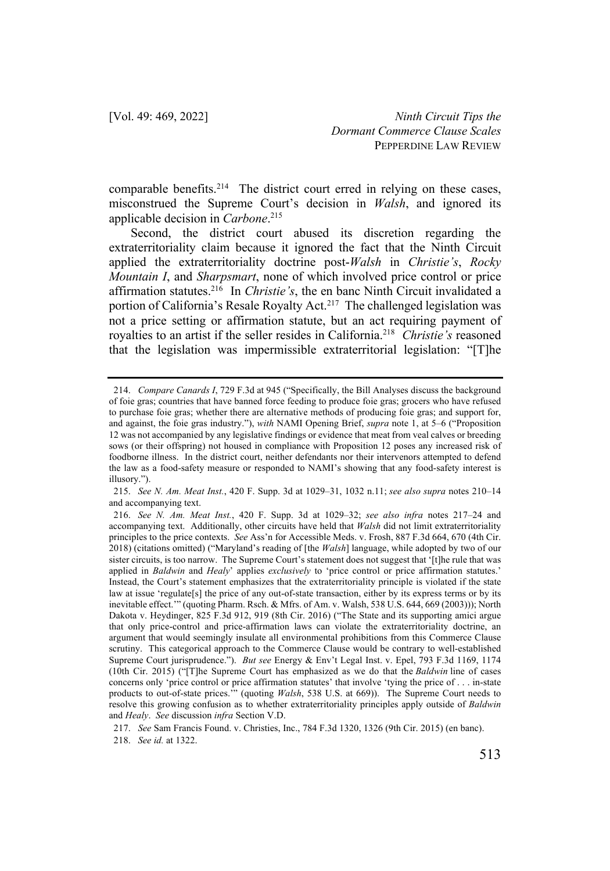comparable benefits.<sup>214</sup> The district court erred in relying on these cases, misconstrued the Supreme Court's decision in *Walsh*, and ignored its applicable decision in *Carbone*. 215

Second, the district court abused its discretion regarding the extraterritoriality claim because it ignored the fact that the Ninth Circuit applied the extraterritoriality doctrine post-*Walsh* in *Christie's*, *Rocky Mountain I*, and *Sharpsmart*, none of which involved price control or price affirmation statutes.216 In *Christie's*, the en banc Ninth Circuit invalidated a portion of California's Resale Royalty Act.<sup>217</sup> The challenged legislation was not a price setting or affirmation statute, but an act requiring payment of royalties to an artist if the seller resides in California.218 *Christie's* reasoned that the legislation was impermissible extraterritorial legislation: "[T]he

218. *See id.* at 1322.

<sup>214.</sup> *Compare Canards I*, 729 F.3d at 945 ("Specifically, the Bill Analyses discuss the background of foie gras; countries that have banned force feeding to produce foie gras; grocers who have refused to purchase foie gras; whether there are alternative methods of producing foie gras; and support for, and against, the foie gras industry."), *with* NAMI Opening Brief, *supra* note 1, at 5–6 ("Proposition 12 was not accompanied by any legislative findings or evidence that meat from veal calves or breeding sows (or their offspring) not housed in compliance with Proposition 12 poses any increased risk of foodborne illness. In the district court, neither defendants nor their intervenors attempted to defend the law as a food-safety measure or responded to NAMI's showing that any food-safety interest is illusory.").

<sup>215.</sup> *See N. Am. Meat Inst.*, 420 F. Supp. 3d at 1029–31, 1032 n.11; *see also supra* notes 210–14 and accompanying text.

<sup>216.</sup> *See N. Am. Meat Inst.*, 420 F. Supp. 3d at 1029–32; *see also infra* notes 217–24 and accompanying text. Additionally, other circuits have held that *Walsh* did not limit extraterritoriality principles to the price contexts. *See* Ass'n for Accessible Meds. v. Frosh, 887 F.3d 664, 670 (4th Cir. 2018) (citations omitted) ("Maryland's reading of [the *Walsh*] language, while adopted by two of our sister circuits, is too narrow. The Supreme Court's statement does not suggest that '[t]he rule that was applied in *Baldwin* and *Healy*' applies *exclusively* to 'price control or price affirmation statutes.' Instead, the Court's statement emphasizes that the extraterritoriality principle is violated if the state law at issue 'regulate[s] the price of any out-of-state transaction, either by its express terms or by its inevitable effect.'" (quoting Pharm. Rsch. & Mfrs. of Am. v. Walsh, 538 U.S. 644, 669 (2003))); North Dakota v. Heydinger, 825 F.3d 912, 919 (8th Cir. 2016) ("The State and its supporting amici argue that only price-control and price-affirmation laws can violate the extraterritoriality doctrine, an argument that would seemingly insulate all environmental prohibitions from this Commerce Clause scrutiny. This categorical approach to the Commerce Clause would be contrary to well-established Supreme Court jurisprudence."). *But see* Energy & Env't Legal Inst. v. Epel, 793 F.3d 1169, 1174 (10th Cir. 2015) ("[T]he Supreme Court has emphasized as we do that the *Baldwin* line of cases concerns only 'price control or price affirmation statutes' that involve 'tying the price of . . . in-state products to out-of-state prices.'" (quoting *Walsh*, 538 U.S. at 669)). The Supreme Court needs to resolve this growing confusion as to whether extraterritoriality principles apply outside of *Baldwin*  and *Healy*. *See* discussion *infra* Section V.D.

<sup>217.</sup> *See* Sam Francis Found. v. Christies, Inc., 784 F.3d 1320, 1326 (9th Cir. 2015) (en banc).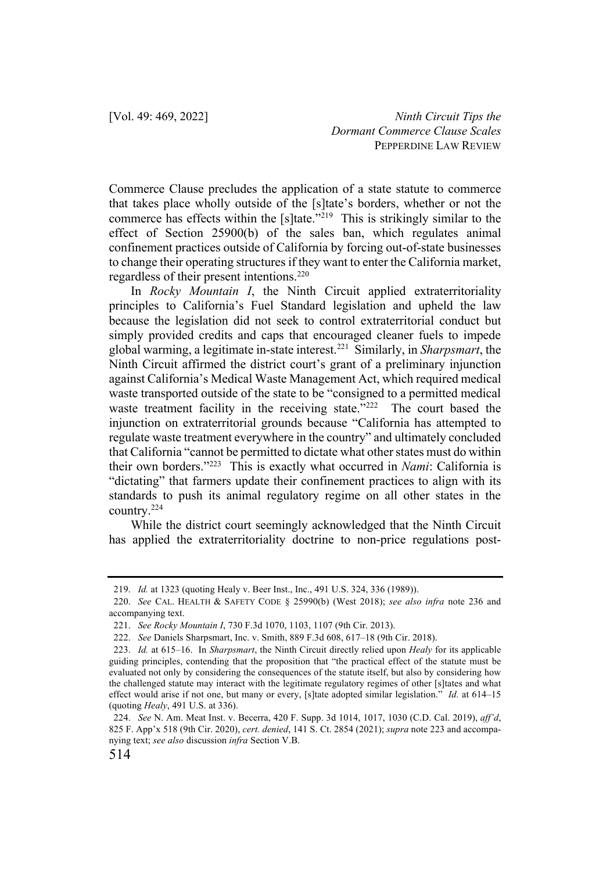Commerce Clause precludes the application of a state statute to commerce that takes place wholly outside of the [s]tate's borders, whether or not the commerce has effects within the [s]tate."219 This is strikingly similar to the effect of Section 25900(b) of the sales ban, which regulates animal confinement practices outside of California by forcing out-of-state businesses to change their operating structures if they want to enter the California market, regardless of their present intentions.<sup>220</sup>

In *Rocky Mountain I*, the Ninth Circuit applied extraterritoriality principles to California's Fuel Standard legislation and upheld the law because the legislation did not seek to control extraterritorial conduct but simply provided credits and caps that encouraged cleaner fuels to impede global warming, a legitimate in-state interest.221 Similarly, in *Sharpsmart*, the Ninth Circuit affirmed the district court's grant of a preliminary injunction against California's Medical Waste Management Act, which required medical waste transported outside of the state to be "consigned to a permitted medical waste treatment facility in the receiving state."<sup>222</sup> The court based the injunction on extraterritorial grounds because "California has attempted to regulate waste treatment everywhere in the country" and ultimately concluded that California "cannot be permitted to dictate what other states must do within their own borders."223 This is exactly what occurred in *Nami*: California is "dictating" that farmers update their confinement practices to align with its standards to push its animal regulatory regime on all other states in the country.224

While the district court seemingly acknowledged that the Ninth Circuit has applied the extraterritoriality doctrine to non-price regulations post-

<sup>219.</sup> *Id.* at 1323 (quoting Healy v. Beer Inst., Inc., 491 U.S. 324, 336 (1989)).

<sup>220.</sup> *See* CAL. HEALTH & SAFETY CODE § 25990(b) (West 2018); *see also infra* note 236 and accompanying text.

<sup>221.</sup> *See Rocky Mountain I*, 730 F.3d 1070, 1103, 1107 (9th Cir. 2013).

<sup>222.</sup> *See* Daniels Sharpsmart, Inc. v. Smith, 889 F.3d 608, 617–18 (9th Cir. 2018).

<sup>223.</sup> *Id.* at 615–16. In *Sharpsmart*, the Ninth Circuit directly relied upon *Healy* for its applicable guiding principles, contending that the proposition that "the practical effect of the statute must be evaluated not only by considering the consequences of the statute itself, but also by considering how the challenged statute may interact with the legitimate regulatory regimes of other [s]tates and what effect would arise if not one, but many or every, [s]tate adopted similar legislation." *Id.* at 614–15 (quoting *Healy*, 491 U.S. at 336).

<sup>224.</sup> *See* N. Am. Meat Inst. v. Becerra, 420 F. Supp. 3d 1014, 1017, 1030 (C.D. Cal. 2019), *aff'd*, 825 F. App'x 518 (9th Cir. 2020), *cert. denied*, 141 S. Ct. 2854 (2021); *supra* note 223 and accompanying text; *see also* discussion *infra* Section V.B.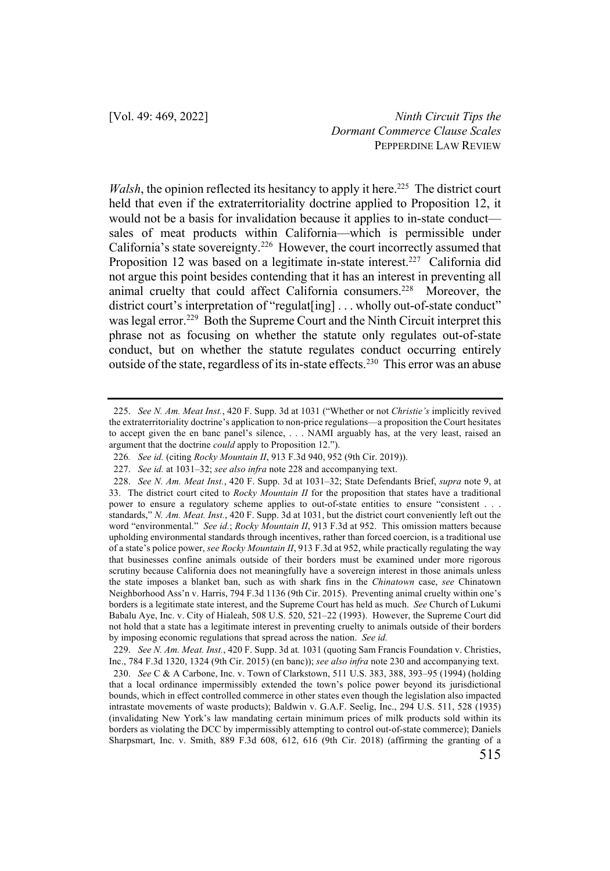*Walsh*, the opinion reflected its hesitancy to apply it here.<sup>225</sup> The district court held that even if the extraterritoriality doctrine applied to Proposition 12, it would not be a basis for invalidation because it applies to in-state conduct sales of meat products within California—which is permissible under California's state sovereignty.<sup>226</sup> However, the court incorrectly assumed that Proposition 12 was based on a legitimate in-state interest.<sup>227</sup> California did not argue this point besides contending that it has an interest in preventing all animal cruelty that could affect California consumers.<sup>228</sup> Moreover, the district court's interpretation of "regulat [ing] ... wholly out-of-state conduct" was legal error.<sup>229</sup> Both the Supreme Court and the Ninth Circuit interpret this phrase not as focusing on whether the statute only regulates out-of-state conduct, but on whether the statute regulates conduct occurring entirely outside of the state, regardless of its in-state effects.<sup>230</sup> This error was an abuse

<sup>225.</sup> *See N. Am. Meat Inst.*, 420 F. Supp. 3d at 1031 ("Whether or not *Christie's* implicitly revived the extraterritoriality doctrine's application to non-price regulations—a proposition the Court hesitates to accept given the en banc panel's silence, . . . NAMI arguably has, at the very least, raised an argument that the doctrine *could* apply to Proposition 12.").

<sup>226</sup>*. See id.* (citing *Rocky Mountain II*, 913 F.3d 940, 952 (9th Cir. 2019)).

<sup>227.</sup> *See id.* at 1031–32; *see also infra* note 228 and accompanying text.

<sup>228.</sup> *See N. Am. Meat Inst.*, 420 F. Supp. 3d at 1031–32; State Defendants Brief, *supra* note 9, at 33. The district court cited to *Rocky Mountain II* for the proposition that states have a traditional power to ensure a regulatory scheme applies to out-of-state entities to ensure "consistent . . . standards," *N. Am. Meat. Inst.*, 420 F. Supp. 3d at 1031, but the district court conveniently left out the word "environmental." *See id.*; *Rocky Mountain II*, 913 F.3d at 952. This omission matters because upholding environmental standards through incentives, rather than forced coercion, is a traditional use of a state's police power, *see Rocky Mountain II*, 913 F.3d at 952, while practically regulating the way that businesses confine animals outside of their borders must be examined under more rigorous scrutiny because California does not meaningfully have a sovereign interest in those animals unless the state imposes a blanket ban, such as with shark fins in the *Chinatown* case, *see* Chinatown Neighborhood Ass'n v. Harris, 794 F.3d 1136 (9th Cir. 2015). Preventing animal cruelty within one's borders is a legitimate state interest, and the Supreme Court has held as much. *See* Church of Lukumi Babalu Aye, Inc. v. City of Hialeah, 508 U.S. 520, 521–22 (1993). However, the Supreme Court did not hold that a state has a legitimate interest in preventing cruelty to animals outside of their borders by imposing economic regulations that spread across the nation. *See id.*

<sup>229.</sup> *See N. Am. Meat. Inst.*, 420 F. Supp. 3d at*.* 1031 (quoting Sam Francis Foundation v. Christies, Inc., 784 F.3d 1320, 1324 (9th Cir. 2015) (en banc)); *see also infra* note 230 and accompanying text.

<sup>230.</sup> *See* C & A Carbone, Inc. v. Town of Clarkstown, 511 U.S. 383, 388, 393–95 (1994) (holding that a local ordinance impermissibly extended the town's police power beyond its jurisdictional bounds, which in effect controlled commerce in other states even though the legislation also impacted intrastate movements of waste products); Baldwin v. G.A.F. Seelig, Inc., 294 U.S. 511, 528 (1935) (invalidating New York's law mandating certain minimum prices of milk products sold within its borders as violating the DCC by impermissibly attempting to control out-of-state commerce); Daniels Sharpsmart, Inc. v. Smith, 889 F.3d 608, 612, 616 (9th Cir. 2018) (affirming the granting of a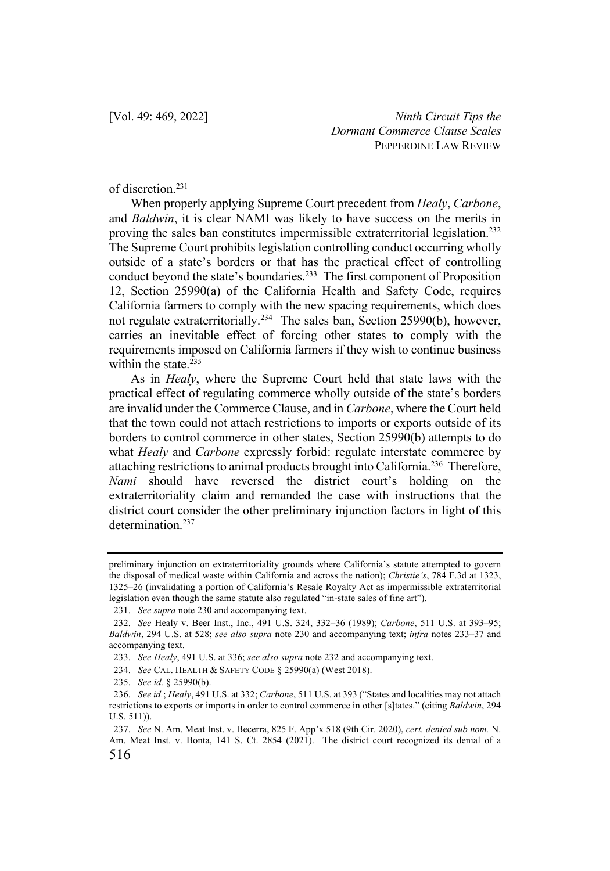of discretion.231

When properly applying Supreme Court precedent from *Healy*, *Carbone*, and *Baldwin*, it is clear NAMI was likely to have success on the merits in proving the sales ban constitutes impermissible extraterritorial legislation.<sup>232</sup> The Supreme Court prohibits legislation controlling conduct occurring wholly outside of a state's borders or that has the practical effect of controlling conduct beyond the state's boundaries. 233 The first component of Proposition 12, Section 25990(a) of the California Health and Safety Code, requires California farmers to comply with the new spacing requirements, which does not regulate extraterritorially.234 The sales ban, Section 25990(b), however, carries an inevitable effect of forcing other states to comply with the requirements imposed on California farmers if they wish to continue business within the state. $235$ 

As in *Healy*, where the Supreme Court held that state laws with the practical effect of regulating commerce wholly outside of the state's borders are invalid under the Commerce Clause, and in *Carbone*, where the Court held that the town could not attach restrictions to imports or exports outside of its borders to control commerce in other states, Section 25990(b) attempts to do what *Healy* and *Carbone* expressly forbid: regulate interstate commerce by attaching restrictions to animal products brought into California.236 Therefore, *Nami* should have reversed the district court's holding on the extraterritoriality claim and remanded the case with instructions that the district court consider the other preliminary injunction factors in light of this determination.<sup>237</sup>

preliminary injunction on extraterritoriality grounds where California's statute attempted to govern the disposal of medical waste within California and across the nation); *Christie's*, 784 F.3d at 1323, 1325–26 (invalidating a portion of California's Resale Royalty Act as impermissible extraterritorial legislation even though the same statute also regulated "in-state sales of fine art").

<sup>231.</sup> *See supra* note 230 and accompanying text.

<sup>232.</sup> *See* Healy v. Beer Inst., Inc., 491 U.S. 324, 332–36 (1989); *Carbone*, 511 U.S. at 393–95; *Baldwin*, 294 U.S. at 528; *see also supra* note 230 and accompanying text; *infra* notes 233–37 and accompanying text.

<sup>233.</sup> *See Healy*, 491 U.S. at 336; *see also supra* note 232 and accompanying text.

<sup>234.</sup> *See* CAL. HEALTH & SAFETY CODE § 25990(a) (West 2018).

<sup>235.</sup> *See id.* § 25990(b).

<sup>236.</sup> *See id.*; *Healy*, 491 U.S. at 332; *Carbone*, 511 U.S. at 393 ("States and localities may not attach restrictions to exports or imports in order to control commerce in other [s]tates." (citing *Baldwin*, 294 U.S. 511)).

<sup>516</sup> 237. *See* N. Am. Meat Inst. v. Becerra, 825 F. App'x 518 (9th Cir. 2020), *cert. denied sub nom.* N. Am. Meat Inst. v. Bonta, 141 S. Ct. 2854 (2021). The district court recognized its denial of a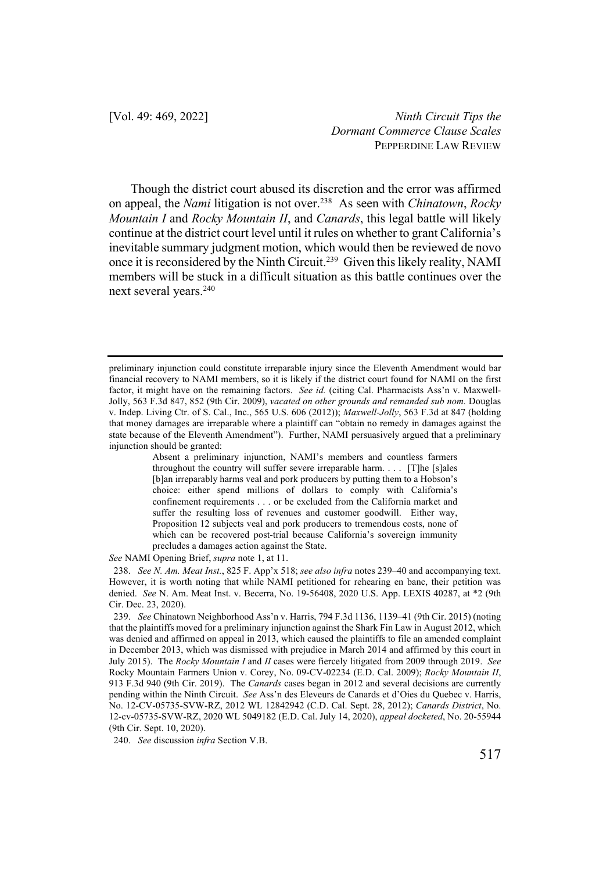Though the district court abused its discretion and the error was affirmed on appeal, the *Nami* litigation is not over.238 As seen with *Chinatown*, *Rocky Mountain I* and *Rocky Mountain II*, and *Canards*, this legal battle will likely continue at the district court level until it rules on whether to grant California's inevitable summary judgment motion, which would then be reviewed de novo once it is reconsidered by the Ninth Circuit.<sup>239</sup> Given this likely reality, NAMI members will be stuck in a difficult situation as this battle continues over the next several years.<sup>240</sup>

*See* NAMI Opening Brief, *supra* note 1, at 11.

preliminary injunction could constitute irreparable injury since the Eleventh Amendment would bar financial recovery to NAMI members, so it is likely if the district court found for NAMI on the first factor, it might have on the remaining factors. *See id.* (citing Cal. Pharmacists Ass'n v. Maxwell-Jolly, 563 F.3d 847, 852 (9th Cir. 2009), *vacated on other grounds and remanded sub nom.* Douglas v. Indep. Living Ctr. of S. Cal., Inc., 565 U.S. 606 (2012)); *Maxwell-Jolly*, 563 F.3d at 847 (holding that money damages are irreparable where a plaintiff can "obtain no remedy in damages against the state because of the Eleventh Amendment"). Further, NAMI persuasively argued that a preliminary injunction should be granted:

Absent a preliminary injunction, NAMI's members and countless farmers throughout the country will suffer severe irreparable harm. . . . [T]he [s]ales [b]an irreparably harms veal and pork producers by putting them to a Hobson's choice: either spend millions of dollars to comply with California's confinement requirements . . . or be excluded from the California market and suffer the resulting loss of revenues and customer goodwill. Either way, Proposition 12 subjects veal and pork producers to tremendous costs, none of which can be recovered post-trial because California's sovereign immunity precludes a damages action against the State.

<sup>238.</sup> *See N. Am. Meat Inst.*, 825 F. App'x 518; *see also infra* notes 239–40 and accompanying text. However, it is worth noting that while NAMI petitioned for rehearing en banc, their petition was denied. *See* N. Am. Meat Inst. v. Becerra, No. 19-56408, 2020 U.S. App. LEXIS 40287, at \*2 (9th Cir. Dec. 23, 2020).

<sup>239.</sup> *See* Chinatown Neighborhood Ass'n v. Harris, 794 F.3d 1136, 1139–41 (9th Cir. 2015) (noting that the plaintiffs moved for a preliminary injunction against the Shark Fin Law in August 2012, which was denied and affirmed on appeal in 2013, which caused the plaintiffs to file an amended complaint in December 2013, which was dismissed with prejudice in March 2014 and affirmed by this court in July 2015). The *Rocky Mountain I* and *II* cases were fiercely litigated from 2009 through 2019. *See*  Rocky Mountain Farmers Union v. Corey, No. 09-CV-02234 (E.D. Cal. 2009); *Rocky Mountain II*, 913 F.3d 940 (9th Cir. 2019). The *Canards* cases began in 2012 and several decisions are currently pending within the Ninth Circuit. *See* Ass'n des Eleveurs de Canards et d'Oies du Quebec v. Harris, No. 12-CV-05735-SVW-RZ, 2012 WL 12842942 (C.D. Cal. Sept. 28, 2012); *Canards District*, No. 12-cv-05735-SVW-RZ, 2020 WL 5049182 (E.D. Cal. July 14, 2020), *appeal docketed*, No. 20-55944 (9th Cir. Sept. 10, 2020).

<sup>240.</sup> *See* discussion *infra* Section V.B.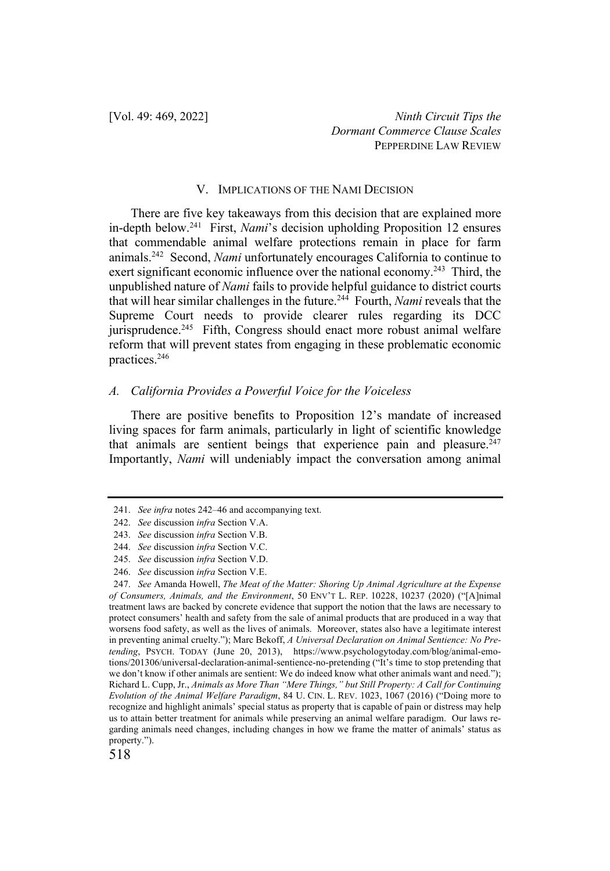#### V. IMPLICATIONS OF THE NAMI DECISION

There are five key takeaways from this decision that are explained more in-depth below.241 First, *Nami*'s decision upholding Proposition 12 ensures that commendable animal welfare protections remain in place for farm animals.242 Second, *Nami* unfortunately encourages California to continue to exert significant economic influence over the national economy.<sup>243</sup> Third, the unpublished nature of *Nami* fails to provide helpful guidance to district courts that will hear similar challenges in the future.244 Fourth, *Nami* reveals that the Supreme Court needs to provide clearer rules regarding its DCC jurisprudence.<sup>245</sup> Fifth, Congress should enact more robust animal welfare reform that will prevent states from engaging in these problematic economic practices.246

## *A. California Provides a Powerful Voice for the Voiceless*

There are positive benefits to Proposition 12's mandate of increased living spaces for farm animals, particularly in light of scientific knowledge that animals are sentient beings that experience pain and pleasure. $247$ Importantly, *Nami* will undeniably impact the conversation among animal

<sup>241.</sup> *See infra* notes 242–46 and accompanying text.

<sup>242.</sup> *See* discussion *infra* Section V.A.

<sup>243.</sup> *See* discussion *infra* Section V.B. 244. *See* discussion *infra* Section V.C.

<sup>245.</sup> *See* discussion *infra* Section V.D.

<sup>246.</sup> *See* discussion *infra* Section V.E.

<sup>247.</sup> *See* Amanda Howell, *The Meat of the Matter: Shoring Up Animal Agriculture at the Expense of Consumers, Animals, and the Environment*, 50 ENV'T L. REP. 10228, 10237 (2020) ("[A]nimal treatment laws are backed by concrete evidence that support the notion that the laws are necessary to protect consumers' health and safety from the sale of animal products that are produced in a way that worsens food safety, as well as the lives of animals. Moreover, states also have a legitimate interest in preventing animal cruelty."); Marc Bekoff, *A Universal Declaration on Animal Sentience: No Pretending*, PSYCH. TODAY (June 20, 2013), https://www.psychologytoday.com/blog/animal-emotions/201306/universal-declaration-animal-sentience-no-pretending ("It's time to stop pretending that we don't know if other animals are sentient: We do indeed know what other animals want and need."); Richard L. Cupp, Jr., *Animals as More Than "Mere Things," but Still Property: A Call for Continuing Evolution of the Animal Welfare Paradigm*, 84 U. CIN. L. REV. 1023, 1067 (2016) ("Doing more to recognize and highlight animals' special status as property that is capable of pain or distress may help us to attain better treatment for animals while preserving an animal welfare paradigm. Our laws regarding animals need changes, including changes in how we frame the matter of animals' status as property.").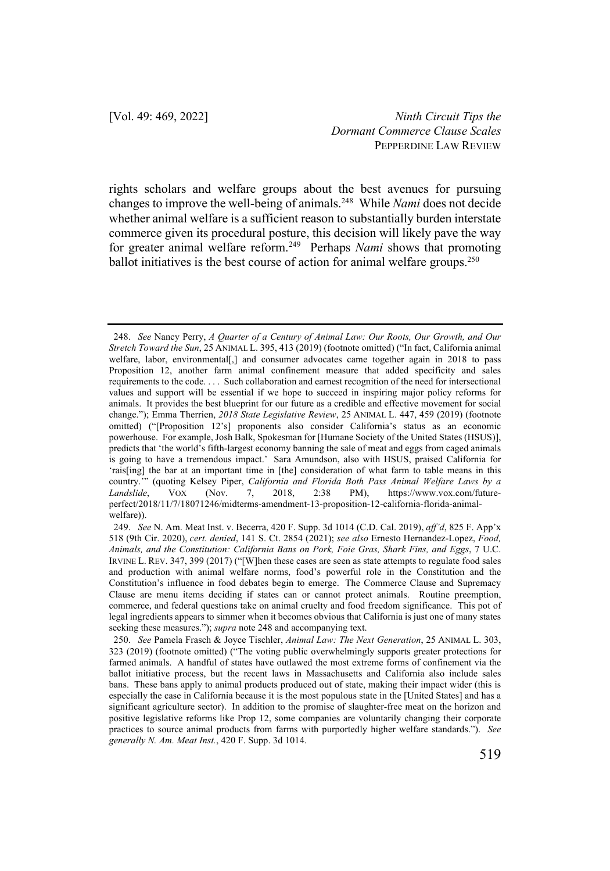rights scholars and welfare groups about the best avenues for pursuing changes to improve the well-being of animals.248 While *Nami* does not decide whether animal welfare is a sufficient reason to substantially burden interstate commerce given its procedural posture, this decision will likely pave the way for greater animal welfare reform.249 Perhaps *Nami* shows that promoting ballot initiatives is the best course of action for animal welfare groups.<sup>250</sup>

<sup>248.</sup> *See* Nancy Perry, *A Quarter of a Century of Animal Law: Our Roots, Our Growth, and Our Stretch Toward the Sun*, 25 ANIMAL L. 395, 413 (2019) (footnote omitted) ("In fact, California animal welfare, labor, environmental[,] and consumer advocates came together again in 2018 to pass Proposition 12, another farm animal confinement measure that added specificity and sales requirements to the code. . . . Such collaboration and earnest recognition of the need for intersectional values and support will be essential if we hope to succeed in inspiring major policy reforms for animals. It provides the best blueprint for our future as a credible and effective movement for social change."); Emma Therrien, *2018 State Legislative Review*, 25 ANIMAL L. 447, 459 (2019) (footnote omitted) ("[Proposition 12's] proponents also consider California's status as an economic powerhouse. For example, Josh Balk, Spokesman for [Humane Society of the United States (HSUS)], predicts that 'the world's fifth-largest economy banning the sale of meat and eggs from caged animals is going to have a tremendous impact.' Sara Amundson, also with HSUS, praised California for 'rais[ing] the bar at an important time in [the] consideration of what farm to table means in this country.'" (quoting Kelsey Piper, *California and Florida Both Pass Animal Welfare Laws by a Landslide*, VOX (Nov. 7, 2018, 2:38 PM), https://www.vox.com/futureperfect/2018/11/7/18071246/midterms-amendment-13-proposition-12-california-florida-animalwelfare)).

<sup>249.</sup> *See* N. Am. Meat Inst. v. Becerra, 420 F. Supp. 3d 1014 (C.D. Cal. 2019), *aff'd*, 825 F. App'x 518 (9th Cir. 2020), *cert. denied*, 141 S. Ct. 2854 (2021); *see also* Ernesto Hernandez-Lopez, *Food, Animals, and the Constitution: California Bans on Pork, Foie Gras, Shark Fins, and Eggs*, 7 U.C. IRVINE L. REV. 347, 399 (2017) ("[W]hen these cases are seen as state attempts to regulate food sales and production with animal welfare norms, food's powerful role in the Constitution and the Constitution's influence in food debates begin to emerge. The Commerce Clause and Supremacy Clause are menu items deciding if states can or cannot protect animals. Routine preemption, commerce, and federal questions take on animal cruelty and food freedom significance. This pot of legal ingredients appears to simmer when it becomes obvious that California is just one of many states seeking these measures."); *supra* note 248 and accompanying text.

<sup>250.</sup> *See* Pamela Frasch & Joyce Tischler, *Animal Law: The Next Generation*, 25 ANIMAL L. 303, 323 (2019) (footnote omitted) ("The voting public overwhelmingly supports greater protections for farmed animals. A handful of states have outlawed the most extreme forms of confinement via the ballot initiative process, but the recent laws in Massachusetts and California also include sales bans. These bans apply to animal products produced out of state, making their impact wider (this is especially the case in California because it is the most populous state in the [United States] and has a significant agriculture sector). In addition to the promise of slaughter-free meat on the horizon and positive legislative reforms like Prop 12, some companies are voluntarily changing their corporate practices to source animal products from farms with purportedly higher welfare standards."). *See generally N. Am. Meat Inst.*, 420 F. Supp. 3d 1014.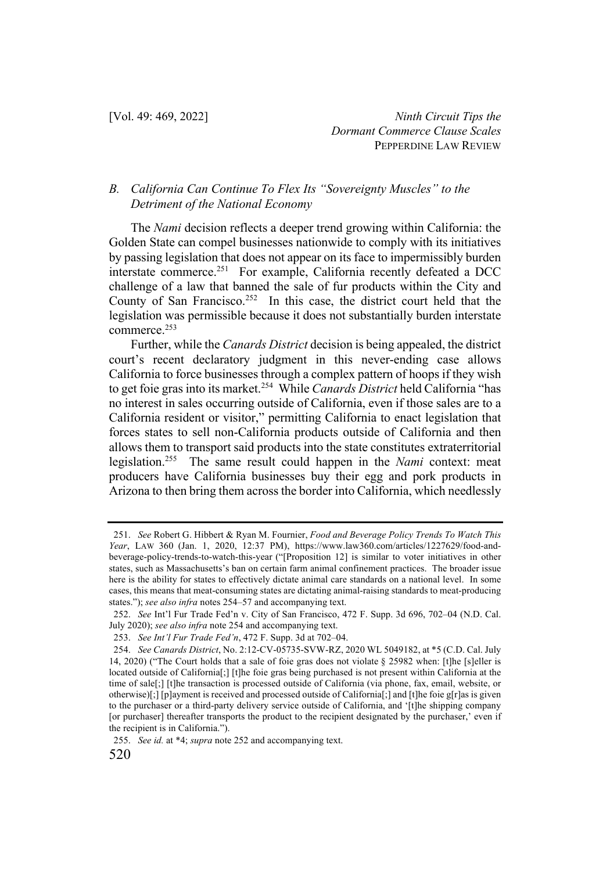## *B. California Can Continue To Flex Its "Sovereignty Muscles" to the Detriment of the National Economy*

The *Nami* decision reflects a deeper trend growing within California: the Golden State can compel businesses nationwide to comply with its initiatives by passing legislation that does not appear on its face to impermissibly burden interstate commerce.251 For example, California recently defeated a DCC challenge of a law that banned the sale of fur products within the City and County of San Francisco.<sup>252</sup> In this case, the district court held that the legislation was permissible because it does not substantially burden interstate commerce.253

Further, while the *Canards District* decision is being appealed, the district court's recent declaratory judgment in this never-ending case allows California to force businesses through a complex pattern of hoops if they wish to get foie gras into its market.254 While *Canards District* held California "has no interest in sales occurring outside of California, even if those sales are to a California resident or visitor," permitting California to enact legislation that forces states to sell non-California products outside of California and then allows them to transport said products into the state constitutes extraterritorial legislation.255 The same result could happen in the *Nami* context: meat producers have California businesses buy their egg and pork products in Arizona to then bring them across the border into California, which needlessly

<sup>251.</sup> *See* Robert G. Hibbert & Ryan M. Fournier, *Food and Beverage Policy Trends To Watch This Year*, LAW 360 (Jan. 1, 2020, 12:37 PM), https://www.law360.com/articles/1227629/food-andbeverage-policy-trends-to-watch-this-year ("[Proposition 12] is similar to voter initiatives in other states, such as Massachusetts's ban on certain farm animal confinement practices. The broader issue here is the ability for states to effectively dictate animal care standards on a national level. In some cases, this means that meat-consuming states are dictating animal-raising standards to meat-producing states."); *see also infra* notes 254–57 and accompanying text.

<sup>252.</sup> *See* Int'l Fur Trade Fed'n v. City of San Francisco, 472 F. Supp. 3d 696, 702–04 (N.D. Cal. July 2020); *see also infra* note 254 and accompanying text.

<sup>253.</sup> *See Int'l Fur Trade Fed'n*, 472 F. Supp. 3d at 702–04.

<sup>254.</sup> *See Canards District*, No. 2:12-CV-05735-SVW-RZ, 2020 WL 5049182, at \*5 (C.D. Cal. July 14, 2020) ("The Court holds that a sale of foie gras does not violate § 25982 when: [t]he [s]eller is located outside of California[;] [t]he foie gras being purchased is not present within California at the time of sale[;] [t]he transaction is processed outside of California (via phone, fax, email, website, or otherwise)[;] [p]ayment is received and processed outside of California[;] and [t]he foie g[r]as is given to the purchaser or a third-party delivery service outside of California, and '[t]he shipping company [or purchaser] thereafter transports the product to the recipient designated by the purchaser,' even if the recipient is in California.").

<sup>255.</sup> *See id.* at \*4; *supra* note 252 and accompanying text.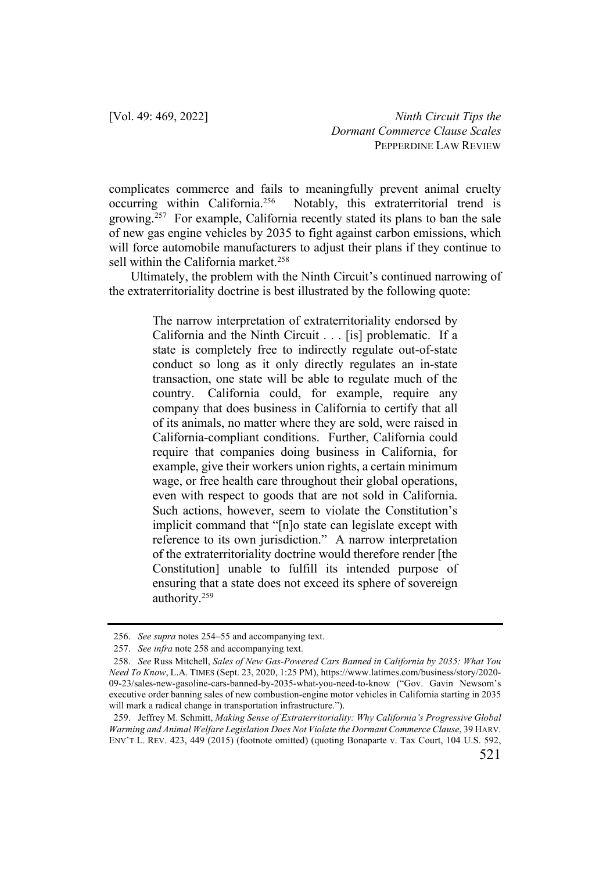complicates commerce and fails to meaningfully prevent animal cruelty occurring within California.<sup>256</sup> Notably, this extraterritorial trend is Notably, this extraterritorial trend is growing.<sup>257</sup> For example, California recently stated its plans to ban the sale of new gas engine vehicles by 2035 to fight against carbon emissions, which will force automobile manufacturers to adjust their plans if they continue to sell within the California market.<sup>258</sup>

Ultimately, the problem with the Ninth Circuit's continued narrowing of the extraterritoriality doctrine is best illustrated by the following quote:

> The narrow interpretation of extraterritoriality endorsed by California and the Ninth Circuit . . . [is] problematic. If a state is completely free to indirectly regulate out-of-state conduct so long as it only directly regulates an in-state transaction, one state will be able to regulate much of the country. California could, for example, require any company that does business in California to certify that all of its animals, no matter where they are sold, were raised in California-compliant conditions. Further, California could require that companies doing business in California, for example, give their workers union rights, a certain minimum wage, or free health care throughout their global operations, even with respect to goods that are not sold in California. Such actions, however, seem to violate the Constitution's implicit command that "[n]o state can legislate except with reference to its own jurisdiction." A narrow interpretation of the extraterritoriality doctrine would therefore render [the Constitution] unable to fulfill its intended purpose of ensuring that a state does not exceed its sphere of sovereign authority.259

<sup>256.</sup> *See supra* notes 254–55 and accompanying text.

<sup>257.</sup> *See infra* note 258 and accompanying text.

<sup>258.</sup> *See* Russ Mitchell, *Sales of New Gas-Powered Cars Banned in California by 2035: What You Need To Know*, L.A. TIMES (Sept. 23, 2020, 1:25 PM), https://www.latimes.com/business/story/2020- 09-23/sales-new-gasoline-cars-banned-by-2035-what-you-need-to-know ("Gov. Gavin Newsom's executive order banning sales of new combustion-engine motor vehicles in California starting in 2035 will mark a radical change in transportation infrastructure.").

<sup>259.</sup> Jeffrey M. Schmitt, *Making Sense of Extraterritoriality: Why California's Progressive Global Warming and Animal Welfare Legislation Does Not Violate the Dormant Commerce Clause*, 39 HARV. ENV'T L. REV. 423, 449 (2015) (footnote omitted) (quoting Bonaparte v. Tax Court, 104 U.S. 592,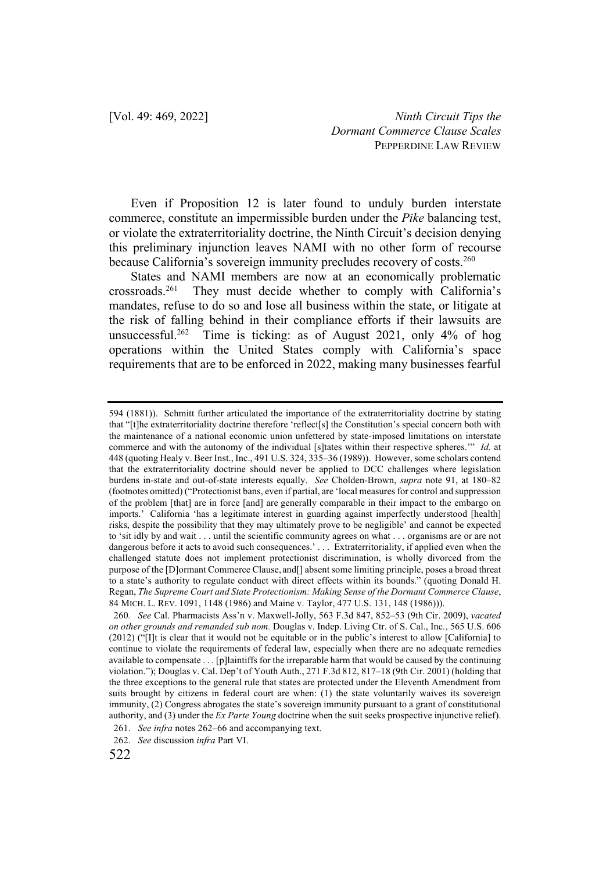Even if Proposition 12 is later found to unduly burden interstate commerce, constitute an impermissible burden under the *Pike* balancing test, or violate the extraterritoriality doctrine, the Ninth Circuit's decision denying this preliminary injunction leaves NAMI with no other form of recourse because California's sovereign immunity precludes recovery of costs.<sup>260</sup>

States and NAMI members are now at an economically problematic crossroads.261 They must decide whether to comply with California's mandates, refuse to do so and lose all business within the state, or litigate at the risk of falling behind in their compliance efforts if their lawsuits are unsuccessful.262 Time is ticking: as of August 2021, only 4% of hog operations within the United States comply with California's space requirements that are to be enforced in 2022, making many businesses fearful

<sup>594 (1881)).</sup> Schmitt further articulated the importance of the extraterritoriality doctrine by stating that "[t]he extraterritoriality doctrine therefore 'reflect[s] the Constitution's special concern both with the maintenance of a national economic union unfettered by state-imposed limitations on interstate commerce and with the autonomy of the individual [s]tates within their respective spheres.'" *Id.* at 448 (quoting Healy v. Beer Inst., Inc., 491 U.S. 324, 335–36 (1989)). However, some scholars contend that the extraterritoriality doctrine should never be applied to DCC challenges where legislation burdens in-state and out-of-state interests equally. *See* Cholden-Brown, *supra* note 91, at 180–82 (footnotes omitted) ("Protectionist bans, even if partial, are 'local measures for control and suppression of the problem [that] are in force [and] are generally comparable in their impact to the embargo on imports.' California 'has a legitimate interest in guarding against imperfectly understood [health] risks, despite the possibility that they may ultimately prove to be negligible' and cannot be expected to 'sit idly by and wait . . . until the scientific community agrees on what . . . organisms are or are not dangerous before it acts to avoid such consequences.' . . . Extraterritoriality, if applied even when the challenged statute does not implement protectionist discrimination, is wholly divorced from the purpose of the [D]ormant Commerce Clause, and[] absent some limiting principle, poses a broad threat to a state's authority to regulate conduct with direct effects within its bounds." (quoting Donald H. Regan, *The Supreme Court and State Protectionism: Making Sense of the Dormant Commerce Clause*, 84 MICH. L. REV. 1091, 1148 (1986) and Maine v. Taylor, 477 U.S. 131, 148 (1986))).

<sup>260</sup>*. See* Cal. Pharmacists Ass'n v. Maxwell*-*Jolly, 563 F.3d 847, 852–53 (9th Cir. 2009), *vacated on other grounds and remanded sub nom.* Douglas v. Indep. Living Ctr. of S. Cal., Inc*.*, 565 U.S. 606 (2012) ("[I]t is clear that it would not be equitable or in the public's interest to allow [California] to continue to violate the requirements of federal law, especially when there are no adequate remedies available to compensate . . . [p]laintiffs for the irreparable harm that would be caused by the continuing violation."); Douglas v. Cal. Dep't of Youth Auth., 271 F.3d 812, 817–18 (9th Cir. 2001) (holding that the three exceptions to the general rule that states are protected under the Eleventh Amendment from suits brought by citizens in federal court are when: (1) the state voluntarily waives its sovereign immunity, (2) Congress abrogates the state's sovereign immunity pursuant to a grant of constitutional authority, and (3) under the *Ex Parte Young* doctrine when the suit seeks prospective injunctive relief).

<sup>261.</sup> *See infra* notes 262–66 and accompanying text.

<sup>262.</sup> *See* discussion *infra* Part VI.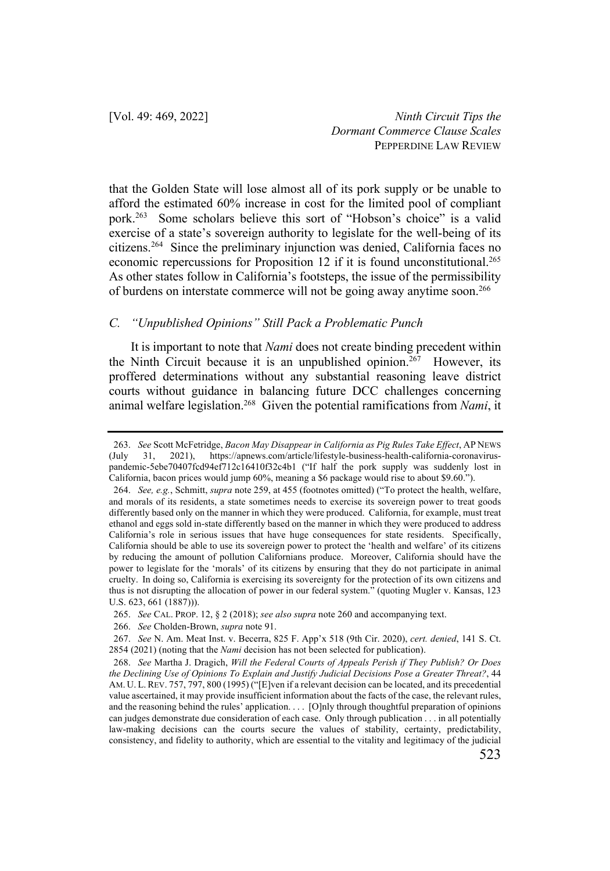that the Golden State will lose almost all of its pork supply or be unable to afford the estimated 60% increase in cost for the limited pool of compliant pork.263 Some scholars believe this sort of "Hobson's choice" is a valid exercise of a state's sovereign authority to legislate for the well-being of its citizens.264 Since the preliminary injunction was denied, California faces no economic repercussions for Proposition 12 if it is found unconstitutional.<sup>265</sup> As other states follow in California's footsteps, the issue of the permissibility of burdens on interstate commerce will not be going away anytime soon.266

### *C. "Unpublished Opinions" Still Pack a Problematic Punch*

It is important to note that *Nami* does not create binding precedent within the Ninth Circuit because it is an unpublished opinion.<sup>267</sup> However, its proffered determinations without any substantial reasoning leave district courts without guidance in balancing future DCC challenges concerning animal welfare legislation.268 Given the potential ramifications from *Nami*, it

<sup>263.</sup> *See* Scott McFetridge, *Bacon May Disappear in California as Pig Rules Take Effect*, AP NEWS (July 31, 2021), https://apnews.com/article/lifestyle-business-health-california-coronaviruspandemic-5ebe70407fcd94ef712c16410f32c4b1 ("If half the pork supply was suddenly lost in California, bacon prices would jump 60%, meaning a \$6 package would rise to about \$9.60.").

<sup>264.</sup> *See, e.g.*, Schmitt, *supra* note 259, at 455 (footnotes omitted) ("To protect the health, welfare, and morals of its residents, a state sometimes needs to exercise its sovereign power to treat goods differently based only on the manner in which they were produced. California, for example, must treat ethanol and eggs sold in-state differently based on the manner in which they were produced to address California's role in serious issues that have huge consequences for state residents. Specifically, California should be able to use its sovereign power to protect the 'health and welfare' of its citizens by reducing the amount of pollution Californians produce. Moreover, California should have the power to legislate for the 'morals' of its citizens by ensuring that they do not participate in animal cruelty. In doing so, California is exercising its sovereignty for the protection of its own citizens and thus is not disrupting the allocation of power in our federal system." (quoting Mugler v. Kansas, 123 U.S. 623, 661 (1887))).

<sup>265.</sup> *See* CAL. PROP. 12, § 2 (2018); *see also supra* note 260 and accompanying text.

<sup>266.</sup> *See* Cholden-Brown, *supra* note 91.

<sup>267.</sup> *See* N. Am. Meat Inst. v. Becerra, 825 F. App'x 518 (9th Cir. 2020), *cert. denied*, 141 S. Ct. 2854 (2021) (noting that the *Nami* decision has not been selected for publication).

<sup>268.</sup> *See* Martha J. Dragich, *Will the Federal Courts of Appeals Perish if They Publish? Or Does the Declining Use of Opinions To Explain and Justify Judicial Decisions Pose a Greater Threat?*, 44 AM. U. L.REV. 757, 797, 800 (1995) ("[E]ven if a relevant decision can be located, and its precedential value ascertained, it may provide insufficient information about the facts of the case, the relevant rules, and the reasoning behind the rules' application. . . . [O]nly through thoughtful preparation of opinions can judges demonstrate due consideration of each case. Only through publication . . . in all potentially law-making decisions can the courts secure the values of stability, certainty, predictability, consistency, and fidelity to authority, which are essential to the vitality and legitimacy of the judicial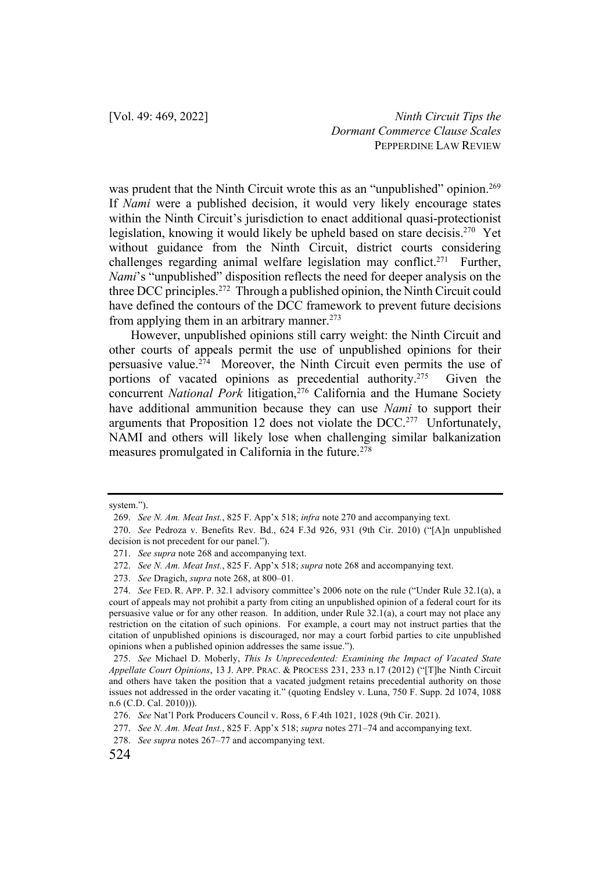was prudent that the Ninth Circuit wrote this as an "unpublished" opinion.<sup>269</sup> If *Nami* were a published decision, it would very likely encourage states within the Ninth Circuit's jurisdiction to enact additional quasi-protectionist legislation, knowing it would likely be upheld based on stare decisis.270 Yet without guidance from the Ninth Circuit, district courts considering challenges regarding animal welfare legislation may conflict.<sup>271</sup> Further, *Nami*'s "unpublished" disposition reflects the need for deeper analysis on the three DCC principles.<sup>272</sup> Through a published opinion, the Ninth Circuit could have defined the contours of the DCC framework to prevent future decisions from applying them in an arbitrary manner.<sup>273</sup>

However, unpublished opinions still carry weight: the Ninth Circuit and other courts of appeals permit the use of unpublished opinions for their persuasive value.274 Moreover, the Ninth Circuit even permits the use of portions of vacated opinions as precedential authority.<sup>275</sup> Given the concurrent *National Pork* litigation,<sup>276</sup> California and the Humane Society have additional ammunition because they can use *Nami* to support their arguments that Proposition 12 does not violate the DCC.<sup>277</sup> Unfortunately, NAMI and others will likely lose when challenging similar balkanization measures promulgated in California in the future.278

system.").

<sup>269.</sup> *See N. Am. Meat Inst.*, 825 F. App'x 518; *infra* note 270 and accompanying text.

<sup>270.</sup> *See* Pedroza v. Benefits Rev. Bd., 624 F.3d 926, 931 (9th Cir. 2010) ("[A]n unpublished decision is not precedent for our panel.").

<sup>271.</sup> *See supra* note 268 and accompanying text.

<sup>272.</sup> *See N. Am. Meat Inst.*, 825 F. App'x 518; *supra* note 268 and accompanying text.

<sup>273.</sup> *See* Dragich, *supra* note 268, at 800–01.

<sup>274.</sup> *See* FED. R. APP. P. 32.1 advisory committee's 2006 note on the rule ("Under Rule 32.1(a), a court of appeals may not prohibit a party from citing an unpublished opinion of a federal court for its persuasive value or for any other reason. In addition, under Rule 32.1(a), a court may not place any restriction on the citation of such opinions. For example, a court may not instruct parties that the citation of unpublished opinions is discouraged, nor may a court forbid parties to cite unpublished opinions when a published opinion addresses the same issue.").

<sup>275.</sup> *See* Michael D. Moberly, *This Is Unprecedented: Examining the Impact of Vacated State Appellate Court Opinions*, 13 J. APP. PRAC. & PROCESS 231, 233 n.17 (2012) ("[T]he Ninth Circuit and others have taken the position that a vacated judgment retains precedential authority on those issues not addressed in the order vacating it." (quoting Endsley v. Luna, 750 F. Supp. 2d 1074, 1088 n.6 (C.D. Cal. 2010))).

<sup>276.</sup> *See* Nat'l Pork Producers Council v. Ross, 6 F.4th 1021, 1028 (9th Cir. 2021).

<sup>277.</sup> *See N. Am. Meat Inst.*, 825 F. App'x 518; *supra* notes 271–74 and accompanying text.

<sup>278.</sup> *See supra* notes 267–77 and accompanying text.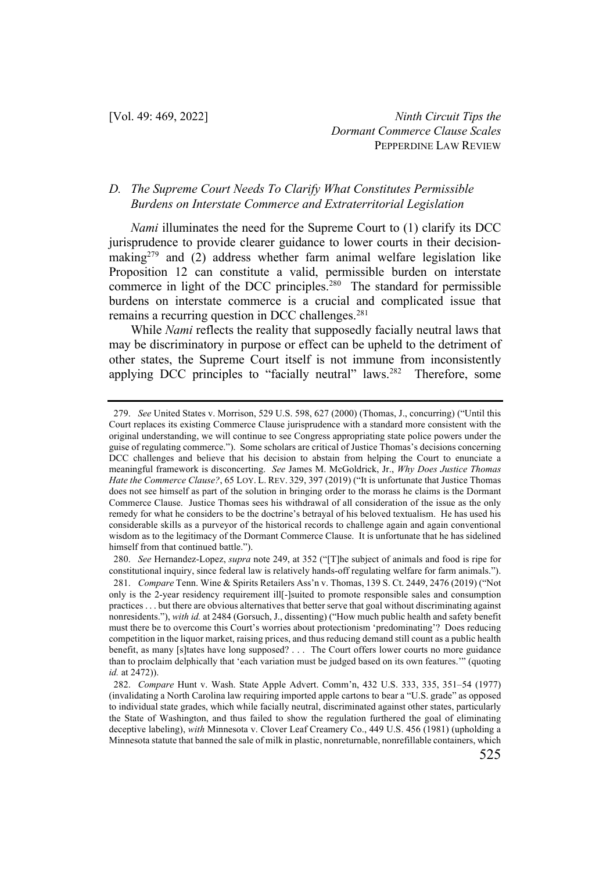## *D. The Supreme Court Needs To Clarify What Constitutes Permissible Burdens on Interstate Commerce and Extraterritorial Legislation*

*Nami* illuminates the need for the Supreme Court to (1) clarify its DCC jurisprudence to provide clearer guidance to lower courts in their decisionmaking<sup>279</sup> and (2) address whether farm animal welfare legislation like Proposition 12 can constitute a valid, permissible burden on interstate commerce in light of the DCC principles.<sup>280</sup> The standard for permissible burdens on interstate commerce is a crucial and complicated issue that remains a recurring question in DCC challenges.<sup>281</sup>

While *Nami* reflects the reality that supposedly facially neutral laws that may be discriminatory in purpose or effect can be upheld to the detriment of other states, the Supreme Court itself is not immune from inconsistently applying DCC principles to "facially neutral" laws.<sup>282</sup> Therefore, some

<sup>279.</sup> *See* United States v. Morrison, 529 U.S. 598, 627 (2000) (Thomas, J., concurring) ("Until this Court replaces its existing Commerce Clause jurisprudence with a standard more consistent with the original understanding, we will continue to see Congress appropriating state police powers under the guise of regulating commerce."). Some scholars are critical of Justice Thomas's decisions concerning DCC challenges and believe that his decision to abstain from helping the Court to enunciate a meaningful framework is disconcerting. *See* James M. McGoldrick, Jr., *Why Does Justice Thomas Hate the Commerce Clause?*, 65 LOY. L. REV. 329, 397 (2019) ("It is unfortunate that Justice Thomas does not see himself as part of the solution in bringing order to the morass he claims is the Dormant Commerce Clause. Justice Thomas sees his withdrawal of all consideration of the issue as the only remedy for what he considers to be the doctrine's betrayal of his beloved textualism. He has used his considerable skills as a purveyor of the historical records to challenge again and again conventional wisdom as to the legitimacy of the Dormant Commerce Clause. It is unfortunate that he has sidelined himself from that continued battle.").

<sup>280.</sup> *See* Hernandez-Lopez, *supra* note 249, at 352 ("[T]he subject of animals and food is ripe for constitutional inquiry, since federal law is relatively hands-off regulating welfare for farm animals.").

<sup>281.</sup> *Compare* Tenn. Wine & Spirits Retailers Ass'n v. Thomas, 139 S. Ct. 2449, 2476 (2019) ("Not only is the 2-year residency requirement ill[-]suited to promote responsible sales and consumption practices . . . but there are obvious alternatives that better serve that goal without discriminating against nonresidents."), *with id.* at 2484 (Gorsuch, J., dissenting) ("How much public health and safety benefit must there be to overcome this Court's worries about protectionism 'predominating'? Does reducing competition in the liquor market, raising prices, and thus reducing demand still count as a public health benefit, as many [s]tates have long supposed? . . . The Court offers lower courts no more guidance than to proclaim delphically that 'each variation must be judged based on its own features.'" (quoting *id.* at 2472)).

<sup>282.</sup> *Compare* Hunt v. Wash. State Apple Advert. Comm'n, 432 U.S. 333, 335, 351–54 (1977) (invalidating a North Carolina law requiring imported apple cartons to bear a "U.S. grade" as opposed to individual state grades, which while facially neutral, discriminated against other states, particularly the State of Washington, and thus failed to show the regulation furthered the goal of eliminating deceptive labeling), *with* Minnesota v. Clover Leaf Creamery Co., 449 U.S. 456 (1981) (upholding a Minnesota statute that banned the sale of milk in plastic, nonreturnable, nonrefillable containers, which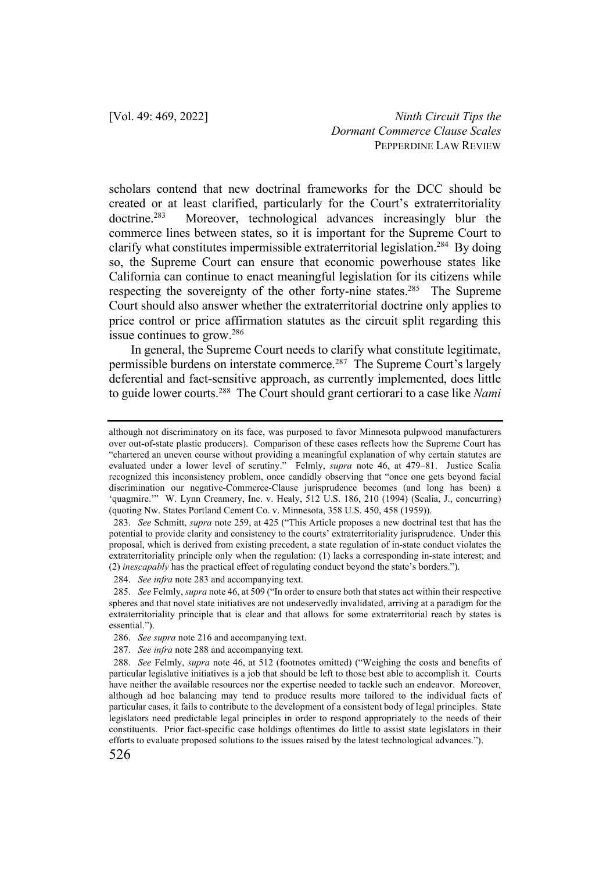scholars contend that new doctrinal frameworks for the DCC should be created or at least clarified, particularly for the Court's extraterritoriality doctrine.<sup>283</sup> Moreover, technological advances increasingly blur the commerce lines between states, so it is important for the Supreme Court to clarify what constitutes impermissible extraterritorial legislation.284 By doing so, the Supreme Court can ensure that economic powerhouse states like California can continue to enact meaningful legislation for its citizens while respecting the sovereignty of the other forty-nine states.<sup>285</sup> The Supreme Court should also answer whether the extraterritorial doctrine only applies to price control or price affirmation statutes as the circuit split regarding this issue continues to grow.286

In general, the Supreme Court needs to clarify what constitute legitimate, permissible burdens on interstate commerce.<sup>287</sup> The Supreme Court's largely deferential and fact-sensitive approach, as currently implemented, does little to guide lower courts.288 The Court should grant certiorari to a case like *Nami*

although not discriminatory on its face, was purposed to favor Minnesota pulpwood manufacturers over out-of-state plastic producers). Comparison of these cases reflects how the Supreme Court has "chartered an uneven course without providing a meaningful explanation of why certain statutes are evaluated under a lower level of scrutiny." Felmly, *supra* note 46, at 479–81. Justice Scalia recognized this inconsistency problem, once candidly observing that "once one gets beyond facial discrimination our negative-Commerce-Clause jurisprudence becomes (and long has been) a 'quagmire.'" W. Lynn Creamery, Inc. v. Healy, 512 U.S. 186, 210 (1994) (Scalia, J., concurring) (quoting Nw. States Portland Cement Co. v. Minnesota, 358 U.S. 450, 458 (1959)).

<sup>283.</sup> *See* Schmitt, *supra* note 259, at 425 ("This Article proposes a new doctrinal test that has the potential to provide clarity and consistency to the courts' extraterritoriality jurisprudence. Under this proposal, which is derived from existing precedent, a state regulation of in-state conduct violates the extraterritoriality principle only when the regulation: (1) lacks a corresponding in-state interest; and (2) *inescapably* has the practical effect of regulating conduct beyond the state's borders.").

<sup>284.</sup> *See infra* note 283 and accompanying text.

<sup>285.</sup> *See* Felmly, *supra* note 46, at 509 ("In order to ensure both that states act within their respective spheres and that novel state initiatives are not undeservedly invalidated, arriving at a paradigm for the extraterritoriality principle that is clear and that allows for some extraterritorial reach by states is essential.").

<sup>286.</sup> *See supra* note 216 and accompanying text.

<sup>287.</sup> *See infra* note 288 and accompanying text.

<sup>288.</sup> *See* Felmly, *supra* note 46, at 512 (footnotes omitted) ("Weighing the costs and benefits of particular legislative initiatives is a job that should be left to those best able to accomplish it. Courts have neither the available resources nor the expertise needed to tackle such an endeavor. Moreover, although ad hoc balancing may tend to produce results more tailored to the individual facts of particular cases, it fails to contribute to the development of a consistent body of legal principles. State legislators need predictable legal principles in order to respond appropriately to the needs of their constituents. Prior fact-specific case holdings oftentimes do little to assist state legislators in their efforts to evaluate proposed solutions to the issues raised by the latest technological advances.").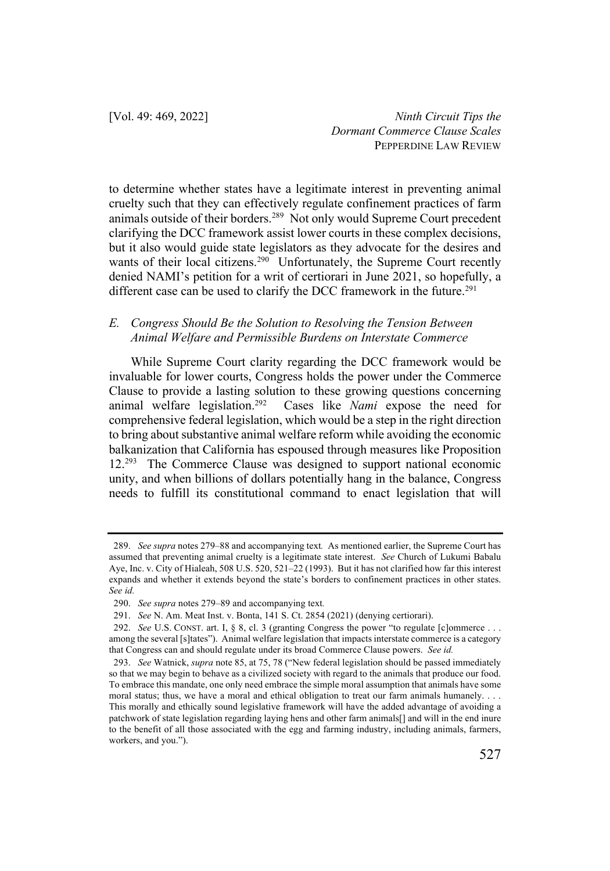to determine whether states have a legitimate interest in preventing animal cruelty such that they can effectively regulate confinement practices of farm animals outside of their borders.<sup>289</sup> Not only would Supreme Court precedent clarifying the DCC framework assist lower courts in these complex decisions, but it also would guide state legislators as they advocate for the desires and wants of their local citizens.<sup>290</sup> Unfortunately, the Supreme Court recently denied NAMI's petition for a writ of certiorari in June 2021, so hopefully, a different case can be used to clarify the DCC framework in the future.<sup>291</sup>

## *E. Congress Should Be the Solution to Resolving the Tension Between Animal Welfare and Permissible Burdens on Interstate Commerce*

While Supreme Court clarity regarding the DCC framework would be invaluable for lower courts, Congress holds the power under the Commerce Clause to provide a lasting solution to these growing questions concerning animal welfare legislation.292 Cases like *Nami* expose the need for comprehensive federal legislation, which would be a step in the right direction to bring about substantive animal welfare reform while avoiding the economic balkanization that California has espoused through measures like Proposition 12.293 The Commerce Clause was designed to support national economic unity, and when billions of dollars potentially hang in the balance, Congress needs to fulfill its constitutional command to enact legislation that will

<sup>289.</sup> *See supra* notes 279–88 and accompanying text*.* As mentioned earlier, the Supreme Court has assumed that preventing animal cruelty is a legitimate state interest. *See* Church of Lukumi Babalu Aye, Inc. v. City of Hialeah, 508 U.S. 520, 521–22 (1993). But it has not clarified how far this interest expands and whether it extends beyond the state's borders to confinement practices in other states. *See id.* 

<sup>290.</sup> *See supra* notes 279–89 and accompanying text*.*

<sup>291.</sup> *See* N. Am. Meat Inst. v. Bonta, 141 S. Ct. 2854 (2021) (denying certiorari).

<sup>292.</sup> *See* U.S. CONST. art. I, § 8, cl. 3 (granting Congress the power "to regulate [c]ommerce . . . among the several [s]tates"). Animal welfare legislation that impacts interstate commerce is a category that Congress can and should regulate under its broad Commerce Clause powers. *See id.* 

<sup>293.</sup> *See* Watnick, *supra* note 85, at 75, 78 ("New federal legislation should be passed immediately so that we may begin to behave as a civilized society with regard to the animals that produce our food. To embrace this mandate, one only need embrace the simple moral assumption that animals have some moral status; thus, we have a moral and ethical obligation to treat our farm animals humanely. . . . This morally and ethically sound legislative framework will have the added advantage of avoiding a patchwork of state legislation regarding laying hens and other farm animals[] and will in the end inure to the benefit of all those associated with the egg and farming industry, including animals, farmers, workers, and you.").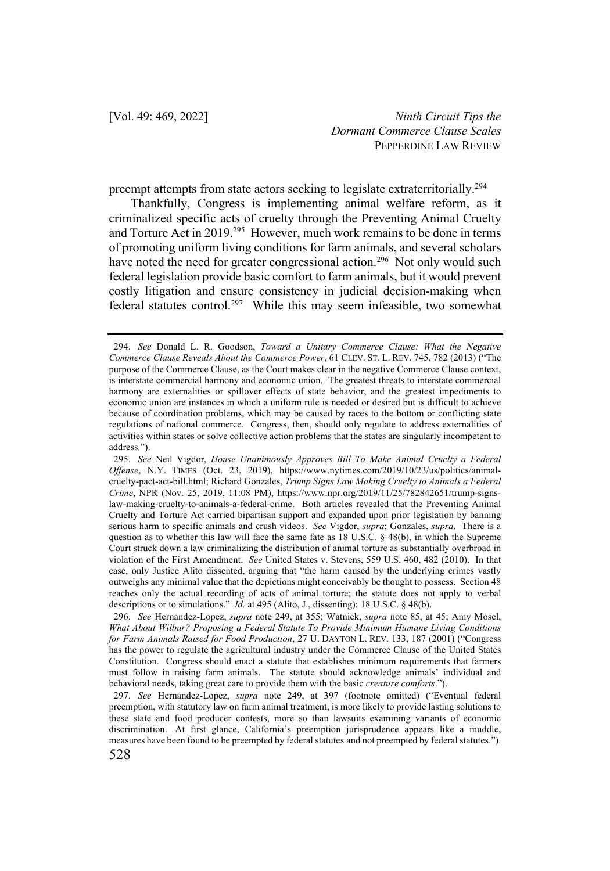preempt attempts from state actors seeking to legislate extraterritorially.294

Thankfully, Congress is implementing animal welfare reform, as it criminalized specific acts of cruelty through the Preventing Animal Cruelty and Torture Act in 2019.295 However, much work remains to be done in terms of promoting uniform living conditions for farm animals, and several scholars have noted the need for greater congressional action.<sup>296</sup> Not only would such federal legislation provide basic comfort to farm animals, but it would prevent costly litigation and ensure consistency in judicial decision-making when federal statutes control.<sup>297</sup> While this may seem infeasible, two somewhat

<sup>294.</sup> *See* Donald L. R. Goodson, *Toward a Unitary Commerce Clause: What the Negative Commerce Clause Reveals About the Commerce Power*, 61 CLEV. ST. L. REV. 745, 782 (2013) ("The purpose of the Commerce Clause, as the Court makes clear in the negative Commerce Clause context, is interstate commercial harmony and economic union. The greatest threats to interstate commercial harmony are externalities or spillover effects of state behavior, and the greatest impediments to economic union are instances in which a uniform rule is needed or desired but is difficult to achieve because of coordination problems, which may be caused by races to the bottom or conflicting state regulations of national commerce. Congress, then, should only regulate to address externalities of activities within states or solve collective action problems that the states are singularly incompetent to address.").

<sup>295.</sup> *See* Neil Vigdor, *House Unanimously Approves Bill To Make Animal Cruelty a Federal Offense*, N.Y. TIMES (Oct. 23, 2019), https://www.nytimes.com/2019/10/23/us/politics/animalcruelty-pact-act-bill.html; Richard Gonzales, *Trump Signs Law Making Cruelty to Animals a Federal Crime*, NPR (Nov. 25, 2019, 11:08 PM), https://www.npr.org/2019/11/25/782842651/trump-signslaw-making-cruelty-to-animals-a-federal-crime. Both articles revealed that the Preventing Animal Cruelty and Torture Act carried bipartisan support and expanded upon prior legislation by banning serious harm to specific animals and crush videos. *See* Vigdor, *supra*; Gonzales, *supra*. There is a question as to whether this law will face the same fate as 18 U.S.C. § 48(b), in which the Supreme Court struck down a law criminalizing the distribution of animal torture as substantially overbroad in violation of the First Amendment. *See* United States v. Stevens, 559 U.S. 460, 482 (2010). In that case, only Justice Alito dissented, arguing that "the harm caused by the underlying crimes vastly outweighs any minimal value that the depictions might conceivably be thought to possess. Section 48 reaches only the actual recording of acts of animal torture; the statute does not apply to verbal descriptions or to simulations." *Id.* at 495 (Alito, J., dissenting); 18 U.S.C. § 48(b).

<sup>296.</sup> *See* Hernandez-Lopez, *supra* note 249, at 355; Watnick, *supra* note 85, at 45; Amy Mosel, *What About Wilbur? Proposing a Federal Statute To Provide Minimum Humane Living Conditions for Farm Animals Raised for Food Production*, 27 U. DAYTON L. REV. 133, 187 (2001) ("Congress has the power to regulate the agricultural industry under the Commerce Clause of the United States Constitution. Congress should enact a statute that establishes minimum requirements that farmers must follow in raising farm animals. The statute should acknowledge animals' individual and behavioral needs, taking great care to provide them with the basic *creature comforts*.").

<sup>297.</sup> *See* Hernandez-Lopez, *supra* note 249, at 397 (footnote omitted) ("Eventual federal preemption, with statutory law on farm animal treatment, is more likely to provide lasting solutions to these state and food producer contests, more so than lawsuits examining variants of economic discrimination. At first glance, California's preemption jurisprudence appears like a muddle, measures have been found to be preempted by federal statutes and not preempted by federal statutes.").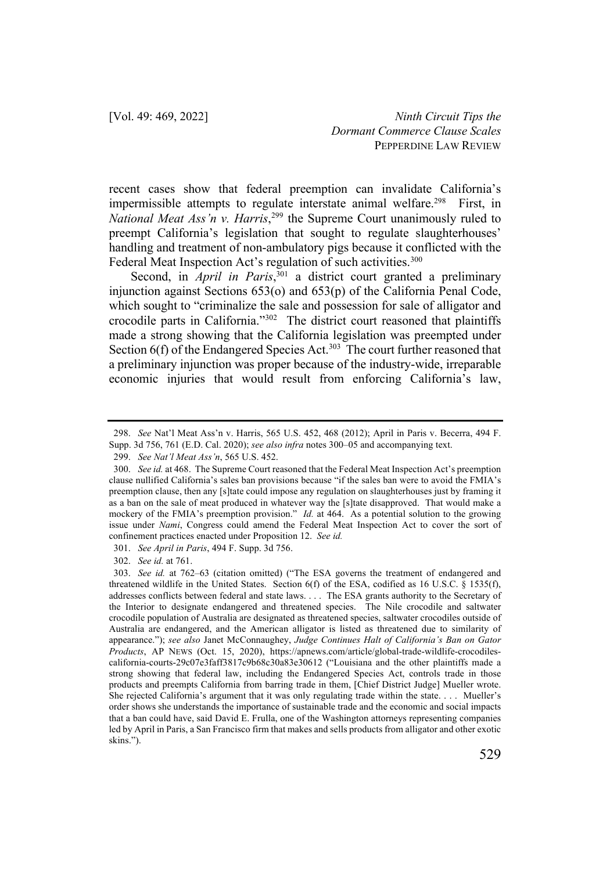recent cases show that federal preemption can invalidate California's impermissible attempts to regulate interstate animal welfare.<sup>298</sup> First, in *National Meat Ass'n v. Harris*, <sup>299</sup> the Supreme Court unanimously ruled to preempt California's legislation that sought to regulate slaughterhouses' handling and treatment of non-ambulatory pigs because it conflicted with the Federal Meat Inspection Act's regulation of such activities.<sup>300</sup>

Second, in *April in Paris*<sup>301</sup> a district court granted a preliminary injunction against Sections 653(o) and 653(p) of the California Penal Code, which sought to "criminalize the sale and possession for sale of alligator and crocodile parts in California."302 The district court reasoned that plaintiffs made a strong showing that the California legislation was preempted under Section 6(f) of the Endangered Species Act.<sup>303</sup> The court further reasoned that a preliminary injunction was proper because of the industry-wide, irreparable economic injuries that would result from enforcing California's law,

<sup>298.</sup> *See* Nat'l Meat Ass'n v. Harris, 565 U.S. 452, 468 (2012); April in Paris v. Becerra, 494 F. Supp. 3d 756, 761 (E.D. Cal. 2020); *see also infra* notes 300–05 and accompanying text.

<sup>299.</sup> *See Nat'l Meat Ass'n*, 565 U.S. 452.

<sup>300.</sup> *See id.* at 468. The Supreme Court reasoned that the Federal Meat Inspection Act's preemption clause nullified California's sales ban provisions because "if the sales ban were to avoid the FMIA's preemption clause, then any [s]tate could impose any regulation on slaughterhouses just by framing it as a ban on the sale of meat produced in whatever way the [s]tate disapproved. That would make a mockery of the FMIA's preemption provision." *Id.* at 464. As a potential solution to the growing issue under *Nami*, Congress could amend the Federal Meat Inspection Act to cover the sort of confinement practices enacted under Proposition 12. *See id.*

<sup>301.</sup> *See April in Paris*, 494 F. Supp. 3d 756.

<sup>302.</sup> *See id.* at 761.

<sup>303.</sup> *See id.* at 762–63 (citation omitted) ("The ESA governs the treatment of endangered and threatened wildlife in the United States. Section 6(f) of the ESA, codified as 16 U.S.C. § 1535(f), addresses conflicts between federal and state laws. . . . The ESA grants authority to the Secretary of the Interior to designate endangered and threatened species. The Nile crocodile and saltwater crocodile population of Australia are designated as threatened species, saltwater crocodiles outside of Australia are endangered, and the American alligator is listed as threatened due to similarity of appearance."); *see also* Janet McConnaughey, *Judge Continues Halt of California's Ban on Gator Products*, AP NEWS (Oct. 15, 2020), https://apnews.com/article/global-trade-wildlife-crocodilescalifornia-courts-29c07e3faff3817c9b68c30a83e30612 ("Louisiana and the other plaintiffs made a strong showing that federal law, including the Endangered Species Act, controls trade in those products and preempts California from barring trade in them, [Chief District Judge] Mueller wrote. She rejected California's argument that it was only regulating trade within the state. . . . Mueller's order shows she understands the importance of sustainable trade and the economic and social impacts that a ban could have, said David E. Frulla, one of the Washington attorneys representing companies led by April in Paris, a San Francisco firm that makes and sells products from alligator and other exotic skins.").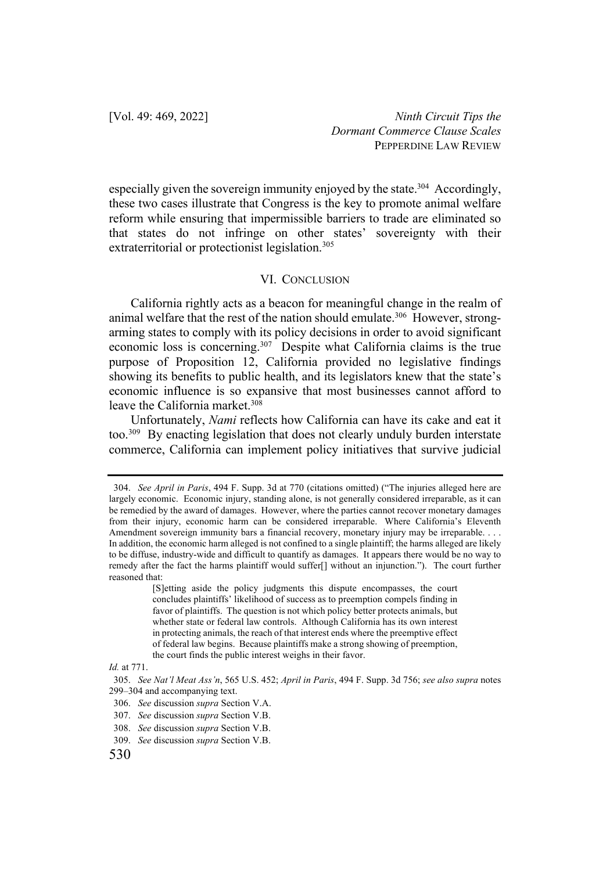especially given the sovereign immunity enjoyed by the state.<sup>304</sup> Accordingly, these two cases illustrate that Congress is the key to promote animal welfare reform while ensuring that impermissible barriers to trade are eliminated so that states do not infringe on other states' sovereignty with their extraterritorial or protectionist legislation.<sup>305</sup>

## VI. CONCLUSION

California rightly acts as a beacon for meaningful change in the realm of animal welfare that the rest of the nation should emulate.<sup>306</sup> However, strongarming states to comply with its policy decisions in order to avoid significant economic loss is concerning.307 Despite what California claims is the true purpose of Proposition 12, California provided no legislative findings showing its benefits to public health, and its legislators knew that the state's economic influence is so expansive that most businesses cannot afford to leave the California market.<sup>308</sup>

Unfortunately, *Nami* reflects how California can have its cake and eat it too.309 By enacting legislation that does not clearly unduly burden interstate commerce, California can implement policy initiatives that survive judicial

[S]etting aside the policy judgments this dispute encompasses, the court concludes plaintiffs' likelihood of success as to preemption compels finding in favor of plaintiffs. The question is not which policy better protects animals, but whether state or federal law controls. Although California has its own interest in protecting animals, the reach of that interest ends where the preemptive effect of federal law begins. Because plaintiffs make a strong showing of preemption, the court finds the public interest weighs in their favor.

<sup>304.</sup> *See April in Paris*, 494 F. Supp. 3d at 770 (citations omitted) ("The injuries alleged here are largely economic. Economic injury, standing alone, is not generally considered irreparable, as it can be remedied by the award of damages. However, where the parties cannot recover monetary damages from their injury, economic harm can be considered irreparable. Where California's Eleventh Amendment sovereign immunity bars a financial recovery, monetary injury may be irreparable. . . . In addition, the economic harm alleged is not confined to a single plaintiff; the harms alleged are likely to be diffuse, industry-wide and difficult to quantify as damages. It appears there would be no way to remedy after the fact the harms plaintiff would suffer[] without an injunction."). The court further reasoned that:

*Id.* at 771.

<sup>305.</sup> *See Nat'l Meat Ass'n*, 565 U.S. 452; *April in Paris*, 494 F. Supp. 3d 756; *see also supra* notes 299–304 and accompanying text.

<sup>306.</sup> *See* discussion *supra* Section V.A.

<sup>307.</sup> *See* discussion *supra* Section V.B.

<sup>308.</sup> *See* discussion *supra* Section V.B.

<sup>309.</sup> *See* discussion *supra* Section V.B.

<sup>530</sup>